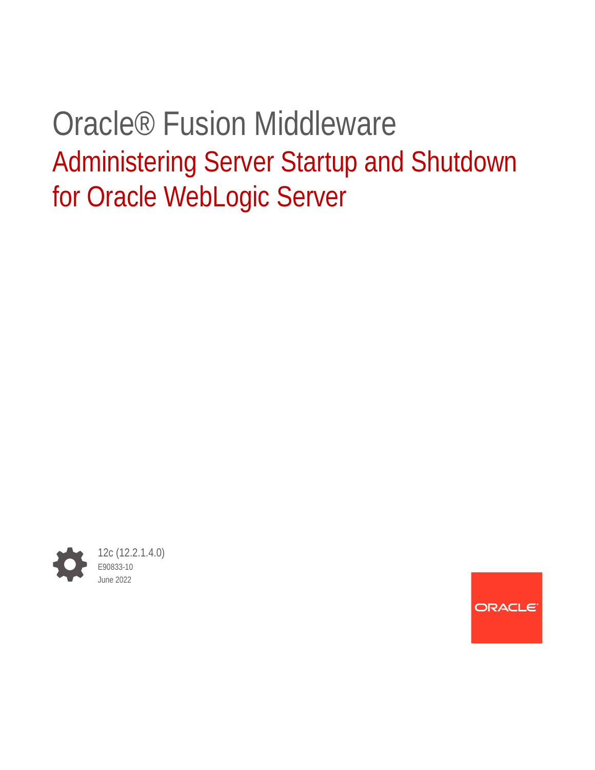# Oracle® Fusion Middleware Administering Server Startup and Shutdown for Oracle WebLogic Server



ORACLE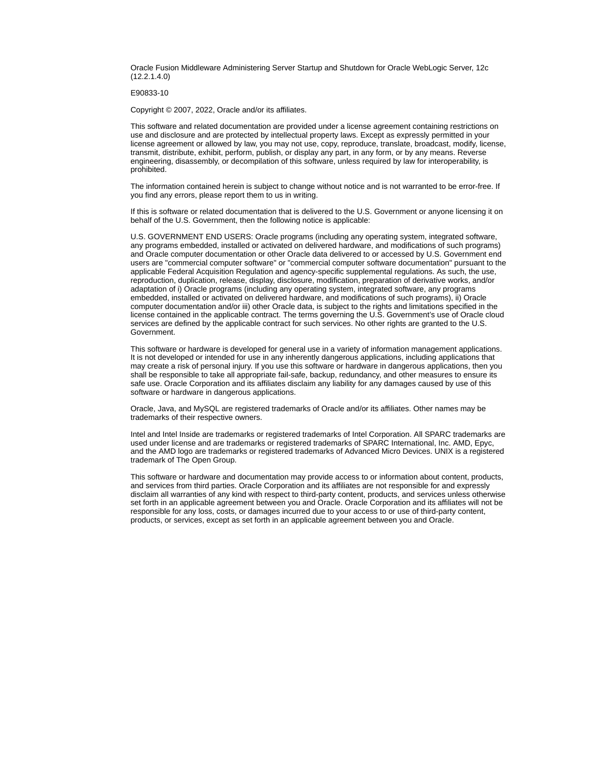Oracle Fusion Middleware Administering Server Startup and Shutdown for Oracle WebLogic Server, 12c (12.2.1.4.0)

E90833-10

Copyright © 2007, 2022, Oracle and/or its affiliates.

This software and related documentation are provided under a license agreement containing restrictions on use and disclosure and are protected by intellectual property laws. Except as expressly permitted in your license agreement or allowed by law, you may not use, copy, reproduce, translate, broadcast, modify, license, transmit, distribute, exhibit, perform, publish, or display any part, in any form, or by any means. Reverse engineering, disassembly, or decompilation of this software, unless required by law for interoperability, is prohibited.

The information contained herein is subject to change without notice and is not warranted to be error-free. If you find any errors, please report them to us in writing.

If this is software or related documentation that is delivered to the U.S. Government or anyone licensing it on behalf of the U.S. Government, then the following notice is applicable:

U.S. GOVERNMENT END USERS: Oracle programs (including any operating system, integrated software, any programs embedded, installed or activated on delivered hardware, and modifications of such programs) and Oracle computer documentation or other Oracle data delivered to or accessed by U.S. Government end users are "commercial computer software" or "commercial computer software documentation" pursuant to the applicable Federal Acquisition Regulation and agency-specific supplemental regulations. As such, the use, reproduction, duplication, release, display, disclosure, modification, preparation of derivative works, and/or adaptation of i) Oracle programs (including any operating system, integrated software, any programs embedded, installed or activated on delivered hardware, and modifications of such programs), ii) Oracle computer documentation and/or iii) other Oracle data, is subject to the rights and limitations specified in the license contained in the applicable contract. The terms governing the U.S. Government's use of Oracle cloud services are defined by the applicable contract for such services. No other rights are granted to the U.S. Government.

This software or hardware is developed for general use in a variety of information management applications. It is not developed or intended for use in any inherently dangerous applications, including applications that may create a risk of personal injury. If you use this software or hardware in dangerous applications, then you shall be responsible to take all appropriate fail-safe, backup, redundancy, and other measures to ensure its safe use. Oracle Corporation and its affiliates disclaim any liability for any damages caused by use of this software or hardware in dangerous applications.

Oracle, Java, and MySQL are registered trademarks of Oracle and/or its affiliates. Other names may be trademarks of their respective owners.

Intel and Intel Inside are trademarks or registered trademarks of Intel Corporation. All SPARC trademarks are used under license and are trademarks or registered trademarks of SPARC International, Inc. AMD, Epyc, and the AMD logo are trademarks or registered trademarks of Advanced Micro Devices. UNIX is a registered trademark of The Open Group.

This software or hardware and documentation may provide access to or information about content, products, and services from third parties. Oracle Corporation and its affiliates are not responsible for and expressly disclaim all warranties of any kind with respect to third-party content, products, and services unless otherwise set forth in an applicable agreement between you and Oracle. Oracle Corporation and its affiliates will not be responsible for any loss, costs, or damages incurred due to your access to or use of third-party content, products, or services, except as set forth in an applicable agreement between you and Oracle.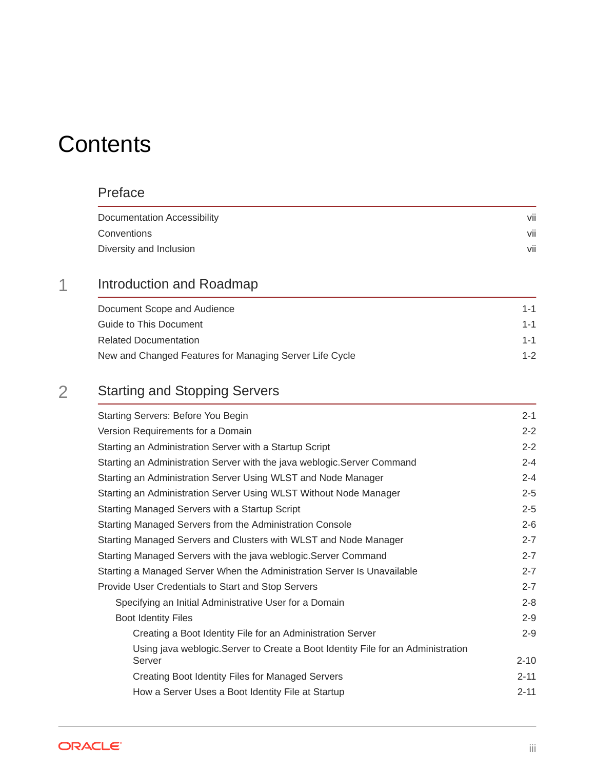# **Contents**

#### [Preface](#page-6-0)

| Documentation Accessibility | vii                  |
|-----------------------------|----------------------|
| Conventions                 | $\cdot \cdot$<br>VII |
| Diversity and Inclusion     | vii                  |

### 1 [Introduction and Roadmap](#page-7-0)

| Document Scope and Audience                             | $1 - 1$ |
|---------------------------------------------------------|---------|
| Guide to This Document                                  | $1 - 1$ |
| <b>Related Documentation</b>                            | $1 - 1$ |
| New and Changed Features for Managing Server Life Cycle | $1 - 2$ |

### 2 [Starting and Stopping Servers](#page-9-0)

| <b>Starting Servers: Before You Begin</b>                                        | $2 - 1$  |
|----------------------------------------------------------------------------------|----------|
| Version Requirements for a Domain                                                | $2 - 2$  |
| Starting an Administration Server with a Startup Script                          | $2 - 2$  |
| Starting an Administration Server with the java weblogic. Server Command         | $2 - 4$  |
| Starting an Administration Server Using WLST and Node Manager                    | $2 - 4$  |
| Starting an Administration Server Using WLST Without Node Manager                | $2 - 5$  |
| Starting Managed Servers with a Startup Script                                   | $2 - 5$  |
| Starting Managed Servers from the Administration Console                         | $2 - 6$  |
| Starting Managed Servers and Clusters with WLST and Node Manager                 | $2 - 7$  |
| Starting Managed Servers with the java weblogic. Server Command                  | $2 - 7$  |
| Starting a Managed Server When the Administration Server Is Unavailable          | $2 - 7$  |
| Provide User Credentials to Start and Stop Servers                               | $2 - 7$  |
| Specifying an Initial Administrative User for a Domain                           | $2 - 8$  |
| <b>Boot Identity Files</b>                                                       | $2 - 9$  |
| Creating a Boot Identity File for an Administration Server                       | $2 - 9$  |
| Using java weblogic. Server to Create a Boot Identity File for an Administration |          |
| Server                                                                           | $2 - 10$ |
| Creating Boot Identity Files for Managed Servers                                 | $2 - 11$ |
| How a Server Uses a Boot Identity File at Startup                                | $2 - 11$ |

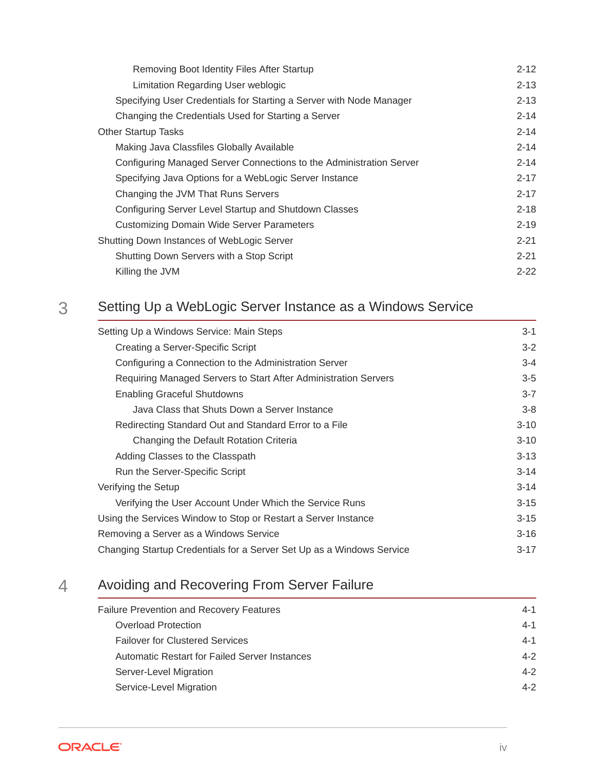| Removing Boot Identity Files After Startup                          | $2 - 12$ |
|---------------------------------------------------------------------|----------|
| Limitation Regarding User weblogic                                  | $2 - 13$ |
| Specifying User Credentials for Starting a Server with Node Manager | $2 - 13$ |
| Changing the Credentials Used for Starting a Server                 | $2 - 14$ |
| <b>Other Startup Tasks</b>                                          | $2 - 14$ |
| Making Java Classfiles Globally Available                           | $2 - 14$ |
| Configuring Managed Server Connections to the Administration Server | $2 - 14$ |
| Specifying Java Options for a WebLogic Server Instance              | $2 - 17$ |
| Changing the JVM That Runs Servers                                  | $2 - 17$ |
| Configuring Server Level Startup and Shutdown Classes               | $2 - 18$ |
| Customizing Domain Wide Server Parameters                           | $2 - 19$ |
| Shutting Down Instances of WebLogic Server                          | $2 - 21$ |
| Shutting Down Servers with a Stop Script                            | $2 - 21$ |
| Killing the JVM                                                     | $2 - 22$ |

### 3 [Setting Up a WebLogic Server Instance as a Windows Service](#page-31-0)

| Setting Up a Windows Service: Main Steps                              | $3 - 1$  |
|-----------------------------------------------------------------------|----------|
| Creating a Server-Specific Script                                     | $3 - 2$  |
| Configuring a Connection to the Administration Server                 | $3 - 4$  |
| Requiring Managed Servers to Start After Administration Servers       | $3-5$    |
| <b>Enabling Graceful Shutdowns</b>                                    | $3 - 7$  |
| Java Class that Shuts Down a Server Instance                          | $3 - 8$  |
| Redirecting Standard Out and Standard Error to a File                 | $3 - 10$ |
| Changing the Default Rotation Criteria                                | $3 - 10$ |
| Adding Classes to the Classpath                                       | $3 - 13$ |
| Run the Server-Specific Script                                        | $3 - 14$ |
| Verifying the Setup                                                   | $3 - 14$ |
| Verifying the User Account Under Which the Service Runs               | $3 - 15$ |
| Using the Services Window to Stop or Restart a Server Instance        | $3 - 15$ |
| Removing a Server as a Windows Service                                | $3 - 16$ |
| Changing Startup Credentials for a Server Set Up as a Windows Service | $3-17$   |

### 4 [Avoiding and Recovering From Server Failure](#page-48-0)

| <b>Failure Prevention and Recovery Features</b> | $4 - 1$ |
|-------------------------------------------------|---------|
| Overload Protection                             | $4 - 1$ |
| <b>Failover for Clustered Services</b>          | $4 - 1$ |
| Automatic Restart for Failed Server Instances   | $4 - 2$ |
| Server-Level Migration                          | $4 - 2$ |
| Service-Level Migration                         | $4 - 2$ |

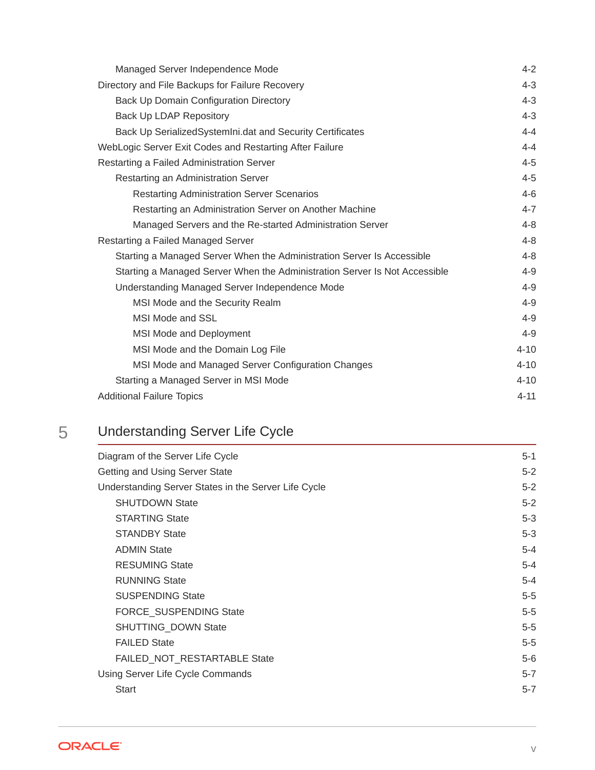| Managed Server Independence Mode                                           | $4 - 2$  |
|----------------------------------------------------------------------------|----------|
| Directory and File Backups for Failure Recovery                            | $4 - 3$  |
| Back Up Domain Configuration Directory                                     | $4 - 3$  |
| <b>Back Up LDAP Repository</b>                                             | $4 - 3$  |
| Back Up Serialized System Ini. dat and Security Certificates               | $4 - 4$  |
| WebLogic Server Exit Codes and Restarting After Failure                    | $4 - 4$  |
| Restarting a Failed Administration Server                                  | $4 - 5$  |
| Restarting an Administration Server                                        | $4 - 5$  |
| <b>Restarting Administration Server Scenarios</b>                          | $4 - 6$  |
| Restarting an Administration Server on Another Machine                     | $4 - 7$  |
| Managed Servers and the Re-started Administration Server                   | $4 - 8$  |
| Restarting a Failed Managed Server                                         | $4 - 8$  |
| Starting a Managed Server When the Administration Server Is Accessible     | $4 - 8$  |
| Starting a Managed Server When the Administration Server Is Not Accessible | $4 - 9$  |
| Understanding Managed Server Independence Mode                             | $4 - 9$  |
| MSI Mode and the Security Realm                                            | $4 - 9$  |
| MSI Mode and SSL                                                           | $4 - 9$  |
| MSI Mode and Deployment                                                    | $4 - 9$  |
| MSI Mode and the Domain Log File                                           | $4 - 10$ |
| MSI Mode and Managed Server Configuration Changes                          | $4 - 10$ |
| Starting a Managed Server in MSI Mode                                      | $4 - 10$ |
| <b>Additional Failure Topics</b>                                           | $4 - 11$ |

# 5 [Understanding Server Life Cycle](#page-59-0)

| Diagram of the Server Life Cycle                     | $5 - 1$ |
|------------------------------------------------------|---------|
| Getting and Using Server State                       | $5 - 2$ |
| Understanding Server States in the Server Life Cycle | $5 - 2$ |
| <b>SHUTDOWN State</b>                                | $5 - 2$ |
| <b>STARTING State</b>                                | $5 - 3$ |
| <b>STANDBY State</b>                                 | $5 - 3$ |
| <b>ADMIN State</b>                                   | $5 - 4$ |
| <b>RESUMING State</b>                                | $5 - 4$ |
| <b>RUNNING State</b>                                 | $5 - 4$ |
| <b>SUSPENDING State</b>                              | $5-5$   |
| <b>FORCE SUSPENDING State</b>                        | $5-5$   |
| SHUTTING_DOWN State                                  | $5-5$   |
| <b>FAILED State</b>                                  | $5-5$   |
| FAILED_NOT_RESTARTABLE State                         | $5-6$   |
| Using Server Life Cycle Commands                     | $5 - 7$ |
| <b>Start</b>                                         | $5 - 7$ |
|                                                      |         |

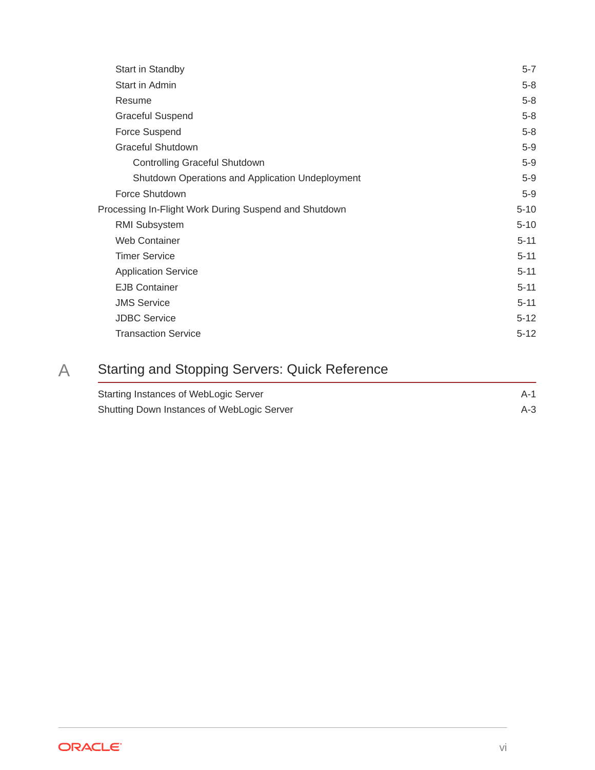| Start in Standby                                      | $5 - 7$  |
|-------------------------------------------------------|----------|
| Start in Admin                                        | $5-8$    |
| Resume                                                | $5-8$    |
| <b>Graceful Suspend</b>                               | $5-8$    |
| Force Suspend                                         | $5-8$    |
| <b>Graceful Shutdown</b>                              | $5-9$    |
| Controlling Graceful Shutdown                         | $5-9$    |
| Shutdown Operations and Application Undeployment      | $5-9$    |
| Force Shutdown                                        | $5-9$    |
| Processing In-Flight Work During Suspend and Shutdown | $5 - 10$ |
| RMI Subsystem                                         | $5 - 10$ |
| Web Container                                         | $5 - 11$ |
| <b>Timer Service</b>                                  | $5 - 11$ |
| <b>Application Service</b>                            | $5 - 11$ |
| <b>EJB Container</b>                                  | $5 - 11$ |
| <b>JMS Service</b>                                    | $5 - 11$ |
| <b>JDBC Service</b>                                   | $5 - 12$ |
| <b>Transaction Service</b>                            | $5 - 12$ |

# A [Starting and Stopping Servers: Quick Reference](#page-71-0)

| Starting Instances of WebLogic Server      | A-1   |
|--------------------------------------------|-------|
| Shutting Down Instances of WebLogic Server | $A-3$ |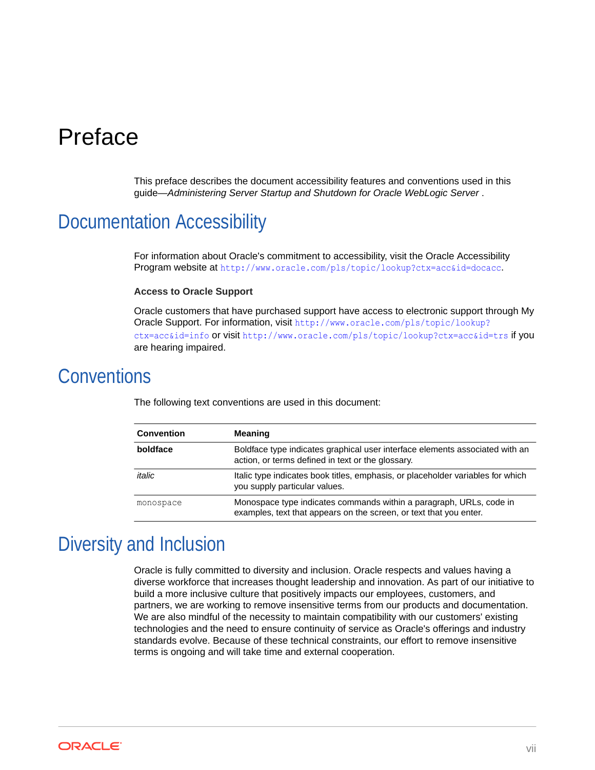# <span id="page-6-0"></span>Preface

This preface describes the document accessibility features and conventions used in this guide—*Administering Server Startup and Shutdown for Oracle WebLogic Server* .

### Documentation Accessibility

For information about Oracle's commitment to accessibility, visit the Oracle Accessibility Program website at <http://www.oracle.com/pls/topic/lookup?ctx=acc&id=docacc>.

#### **Access to Oracle Support**

Oracle customers that have purchased support have access to electronic support through My Oracle Support. For information, visit [http://www.oracle.com/pls/topic/lookup?](http://www.oracle.com/pls/topic/lookup?ctx=acc&id=info) [ctx=acc&id=info](http://www.oracle.com/pls/topic/lookup?ctx=acc&id=info) or visit <http://www.oracle.com/pls/topic/lookup?ctx=acc&id=trs> if you are hearing impaired.

### **Conventions**

| <b>Convention</b> | <b>Meaning</b>                                                                                                                            |
|-------------------|-------------------------------------------------------------------------------------------------------------------------------------------|
| boldface          | Boldface type indicates graphical user interface elements associated with an<br>action, or terms defined in text or the glossary.         |
| italic            | Italic type indicates book titles, emphasis, or placeholder variables for which<br>you supply particular values.                          |
| monospace         | Monospace type indicates commands within a paragraph, URLs, code in<br>examples, text that appears on the screen, or text that you enter. |

The following text conventions are used in this document:

## Diversity and Inclusion

Oracle is fully committed to diversity and inclusion. Oracle respects and values having a diverse workforce that increases thought leadership and innovation. As part of our initiative to build a more inclusive culture that positively impacts our employees, customers, and partners, we are working to remove insensitive terms from our products and documentation. We are also mindful of the necessity to maintain compatibility with our customers' existing technologies and the need to ensure continuity of service as Oracle's offerings and industry standards evolve. Because of these technical constraints, our effort to remove insensitive terms is ongoing and will take time and external cooperation.

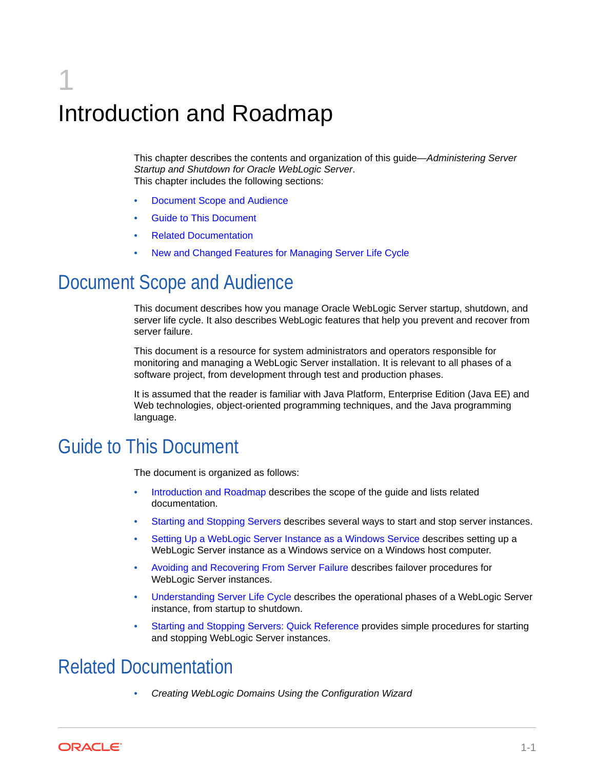# <span id="page-7-0"></span>1 Introduction and Roadmap

This chapter describes the contents and organization of this guide—*Administering Server Startup and Shutdown for Oracle WebLogic Server*. This chapter includes the following sections:

- Document Scope and Audience
- Guide to This Document
- Related Documentation
- [New and Changed Features for Managing Server Life Cycle](#page-8-0)

# Document Scope and Audience

This document describes how you manage Oracle WebLogic Server startup, shutdown, and server life cycle. It also describes WebLogic features that help you prevent and recover from server failure.

This document is a resource for system administrators and operators responsible for monitoring and managing a WebLogic Server installation. It is relevant to all phases of a software project, from development through test and production phases.

It is assumed that the reader is familiar with Java Platform, Enterprise Edition (Java EE) and Web technologies, object-oriented programming techniques, and the Java programming language.

### Guide to This Document

The document is organized as follows:

- Introduction and Roadmap describes the scope of the guide and lists related documentation.
- [Starting and Stopping Servers](#page-9-0) describes several ways to start and stop server instances.
- [Setting Up a WebLogic Server Instance as a Windows Service](#page-31-0) describes setting up a WebLogic Server instance as a Windows service on a Windows host computer.
- [Avoiding and Recovering From Server Failure](#page-48-0) describes failover procedures for WebLogic Server instances.
- [Understanding Server Life Cycle](#page-59-0) describes the operational phases of a WebLogic Server instance, from startup to shutdown.
- [Starting and Stopping Servers: Quick Reference](#page-71-0) provides simple procedures for starting and stopping WebLogic Server instances.

### Related Documentation

• *Creating WebLogic Domains Using the Configuration Wizard*

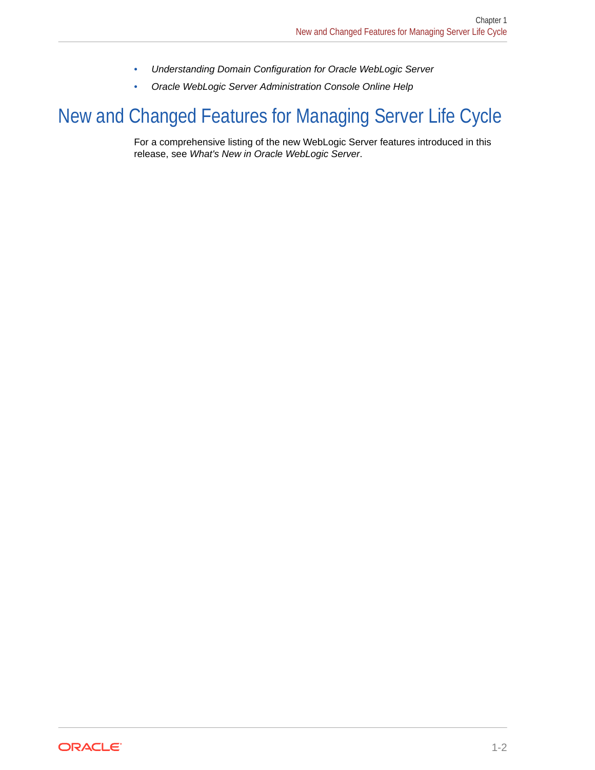- *Understanding Domain Configuration for Oracle WebLogic Server*
- *Oracle WebLogic Server Administration Console Online Help*

# <span id="page-8-0"></span>New and Changed Features for Managing Server Life Cycle

For a comprehensive listing of the new WebLogic Server features introduced in this release, see *What's New in Oracle WebLogic Server*.

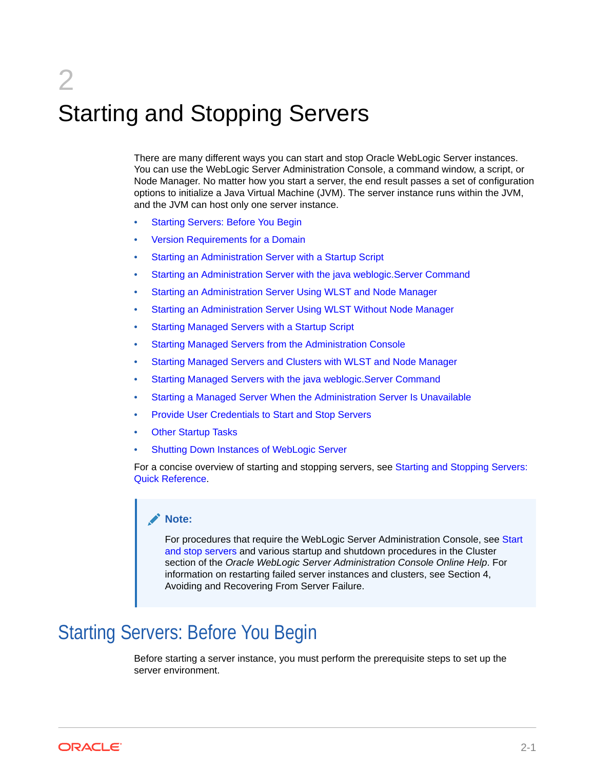# <span id="page-9-0"></span>2 Starting and Stopping Servers

There are many different ways you can start and stop Oracle WebLogic Server instances. You can use the WebLogic Server Administration Console, a command window, a script, or Node Manager. No matter how you start a server, the end result passes a set of configuration options to initialize a Java Virtual Machine (JVM). The server instance runs within the JVM, and the JVM can host only one server instance.

- **Starting Servers: Before You Begin**
- [Version Requirements for a Domain](#page-10-0)
- [Starting an Administration Server with a Startup Script](#page-10-0)
- [Starting an Administration Server with the java weblogic.Server Command](#page-12-0)
- [Starting an Administration Server Using WLST and Node Manager](#page-12-0)
- [Starting an Administration Server Using WLST Without Node Manager](#page-13-0)
- [Starting Managed Servers with a Startup Script](#page-13-0)
- [Starting Managed Servers from the Administration Console](#page-14-0)
- [Starting Managed Servers and Clusters with WLST and Node Manager](#page-15-0)
- [Starting Managed Servers with the java weblogic.Server Command](#page-15-0)
- [Starting a Managed Server When the Administration Server Is Unavailable](#page-15-0)
- [Provide User Credentials to Start and Stop Servers](#page-15-0)
- **[Other Startup Tasks](#page-22-0)**
- [Shutting Down Instances of WebLogic Server](#page-29-0)

For a concise overview of starting and stopping servers, see [Starting and Stopping Servers:](#page-71-0) [Quick Reference](#page-71-0).

#### **Note:**

For procedures that require the WebLogic Server Administration Console, see Start and stop servers and various startup and shutdown procedures in the Cluster section of the *Oracle WebLogic Server Administration Console Online Help*. For information on restarting failed server instances and clusters, see Section 4, Avoiding and Recovering From Server Failure.

# Starting Servers: Before You Begin

Before starting a server instance, you must perform the prerequisite steps to set up the server environment.

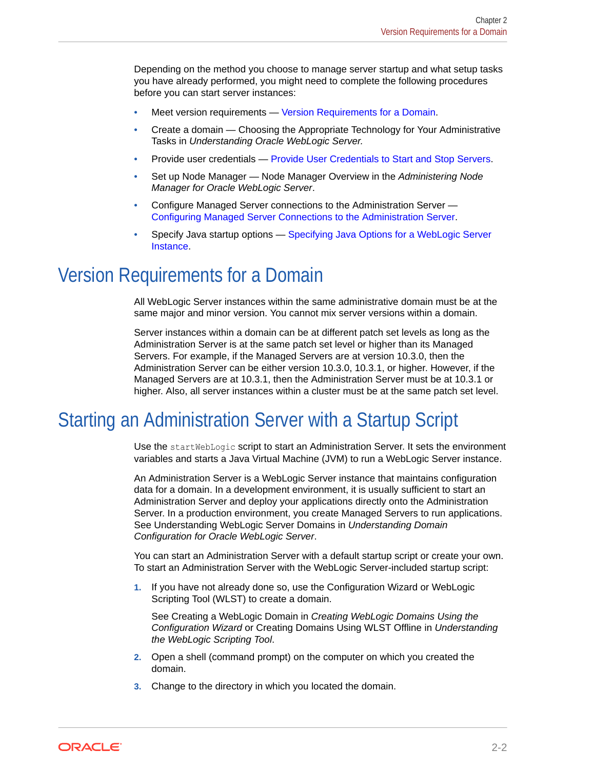<span id="page-10-0"></span>Depending on the method you choose to manage server startup and what setup tasks you have already performed, you might need to complete the following procedures before you can start server instances:

- Meet version requirements Version Requirements for a Domain.
- Create a domain Choosing the Appropriate Technology for Your Administrative Tasks in *Understanding Oracle WebLogic Server.*
- Provide user credentials [Provide User Credentials to Start and Stop Servers](#page-15-0).
- Set up Node Manager Node Manager Overview in the *Administering Node Manager for Oracle WebLogic Server*.
- Configure Managed Server connections to the Administration Server [Configuring Managed Server Connections to the Administration Server](#page-22-0).
- Specify Java startup options [Specifying Java Options for a WebLogic Server](#page-25-0) [Instance.](#page-25-0)

## Version Requirements for a Domain

All WebLogic Server instances within the same administrative domain must be at the same major and minor version. You cannot mix server versions within a domain.

Server instances within a domain can be at different patch set levels as long as the Administration Server is at the same patch set level or higher than its Managed Servers. For example, if the Managed Servers are at version 10.3.0, then the Administration Server can be either version 10.3.0, 10.3.1, or higher. However, if the Managed Servers are at 10.3.1, then the Administration Server must be at 10.3.1 or higher. Also, all server instances within a cluster must be at the same patch set level.

# Starting an Administration Server with a Startup Script

Use the startWebLogic script to start an Administration Server. It sets the environment variables and starts a Java Virtual Machine (JVM) to run a WebLogic Server instance.

An Administration Server is a WebLogic Server instance that maintains configuration data for a domain. In a development environment, it is usually sufficient to start an Administration Server and deploy your applications directly onto the Administration Server. In a production environment, you create Managed Servers to run applications. See Understanding WebLogic Server Domains in *Understanding Domain Configuration for Oracle WebLogic Server*.

You can start an Administration Server with a default startup script or create your own. To start an Administration Server with the WebLogic Server-included startup script:

**1.** If you have not already done so, use the Configuration Wizard or WebLogic Scripting Tool (WLST) to create a domain.

See Creating a WebLogic Domain in *Creating WebLogic Domains Using the Configuration Wizard* or Creating Domains Using WLST Offline in *Understanding the WebLogic Scripting Tool*.

- **2.** Open a shell (command prompt) on the computer on which you created the domain.
- **3.** Change to the directory in which you located the domain.

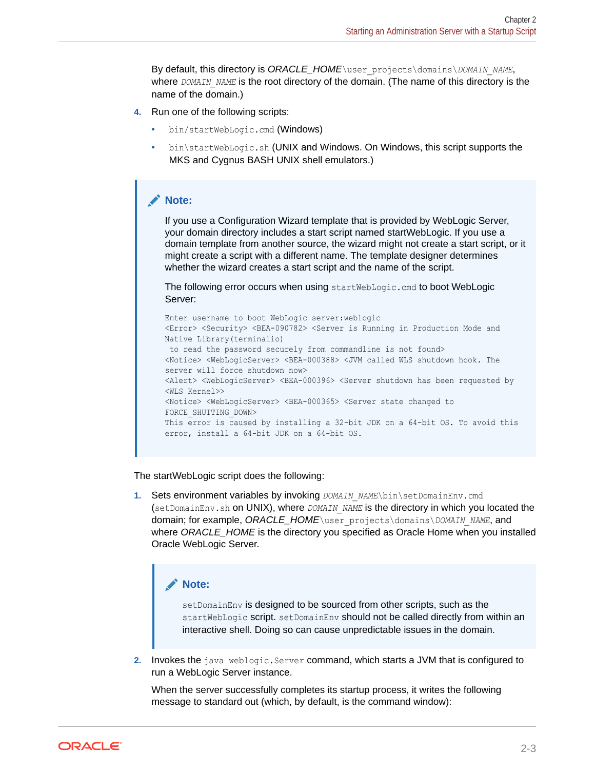By default, this directory is *ORACLE\_HOME*\user\_projects\domains\*DOMAIN\_NAME*, where *DOMAIN* NAME is the root directory of the domain. (The name of this directory is the name of the domain.)

- **4.** Run one of the following scripts:
	- bin/startWebLogic.cmd (Windows)
	- bin\startWebLogic.sh (UNIX and Windows. On Windows, this script supports the MKS and Cygnus BASH UNIX shell emulators.)

#### **Note:**

If you use a Configuration Wizard template that is provided by WebLogic Server, your domain directory includes a start script named startWebLogic. If you use a domain template from another source, the wizard might not create a start script, or it might create a script with a different name. The template designer determines whether the wizard creates a start script and the name of the script.

The following error occurs when using startWebLogic.cmd to boot WebLogic Server:

```
Enter username to boot WebLogic server:weblogic
<Error> <Security> <BEA-090782> <Server is Running in Production Mode and 
Native Library(terminalio)
 to read the password securely from commandline is not found>
<Notice> <WebLogicServer> <BEA-000388> <JVM called WLS shutdown hook. The 
server will force shutdown now>
<Alert> <WebLogicServer> <BEA-000396> <Server shutdown has been requested by
<WLS Kernel>>
<Notice> <WebLogicServer> <BEA-000365> <Server state changed to 
FORCE_SHUTTING_DOWN>
This error is caused by installing a 32-bit JDK on a 64-bit OS. To avoid this 
error, install a 64-bit JDK on a 64-bit OS.
```
The startWebLogic script does the following:

**1.** Sets environment variables by invoking *DOMAIN\_NAME*\bin\setDomainEnv.cmd (setDomainEnv.sh on UNIX), where *DOMAIN\_NAME* is the directory in which you located the domain; for example, *ORACLE\_HOME*\user\_projects\domains\*DOMAIN\_NAME*, and where *ORACLE\_HOME* is the directory you specified as Oracle Home when you installed Oracle WebLogic Server.



setDomainEnv is designed to be sourced from other scripts, such as the startWebLogic script. setDomainEnv should not be called directly from within an interactive shell. Doing so can cause unpredictable issues in the domain.

**2.** Invokes the java weblogic.Server command, which starts a JVM that is configured to run a WebLogic Server instance.

When the server successfully completes its startup process, it writes the following message to standard out (which, by default, is the command window):

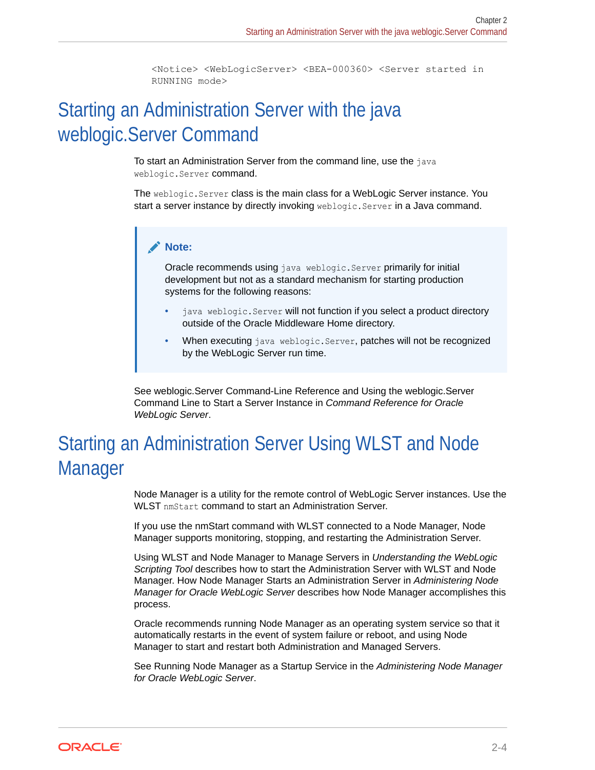```
<Notice> <WebLogicServer> <BEA-000360> <Server started in
RUNNING mode>
```
# <span id="page-12-0"></span>Starting an Administration Server with the java weblogic.Server Command

To start an Administration Server from the command line, use the java weblogic.Server command.

The weblogic.Server class is the main class for a WebLogic Server instance. You start a server instance by directly invoking weblogic. Server in a Java command.

#### **Note:**

Oracle recommends using java weblogic. Server primarily for initial development but not as a standard mechanism for starting production systems for the following reasons:

- java weblogic. Server will not function if you select a product directory outside of the Oracle Middleware Home directory.
- When executing java weblogic. Server, patches will not be recognized by the WebLogic Server run time.

See weblogic.Server Command-Line Reference and Using the weblogic.Server Command Line to Start a Server Instance in *Command Reference for Oracle WebLogic Server*.

# Starting an Administration Server Using WLST and Node Manager

Node Manager is a utility for the remote control of WebLogic Server instances. Use the WLST nmStart command to start an Administration Server.

If you use the nmStart command with WLST connected to a Node Manager, Node Manager supports monitoring, stopping, and restarting the Administration Server.

Using WLST and Node Manager to Manage Servers in *Understanding the WebLogic Scripting Tool* describes how to start the Administration Server with WLST and Node Manager. How Node Manager Starts an Administration Server in *Administering Node Manager for Oracle WebLogic Server* describes how Node Manager accomplishes this process.

Oracle recommends running Node Manager as an operating system service so that it automatically restarts in the event of system failure or reboot, and using Node Manager to start and restart both Administration and Managed Servers.

See Running Node Manager as a Startup Service in the *Administering Node Manager for Oracle WebLogic Server*.

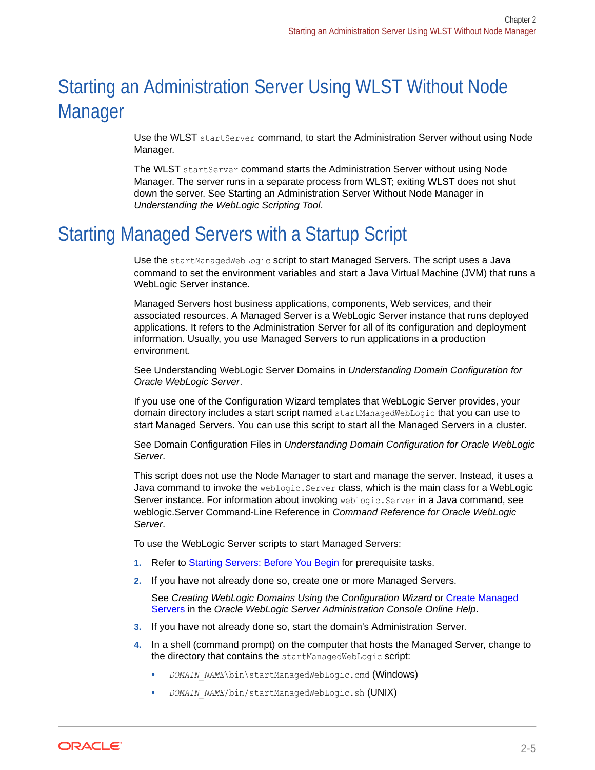# <span id="page-13-0"></span>Starting an Administration Server Using WLST Without Node Manager

Use the WLST startServer command, to start the Administration Server without using Node Manager.

The WLST startServer command starts the Administration Server without using Node Manager. The server runs in a separate process from WLST; exiting WLST does not shut down the server. See Starting an Administration Server Without Node Manager in *Understanding the WebLogic Scripting Tool*.

# Starting Managed Servers with a Startup Script

Use the startManagedWebLogic script to start Managed Servers. The script uses a Java command to set the environment variables and start a Java Virtual Machine (JVM) that runs a WebLogic Server instance.

Managed Servers host business applications, components, Web services, and their associated resources. A Managed Server is a WebLogic Server instance that runs deployed applications. It refers to the Administration Server for all of its configuration and deployment information. Usually, you use Managed Servers to run applications in a production environment.

See Understanding WebLogic Server Domains in *Understanding Domain Configuration for Oracle WebLogic Server*.

If you use one of the Configuration Wizard templates that WebLogic Server provides, your domain directory includes a start script named startManagedWebLogic that you can use to start Managed Servers. You can use this script to start all the Managed Servers in a cluster.

See Domain Configuration Files in *Understanding Domain Configuration for Oracle WebLogic Server*.

This script does not use the Node Manager to start and manage the server. Instead, it uses a Java command to invoke the weblogic.Server class, which is the main class for a WebLogic Server instance. For information about invoking weblogic.Server in a Java command, see weblogic.Server Command-Line Reference in *Command Reference for Oracle WebLogic Server*.

To use the WebLogic Server scripts to start Managed Servers:

- **1.** Refer to [Starting Servers: Before You Begin](#page-9-0) for prerequisite tasks.
- **2.** If you have not already done so, create one or more Managed Servers.

See *Creating WebLogic Domains Using the Configuration Wizard* or Create Managed Servers in the *Oracle WebLogic Server Administration Console Online Help*.

- **3.** If you have not already done so, start the domain's Administration Server.
- **4.** In a shell (command prompt) on the computer that hosts the Managed Server, change to the directory that contains the startManagedWebLogic script:
	- *DOMAIN NAME*\bin\startManagedWebLogic.cmd (Windows)
	- *DOMAIN\_NAME*/bin/startManagedWebLogic.sh (UNIX)

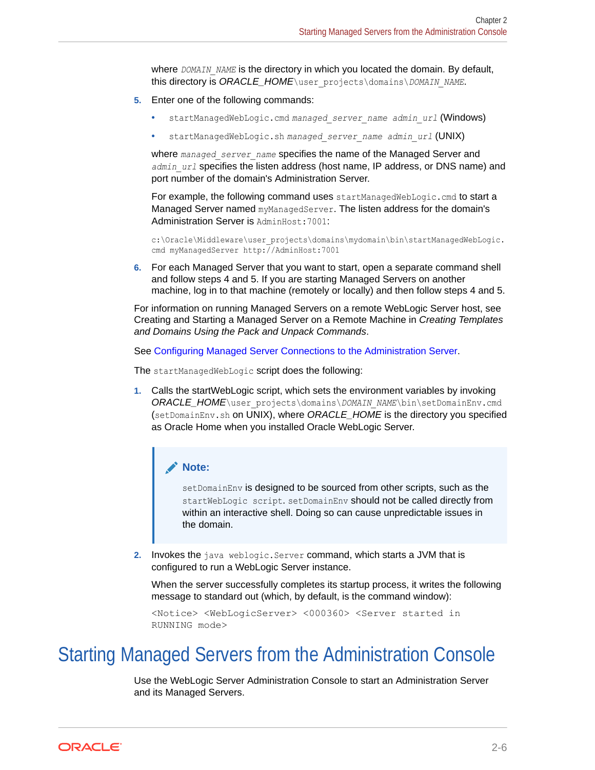<span id="page-14-0"></span>where *DOMAIN\_NAME* is the directory in which you located the domain. By default, this directory is *ORACLE\_HOME*\user\_projects\domains\*DOMAIN\_NAME*.

- **5.** Enter one of the following commands:
	- startManagedWebLogic.cmd *managed\_server\_name admin\_url* (Windows)
	- startManagedWebLogic.sh *managed\_server\_name admin\_url* (UNIX)

where managed server name specifies the name of the Managed Server and *admin\_url* specifies the listen address (host name, IP address, or DNS name) and port number of the domain's Administration Server.

For example, the following command uses startManagedWebLogic.cmd to start a Managed Server named myManagedServer. The listen address for the domain's Administration Server is AdminHost: 7001:

c:\Oracle\Middleware\user\_projects\domains\mydomain\bin\startManagedWebLogic. cmd myManagedServer http://AdminHost:7001

**6.** For each Managed Server that you want to start, open a separate command shell and follow steps 4 and 5. If you are starting Managed Servers on another machine, log in to that machine (remotely or locally) and then follow steps 4 and 5.

For information on running Managed Servers on a remote WebLogic Server host, see Creating and Starting a Managed Server on a Remote Machine in *Creating Templates and Domains Using the Pack and Unpack Commands*.

See [Configuring Managed Server Connections to the Administration Server.](#page-22-0)

The startManagedWebLogic script does the following:

**1.** Calls the startWebLogic script, which sets the environment variables by invoking *ORACLE\_HOME*\user\_projects\domains\*DOMAIN\_NAME*\bin\setDomainEnv.cmd (setDomainEnv.sh on UNIX), where *ORACLE\_HOME* is the directory you specified as Oracle Home when you installed Oracle WebLogic Server.

#### **Note:**

setDomainEnv is designed to be sourced from other scripts, such as the startWebLogic script. setDomainEnv should not be called directly from within an interactive shell. Doing so can cause unpredictable issues in the domain.

**2.** Invokes the java weblogic. Server command, which starts a JVM that is configured to run a WebLogic Server instance.

When the server successfully completes its startup process, it writes the following message to standard out (which, by default, is the command window):

```
<Notice> <WebLogicServer> <000360> <Server started in
RUNNING mode>
```
## Starting Managed Servers from the Administration Console

Use the WebLogic Server Administration Console to start an Administration Server and its Managed Servers.

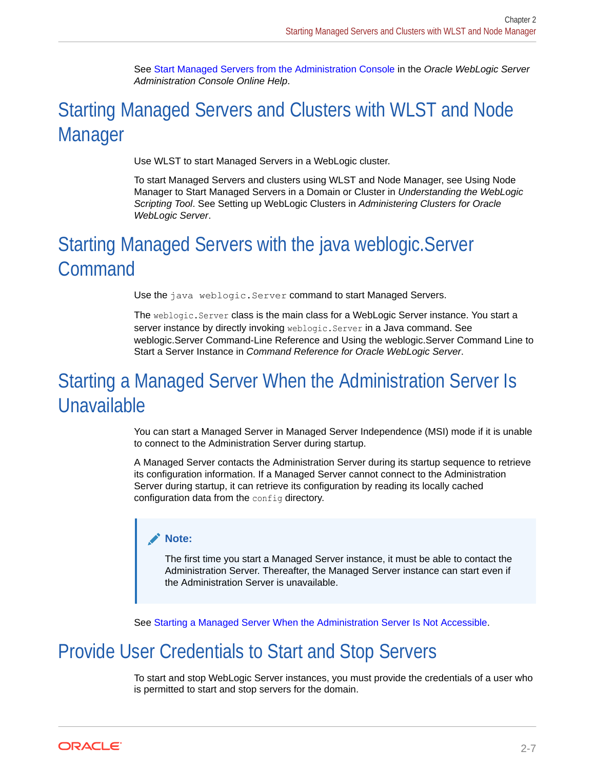See Start Managed Servers from the Administration Console in the *Oracle WebLogic Server Administration Console Online Help*.

# <span id="page-15-0"></span>Starting Managed Servers and Clusters with WLST and Node Manager

Use WLST to start Managed Servers in a WebLogic cluster.

To start Managed Servers and clusters using WLST and Node Manager, see Using Node Manager to Start Managed Servers in a Domain or Cluster in *Understanding the WebLogic Scripting Tool*. See Setting up WebLogic Clusters in *Administering Clusters for Oracle WebLogic Server*.

# Starting Managed Servers with the java weblogic.Server Command

Use the java weblogic. Server command to start Managed Servers.

The weblogic.Server class is the main class for a WebLogic Server instance. You start a server instance by directly invoking weblogic.Server in a Java command. See weblogic.Server Command-Line Reference and Using the weblogic.Server Command Line to Start a Server Instance in *Command Reference for Oracle WebLogic Server*.

# Starting a Managed Server When the Administration Server Is Unavailable

You can start a Managed Server in Managed Server Independence (MSI) mode if it is unable to connect to the Administration Server during startup.

A Managed Server contacts the Administration Server during its startup sequence to retrieve its configuration information. If a Managed Server cannot connect to the Administration Server during startup, it can retrieve its configuration by reading its locally cached configuration data from the config directory.

#### **Note:**

The first time you start a Managed Server instance, it must be able to contact the Administration Server. Thereafter, the Managed Server instance can start even if the Administration Server is unavailable.

See [Starting a Managed Server When the Administration Server Is Not Accessible.](#page-56-0)

# Provide User Credentials to Start and Stop Servers

To start and stop WebLogic Server instances, you must provide the credentials of a user who is permitted to start and stop servers for the domain.

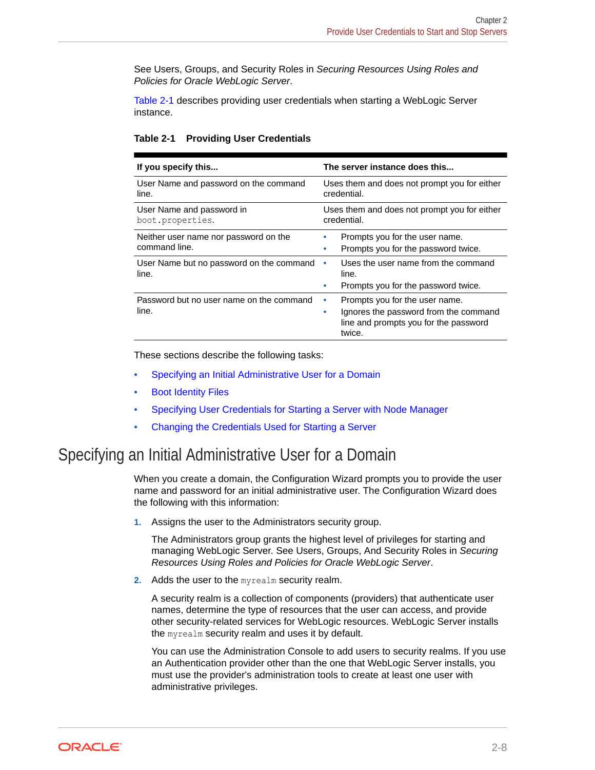<span id="page-16-0"></span>See Users, Groups, and Security Roles in *Securing Resources Using Roles and Policies for Oracle WebLogic Server*.

Table 2-1 describes providing user credentials when starting a WebLogic Server instance.

|  | Table 2-1 |  |  | <b>Providing User Credentials</b> |
|--|-----------|--|--|-----------------------------------|
|--|-----------|--|--|-----------------------------------|

| If you specify this                                    | The server instance does this                                                                                                        |
|--------------------------------------------------------|--------------------------------------------------------------------------------------------------------------------------------------|
| User Name and password on the command<br>line.         | Uses them and does not prompt you for either<br>credential.                                                                          |
| User Name and password in<br>boot.properties.          | Uses them and does not prompt you for either<br>credential.                                                                          |
| Neither user name nor password on the<br>command line. | Prompts you for the user name.<br>Prompts you for the password twice.<br>۰                                                           |
| User Name but no password on the command<br>line.      | Uses the user name from the command<br>٠<br>line.<br>Prompts you for the password twice.                                             |
| Password but no user name on the command<br>line.      | Prompts you for the user name.<br>۰<br>Ignores the password from the command<br>۰<br>line and prompts you for the password<br>twice. |

These sections describe the following tasks:

- Specifying an Initial Administrative User for a Domain
- [Boot Identity Files](#page-17-0)
- [Specifying User Credentials for Starting a Server with Node Manager](#page-21-0)
- [Changing the Credentials Used for Starting a Server](#page-22-0)

### Specifying an Initial Administrative User for a Domain

When you create a domain, the Configuration Wizard prompts you to provide the user name and password for an initial administrative user. The Configuration Wizard does the following with this information:

**1.** Assigns the user to the Administrators security group.

The Administrators group grants the highest level of privileges for starting and managing WebLogic Server. See Users, Groups, And Security Roles in *Securing Resources Using Roles and Policies for Oracle WebLogic Server*.

**2.** Adds the user to the myrealm security realm.

A security realm is a collection of components (providers) that authenticate user names, determine the type of resources that the user can access, and provide other security-related services for WebLogic resources. WebLogic Server installs the myrealm security realm and uses it by default.

You can use the Administration Console to add users to security realms. If you use an Authentication provider other than the one that WebLogic Server installs, you must use the provider's administration tools to create at least one user with administrative privileges.

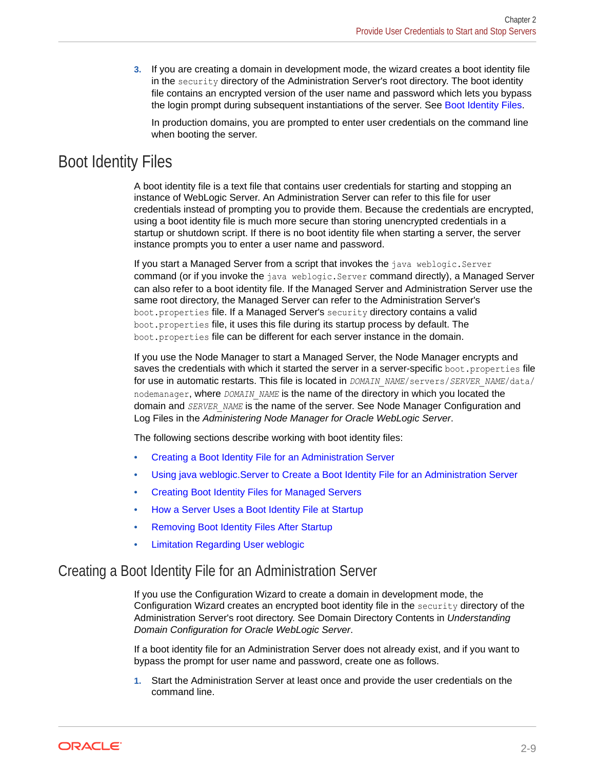<span id="page-17-0"></span>**3.** If you are creating a domain in development mode, the wizard creates a boot identity file in the security directory of the Administration Server's root directory. The boot identity file contains an encrypted version of the user name and password which lets you bypass the login prompt during subsequent instantiations of the server. See Boot Identity Files.

In production domains, you are prompted to enter user credentials on the command line when booting the server.

### Boot Identity Files

A boot identity file is a text file that contains user credentials for starting and stopping an instance of WebLogic Server. An Administration Server can refer to this file for user credentials instead of prompting you to provide them. Because the credentials are encrypted, using a boot identity file is much more secure than storing unencrypted credentials in a startup or shutdown script. If there is no boot identity file when starting a server, the server instance prompts you to enter a user name and password.

If you start a Managed Server from a script that invokes the java weblogic.Server command (or if you invoke the java weblogic.Server command directly), a Managed Server can also refer to a boot identity file. If the Managed Server and Administration Server use the same root directory, the Managed Server can refer to the Administration Server's boot.properties file. If a Managed Server's security directory contains a valid boot.properties file, it uses this file during its startup process by default. The boot.properties file can be different for each server instance in the domain.

If you use the Node Manager to start a Managed Server, the Node Manager encrypts and saves the credentials with which it started the server in a server-specific boot.properties file for use in automatic restarts. This file is located in *DOMAIN\_NAME*/servers/*SERVER\_NAME*/data/ nodemanager, where *DOMAIN\_NAME* is the name of the directory in which you located the domain and *SERVER\_NAME* is the name of the server. See Node Manager Configuration and Log Files in the *Administering Node Manager for Oracle WebLogic Server*.

The following sections describe working with boot identity files:

- Creating a Boot Identity File for an Administration Server
- [Using java weblogic.Server to Create a Boot Identity File for an Administration Server](#page-18-0)
- [Creating Boot Identity Files for Managed Servers](#page-19-0)
- [How a Server Uses a Boot Identity File at Startup](#page-19-0)
- [Removing Boot Identity Files After Startup](#page-20-0)
- [Limitation Regarding User weblogic](#page-21-0)

#### Creating a Boot Identity File for an Administration Server

If you use the Configuration Wizard to create a domain in development mode, the Configuration Wizard creates an encrypted boot identity file in the security directory of the Administration Server's root directory. See Domain Directory Contents in *Understanding Domain Configuration for Oracle WebLogic Server*.

If a boot identity file for an Administration Server does not already exist, and if you want to bypass the prompt for user name and password, create one as follows.

**1.** Start the Administration Server at least once and provide the user credentials on the command line.

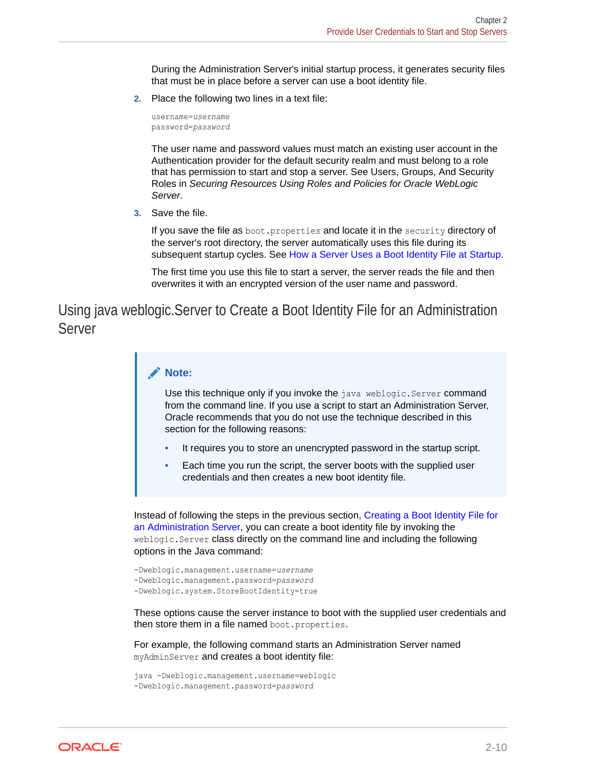During the Administration Server's initial startup process, it generates security files that must be in place before a server can use a boot identity file.

<span id="page-18-0"></span>**2.** Place the following two lines in a text file:

```
username=username
password=password
```
The user name and password values must match an existing user account in the Authentication provider for the default security realm and must belong to a role that has permission to start and stop a server. See Users, Groups, And Security Roles in *Securing Resources Using Roles and Policies for Oracle WebLogic Server*.

**3.** Save the file.

If you save the file as boot.properties and locate it in the security directory of the server's root directory, the server automatically uses this file during its subsequent startup cycles. See [How a Server Uses a Boot Identity File at Startup.](#page-19-0)

The first time you use this file to start a server, the server reads the file and then overwrites it with an encrypted version of the user name and password.

Using java weblogic.Server to Create a Boot Identity File for an Administration Server

#### **Note:**

Use this technique only if you invoke the java weblogic. Server command from the command line. If you use a script to start an Administration Server, Oracle recommends that you do not use the technique described in this section for the following reasons:

- It requires you to store an unencrypted password in the startup script.
- Each time you run the script, the server boots with the supplied user credentials and then creates a new boot identity file.

Instead of following the steps in the previous section, [Creating a Boot Identity File for](#page-17-0) [an Administration Server](#page-17-0), you can create a boot identity file by invoking the weblogic. Server class directly on the command line and including the following options in the Java command:

```
-Dweblogic.management.username=username
-Dweblogic.management.password=password
-Dweblogic.system.StoreBootIdentity=true
```
These options cause the server instance to boot with the supplied user credentials and then store them in a file named boot.properties.

For example, the following command starts an Administration Server named myAdminServer and creates a boot identity file:

```
java -Dweblogic.management.username=weblogic
-Dweblogic.management.password=password
```
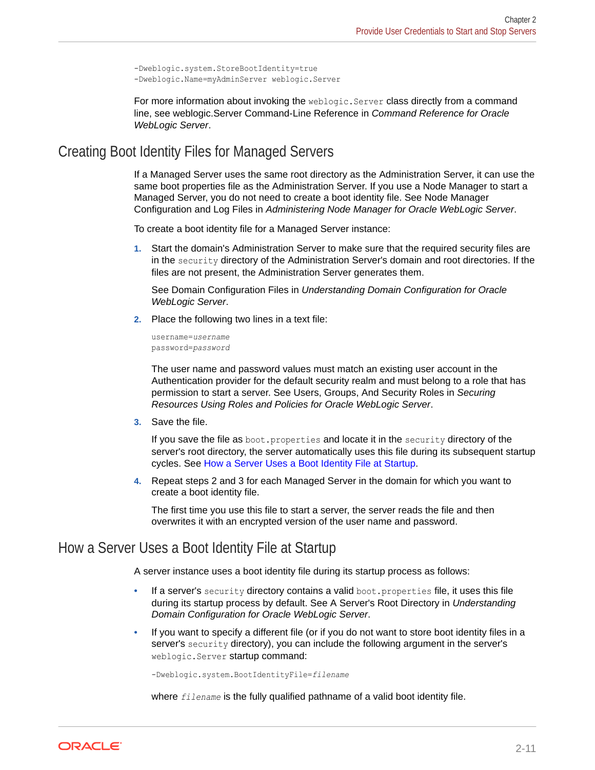```
-Dweblogic.system.StoreBootIdentity=true
-Dweblogic.Name=myAdminServer weblogic.Server
```
For more information about invoking the weblogic. Server class directly from a command line, see weblogic.Server Command-Line Reference in *Command Reference for Oracle WebLogic Server*.

#### Creating Boot Identity Files for Managed Servers

If a Managed Server uses the same root directory as the Administration Server, it can use the same boot properties file as the Administration Server. If you use a Node Manager to start a Managed Server, you do not need to create a boot identity file. See Node Manager Configuration and Log Files in *Administering Node Manager for Oracle WebLogic Server*.

To create a boot identity file for a Managed Server instance:

**1.** Start the domain's Administration Server to make sure that the required security files are in the security directory of the Administration Server's domain and root directories. If the files are not present, the Administration Server generates them.

See Domain Configuration Files in *Understanding Domain Configuration for Oracle WebLogic Server*.

**2.** Place the following two lines in a text file:

```
username=username
password=password
```
The user name and password values must match an existing user account in the Authentication provider for the default security realm and must belong to a role that has permission to start a server. See Users, Groups, And Security Roles in *Securing Resources Using Roles and Policies for Oracle WebLogic Server*.

**3.** Save the file.

If you save the file as boot.properties and locate it in the security directory of the server's root directory, the server automatically uses this file during its subsequent startup cycles. See How a Server Uses a Boot Identity File at Startup.

**4.** Repeat steps 2 and 3 for each Managed Server in the domain for which you want to create a boot identity file.

The first time you use this file to start a server, the server reads the file and then overwrites it with an encrypted version of the user name and password.

#### How a Server Uses a Boot Identity File at Startup

A server instance uses a boot identity file during its startup process as follows:

- If a server's security directory contains a valid boot.properties file, it uses this file during its startup process by default. See A Server's Root Directory in *Understanding Domain Configuration for Oracle WebLogic Server*.
- If you want to specify a different file (or if you do not want to store boot identity files in a server's security directory), you can include the following argument in the server's weblogic.Server startup command:

-Dweblogic.system.BootIdentityFile=*filename*

where *filename* is the fully qualified pathname of a valid boot identity file.

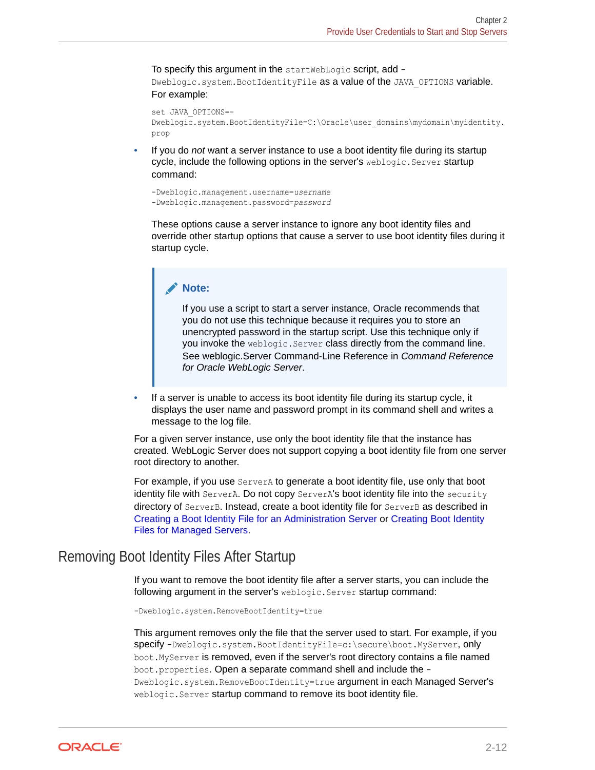<span id="page-20-0"></span>To specify this argument in the startWebLogic script, add - Dweblogic.system.BootIdentityFile as a value of the JAVA OPTIONS variable. For example:

```
set JAVA_OPTIONS=-
Dweblogic.system.BootIdentityFile=C:\Oracle\user_domains\mydomain\myidentity.
prop
```
• If you do *not* want a server instance to use a boot identity file during its startup cycle, include the following options in the server's weblogic. Server startup command:

```
-Dweblogic.management.username=username
-Dweblogic.management.password=password
```
These options cause a server instance to ignore any boot identity files and override other startup options that cause a server to use boot identity files during it startup cycle.

#### **Note:**

If you use a script to start a server instance, Oracle recommends that you do not use this technique because it requires you to store an unencrypted password in the startup script. Use this technique only if you invoke the weblogic.Server class directly from the command line. See weblogic.Server Command-Line Reference in *Command Reference for Oracle WebLogic Server*.

• If a server is unable to access its boot identity file during its startup cycle, it displays the user name and password prompt in its command shell and writes a message to the log file.

For a given server instance, use only the boot identity file that the instance has created. WebLogic Server does not support copying a boot identity file from one server root directory to another.

For example, if you use ServerA to generate a boot identity file, use only that boot identity file with ServerA. Do not copy ServerA's boot identity file into the security directory of ServerB. Instead, create a boot identity file for ServerB as described in [Creating a Boot Identity File for an Administration Server](#page-17-0) or [Creating Boot Identity](#page-19-0) [Files for Managed Servers](#page-19-0).

#### Removing Boot Identity Files After Startup

If you want to remove the boot identity file after a server starts, you can include the following argument in the server's weblogic. Server startup command:

-Dweblogic.system.RemoveBootIdentity=true

This argument removes only the file that the server used to start. For example, if you specify -Dweblogic.system.BootIdentityFile=c:\secure\boot.MyServer, only boot.MyServer is removed, even if the server's root directory contains a file named boot.properties. Open a separate command shell and include the - Dweblogic.system.RemoveBootIdentity=true argument in each Managed Server's weblogic. Server startup command to remove its boot identity file.

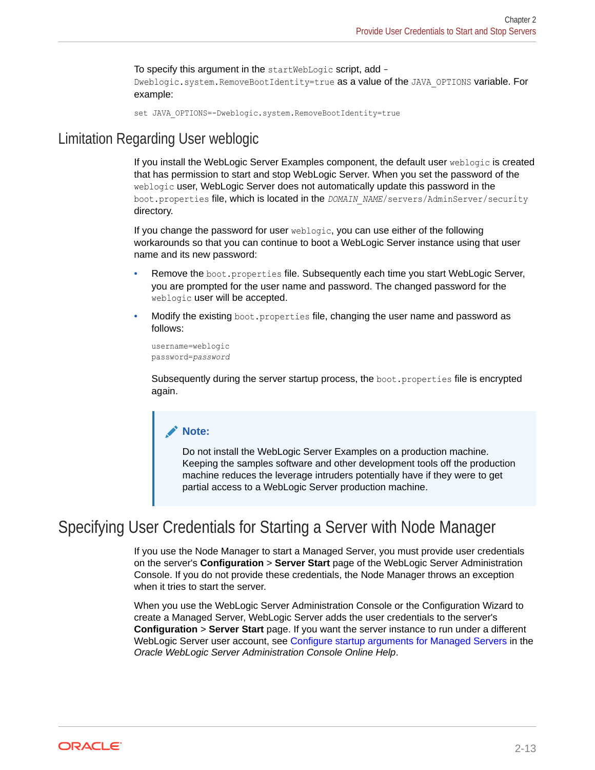To specify this argument in the startWebLogic script, add -Dweblogic.system.RemoveBootIdentity=true as a value of the JAVA\_OPTIONS variable. For example:

```
set JAVA_OPTIONS=-Dweblogic.system.RemoveBootIdentity=true
```
### <span id="page-21-0"></span>Limitation Regarding User weblogic

If you install the WebLogic Server Examples component, the default user weblogic is created that has permission to start and stop WebLogic Server. When you set the password of the weblogic user, WebLogic Server does not automatically update this password in the boot.properties file, which is located in the *DOMAIN\_NAME*/servers/AdminServer/security directory.

If you change the password for user weblogic, you can use either of the following workarounds so that you can continue to boot a WebLogic Server instance using that user name and its new password:

- Remove the boot.properties file. Subsequently each time you start WebLogic Server, you are prompted for the user name and password. The changed password for the weblogic user will be accepted.
- Modify the existing boot.properties file, changing the user name and password as follows:

```
username=weblogic
password=password
```
Subsequently during the server startup process, the boot.properties file is encrypted again.

#### **Note:**

Do not install the WebLogic Server Examples on a production machine. Keeping the samples software and other development tools off the production machine reduces the leverage intruders potentially have if they were to get partial access to a WebLogic Server production machine.

### Specifying User Credentials for Starting a Server with Node Manager

If you use the Node Manager to start a Managed Server, you must provide user credentials on the server's **Configuration** > **Server Start** page of the WebLogic Server Administration Console. If you do not provide these credentials, the Node Manager throws an exception when it tries to start the server.

When you use the WebLogic Server Administration Console or the Configuration Wizard to create a Managed Server, WebLogic Server adds the user credentials to the server's **Configuration** > **Server Start** page. If you want the server instance to run under a different WebLogic Server user account, see Configure startup arguments for Managed Servers in the *Oracle WebLogic Server Administration Console Online Help*.

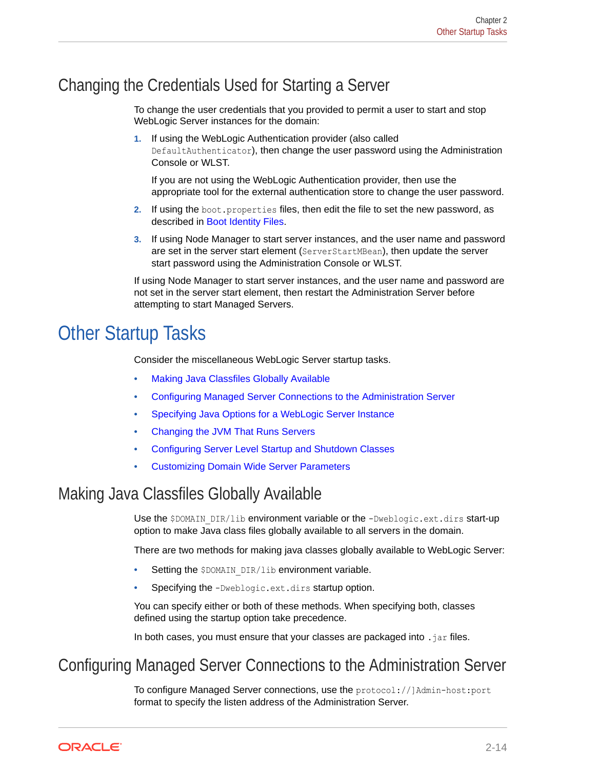### <span id="page-22-0"></span>Changing the Credentials Used for Starting a Server

To change the user credentials that you provided to permit a user to start and stop WebLogic Server instances for the domain:

**1.** If using the WebLogic Authentication provider (also called DefaultAuthenticator), then change the user password using the Administration Console or WLST.

If you are not using the WebLogic Authentication provider, then use the appropriate tool for the external authentication store to change the user password.

- **2.** If using the boot.properties files, then edit the file to set the new password, as described in [Boot Identity Files](#page-17-0).
- **3.** If using Node Manager to start server instances, and the user name and password are set in the server start element (ServerStartMBean), then update the server start password using the Administration Console or WLST.

If using Node Manager to start server instances, and the user name and password are not set in the server start element, then restart the Administration Server before attempting to start Managed Servers.

# **Other Startup Tasks**

Consider the miscellaneous WebLogic Server startup tasks.

- Making Java Classfiles Globally Available
- Configuring Managed Server Connections to the Administration Server
- [Specifying Java Options for a WebLogic Server Instance](#page-25-0)
- [Changing the JVM That Runs Servers](#page-25-0)
- [Configuring Server Level Startup and Shutdown Classes](#page-26-0)
- [Customizing Domain Wide Server Parameters](#page-27-0)

### Making Java Classfiles Globally Available

Use the \$DOMAIN\_DIR/lib environment variable or the -Dweblogic.ext.dirs start-up option to make Java class files globally available to all servers in the domain.

There are two methods for making java classes globally available to WebLogic Server:

- Setting the \$DOMAIN DIR/lib environment variable.
- Specifying the -Dweblogic.ext.dirs startup option.

You can specify either or both of these methods. When specifying both, classes defined using the startup option take precedence.

In both cases, you must ensure that your classes are packaged into  $\cdot$  jar files.

### Configuring Managed Server Connections to the Administration Server

To configure Managed Server connections, use the protocol://]Admin-host:port format to specify the listen address of the Administration Server.

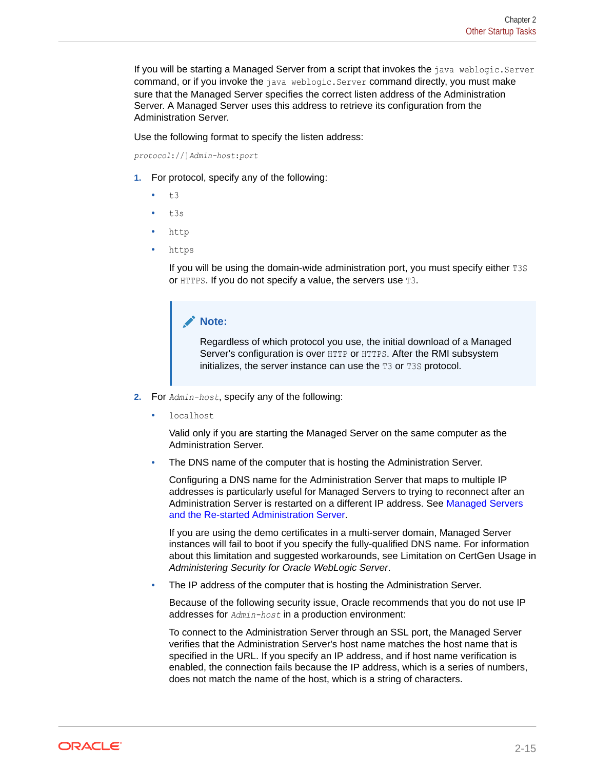If you will be starting a Managed Server from a script that invokes the java weblogic.Server command, or if you invoke the java weblogic.Server command directly, you must make sure that the Managed Server specifies the correct listen address of the Administration Server. A Managed Server uses this address to retrieve its configuration from the Administration Server.

Use the following format to specify the listen address:

*protocol*://]*Admin-host*:*port*

- **1.** For protocol, specify any of the following:
	- t3
	- t3s
	- http
	- https

If you will be using the domain-wide administration port, you must specify either T3S or HTTPS. If you do not specify a value, the servers use T3.

#### **Note:**

Regardless of which protocol you use, the initial download of a Managed Server's configuration is over HTTP or HTTPS. After the RMI subsystem initializes, the server instance can use the  $T3$  or  $T3S$  protocol.

- **2.** For *Admin-host*, specify any of the following:
	- localhost

Valid only if you are starting the Managed Server on the same computer as the Administration Server.

The DNS name of the computer that is hosting the Administration Server.

Configuring a DNS name for the Administration Server that maps to multiple IP addresses is particularly useful for Managed Servers to trying to reconnect after an Administration Server is restarted on a different IP address. See [Managed Servers](#page-55-0) [and the Re-started Administration Server](#page-55-0).

If you are using the demo certificates in a multi-server domain, Managed Server instances will fail to boot if you specify the fully-qualified DNS name. For information about this limitation and suggested workarounds, see Limitation on CertGen Usage in *Administering Security for Oracle WebLogic Server*.

The IP address of the computer that is hosting the Administration Server.

Because of the following security issue, Oracle recommends that you do not use IP addresses for *Admin-host* in a production environment:

To connect to the Administration Server through an SSL port, the Managed Server verifies that the Administration Server's host name matches the host name that is specified in the URL. If you specify an IP address, and if host name verification is enabled, the connection fails because the IP address, which is a series of numbers, does not match the name of the host, which is a string of characters.

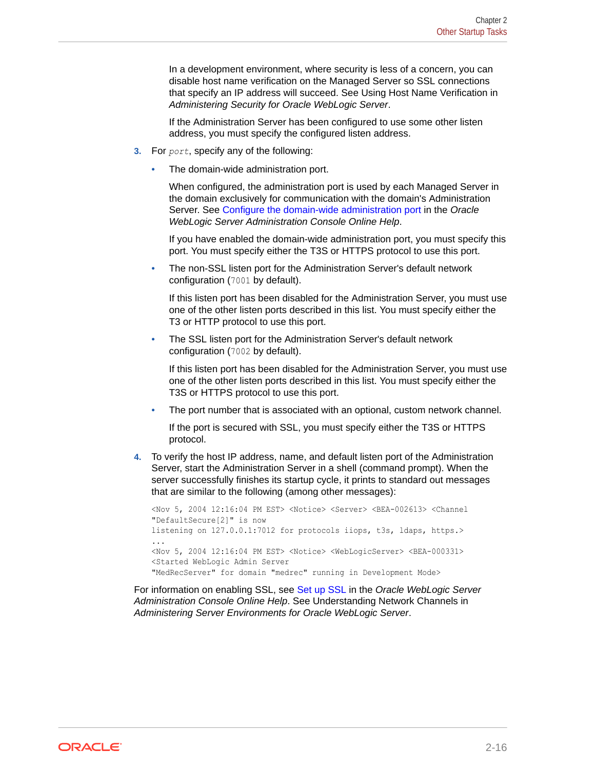In a development environment, where security is less of a concern, you can disable host name verification on the Managed Server so SSL connections that specify an IP address will succeed. See Using Host Name Verification in *Administering Security for Oracle WebLogic Server*.

If the Administration Server has been configured to use some other listen address, you must specify the configured listen address.

- **3.** For *port*, specify any of the following:
	- The domain-wide administration port.

When configured, the administration port is used by each Managed Server in the domain exclusively for communication with the domain's Administration Server. See Configure the domain-wide administration port in the *Oracle WebLogic Server Administration Console Online Help*.

If you have enabled the domain-wide administration port, you must specify this port. You must specify either the T3S or HTTPS protocol to use this port.

• The non-SSL listen port for the Administration Server's default network configuration (7001 by default).

If this listen port has been disabled for the Administration Server, you must use one of the other listen ports described in this list. You must specify either the T3 or HTTP protocol to use this port.

The SSL listen port for the Administration Server's default network configuration (7002 by default).

If this listen port has been disabled for the Administration Server, you must use one of the other listen ports described in this list. You must specify either the T3S or HTTPS protocol to use this port.

• The port number that is associated with an optional, custom network channel.

If the port is secured with SSL, you must specify either the T3S or HTTPS protocol.

**4.** To verify the host IP address, name, and default listen port of the Administration Server, start the Administration Server in a shell (command prompt). When the server successfully finishes its startup cycle, it prints to standard out messages that are similar to the following (among other messages):

<Nov 5, 2004 12:16:04 PM EST> <Notice> <Server> <BEA-002613> <Channel "DefaultSecure[2]" is now listening on 127.0.0.1:7012 for protocols iiops, t3s, ldaps, https.> ... <Nov 5, 2004 12:16:04 PM EST> <Notice> <WebLogicServer> <BEA-000331> <Started WebLogic Admin Server "MedRecServer" for domain "medrec" running in Development Mode>

For information on enabling SSL, see Set up SSL in the *Oracle WebLogic Server Administration Console Online Help*. See Understanding Network Channels in *Administering Server Environments for Oracle WebLogic Server*.

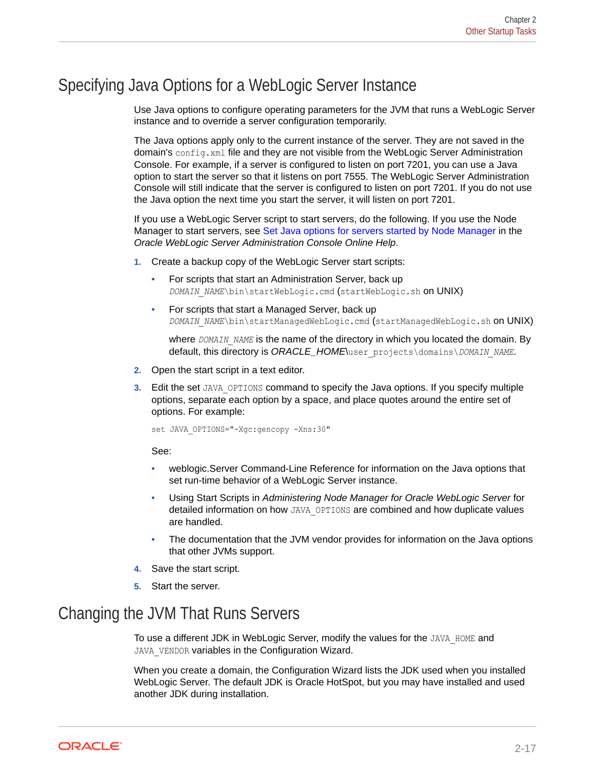### <span id="page-25-0"></span>Specifying Java Options for a WebLogic Server Instance

Use Java options to configure operating parameters for the JVM that runs a WebLogic Server instance and to override a server configuration temporarily.

The Java options apply only to the current instance of the server. They are not saved in the domain's config.xml file and they are not visible from the WebLogic Server Administration Console. For example, if a server is configured to listen on port 7201, you can use a Java option to start the server so that it listens on port 7555. The WebLogic Server Administration Console will still indicate that the server is configured to listen on port 7201. If you do not use the Java option the next time you start the server, it will listen on port 7201.

If you use a WebLogic Server script to start servers, do the following. If you use the Node Manager to start servers, see Set Java options for servers started by Node Manager in the *Oracle WebLogic Server Administration Console Online Help*.

- **1.** Create a backup copy of the WebLogic Server start scripts:
	- For scripts that start an Administration Server, back up *DOMAIN\_NAME\bin\startWebLogic.cmd* (startWebLogic.sh on UNIX)
	- For scripts that start a Managed Server, back up *DOMAIN\_NAME*\bin\startManagedWebLogic.cmd (startManagedWebLogic.sh on UNIX)

where *DOMAIN\_NAME* is the name of the directory in which you located the domain. By default, this directory is *ORACLE\_HOME*\user\_projects\domains\*DOMAIN\_NAME*.

- **2.** Open the start script in a text editor.
- **3.** Edit the set JAVA OPTIONS command to specify the Java options. If you specify multiple options, separate each option by a space, and place quotes around the entire set of options. For example:

set JAVA OPTIONS="-Xgc:gencopy -Xns:30"

See:

- weblogic.Server Command-Line Reference for information on the Java options that set run-time behavior of a WebLogic Server instance.
- Using Start Scripts in *Administering Node Manager for Oracle WebLogic Server* for detailed information on how JAVA\_OPTIONS are combined and how duplicate values are handled.
- The documentation that the JVM vendor provides for information on the Java options that other JVMs support.
- **4.** Save the start script.
- **5.** Start the server.

### Changing the JVM That Runs Servers

To use a different JDK in WebLogic Server, modify the values for the JAVA\_HOME and JAVA\_VENDOR variables in the Configuration Wizard.

When you create a domain, the Configuration Wizard lists the JDK used when you installed WebLogic Server. The default JDK is Oracle HotSpot, but you may have installed and used another JDK during installation.

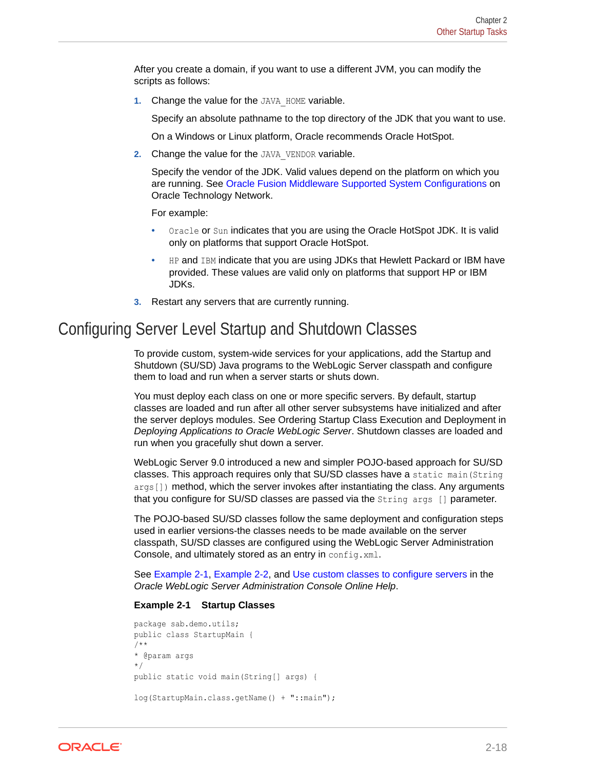<span id="page-26-0"></span>After you create a domain, if you want to use a different JVM, you can modify the scripts as follows:

**1.** Change the value for the JAVA HOME variable.

Specify an absolute pathname to the top directory of the JDK that you want to use.

On a Windows or Linux platform, Oracle recommends Oracle HotSpot.

**2.** Change the value for the JAVA\_VENDOR variable.

Specify the vendor of the JDK. Valid values depend on the platform on which you are running. See [Oracle Fusion Middleware Supported System Configurations](http://www.oracle.com/technetwork/middleware/ias/downloads/fusion-certification-100350.html) on Oracle Technology Network.

For example:

- Oracle or Sun indicates that you are using the Oracle HotSpot JDK. It is valid only on platforms that support Oracle HotSpot.
- HP and IBM indicate that you are using JDKs that Hewlett Packard or IBM have provided. These values are valid only on platforms that support HP or IBM JDKs.
- **3.** Restart any servers that are currently running.

### Configuring Server Level Startup and Shutdown Classes

To provide custom, system-wide services for your applications, add the Startup and Shutdown (SU/SD) Java programs to the WebLogic Server classpath and configure them to load and run when a server starts or shuts down.

You must deploy each class on one or more specific servers. By default, startup classes are loaded and run after all other server subsystems have initialized and after the server deploys modules. See Ordering Startup Class Execution and Deployment in *Deploying Applications to Oracle WebLogic Server*. Shutdown classes are loaded and run when you gracefully shut down a server.

WebLogic Server 9.0 introduced a new and simpler POJO-based approach for SU/SD classes. This approach requires only that SU/SD classes have a static main(String args []) method, which the server invokes after instantiating the class. Any arguments that you configure for SU/SD classes are passed via the String args [] parameter.

The POJO-based SU/SD classes follow the same deployment and configuration steps used in earlier versions-the classes needs to be made available on the server classpath, SU/SD classes are configured using the WebLogic Server Administration Console, and ultimately stored as an entry in config.xml.

See Example 2-1, [Example 2-2](#page-27-0), and Use custom classes to configure servers in the *Oracle WebLogic Server Administration Console Online Help*.

#### **Example 2-1 Startup Classes**

```
package sab.demo.utils;
public class StartupMain {
/**
* @param args
*/
public static void main(String[] args) {
log(StartupMain.class.getName() + "::main");
```
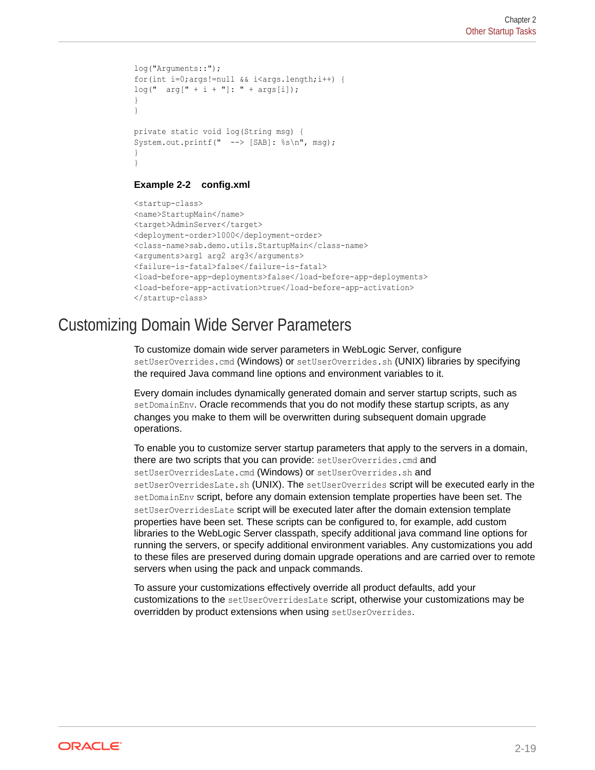```
log("Arguments::");
for(int i=0;args!=null && i<args.length;i++) {
log(" arg[" + i + "]: " + args[i]);}
}
private static void log(String msg) {
System.out.printf(" --> [SAB]: %s\n", msg);
}
}
```
#### **Example 2-2 config.xml**

```
<startup-class>
<name>StartupMain</name>
<target>AdminServer</target>
<deployment-order>1000</deployment-order>
<class-name>sab.demo.utils.StartupMain</class-name>
<arguments>arg1 arg2 arg3</arguments>
<failure-is-fatal>false</failure-is-fatal>
<load-before-app-deployments>false</load-before-app-deployments>
<load-before-app-activation>true</load-before-app-activation>
</startup-class>
```
### Customizing Domain Wide Server Parameters

To customize domain wide server parameters in WebLogic Server, configure setUserOverrides.cmd (Windows) or setUserOverrides.sh (UNIX) libraries by specifying the required Java command line options and environment variables to it.

Every domain includes dynamically generated domain and server startup scripts, such as setDomainEnv. Oracle recommends that you do not modify these startup scripts, as any changes you make to them will be overwritten during subsequent domain upgrade operations.

To enable you to customize server startup parameters that apply to the servers in a domain, there are two scripts that you can provide: setUserOverrides.cmd and setUserOverridesLate.cmd (Windows) or setUserOverrides.sh and setUserOverridesLate.sh (UNIX). The setUserOverrides script will be executed early in the setDomainEnv script, before any domain extension template properties have been set. The setUserOverridesLate script will be executed later after the domain extension template properties have been set. These scripts can be configured to, for example, add custom libraries to the WebLogic Server classpath, specify additional java command line options for running the servers, or specify additional environment variables. Any customizations you add to these files are preserved during domain upgrade operations and are carried over to remote servers when using the pack and unpack commands.

To assure your customizations effectively override all product defaults, add your customizations to the setUserOverridesLate script, otherwise your customizations may be overridden by product extensions when using setUserOverrides.

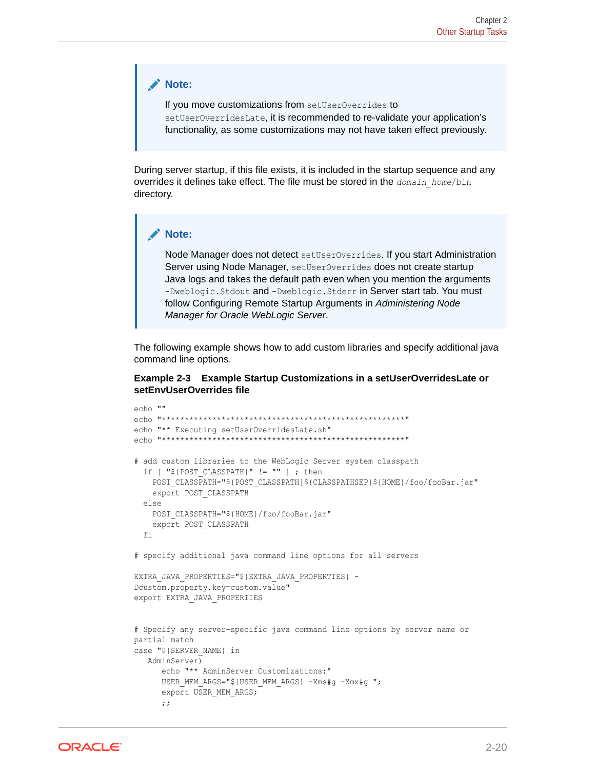#### **Note:**

If you move customizations from setUserOverrides to setUserOverridesLate, it is recommended to re-validate your application's functionality, as some customizations may not have taken effect previously.

During server startup, if this file exists, it is included in the startup sequence and any overrides it defines take effect. The file must be stored in the *domain\_home*/bin directory.

#### **Note:**

Node Manager does not detect setUserOverrides. If you start Administration Server using Node Manager, setUserOverrides does not create startup Java logs and takes the default path even when you mention the arguments -Dweblogic. Stdout and -Dweblogic. Stderr in Server start tab. You must follow Configuring Remote Startup Arguments in *Administering Node Manager for Oracle WebLogic Server*.

The following example shows how to add custom libraries and specify additional java command line options.

#### **Example 2-3 Example Startup Customizations in a setUserOverridesLate or setEnvUserOverrides file**

```
echo ""
echo "*****************************************************"
echo "** Executing setUserOverridesLate.sh"
echo "*****************************************************"
# add custom libraries to the WebLogic Server system classpath
  if [ "${POST CLASSPATH}" != "" ] ; then
    POST_CLASSPATH="${POST_CLASSPATH}${CLASSPATHSEP}${HOME}/foo/fooBar.jar"
     export POST_CLASSPATH
   else
    POST_CLASSPATH="${HOME}/foo/fooBar.jar"
     export POST_CLASSPATH
   fi
# specify additional java command line options for all servers
EXTRA_JAVA_PROPERTIES="${EXTRA_JAVA_PROPERTIES} -
Dcustom.property.key=custom.value"
export EXTRA_JAVA_PROPERTIES
# Specify any server-specific java command line options by server name or 
partial match
case "${SERVER_NAME} in
    AdminServer)
       echo "** AdminServer Customizations:"
      USER MEM ARGS="${USER MEM ARGS} -Xms#g -Xmx#g ";
       export USER_MEM_ARGS;
       ;;
```
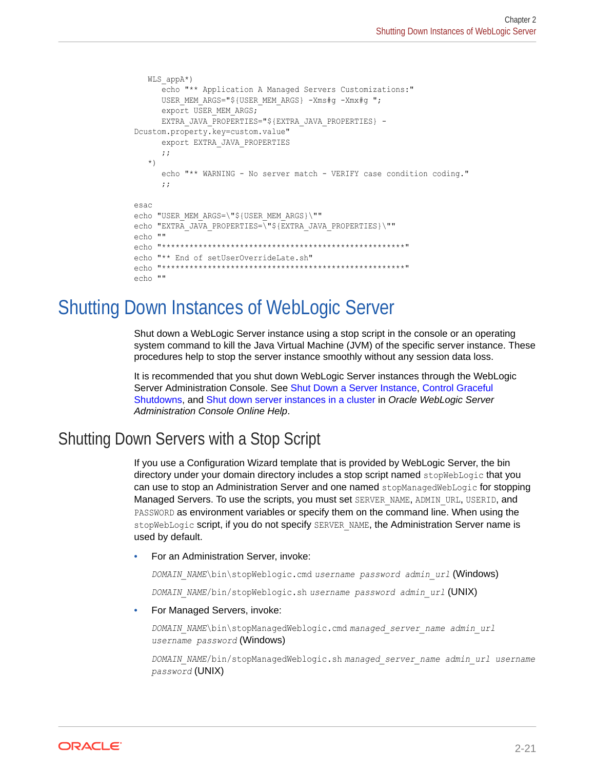```
WLS appA*)
       echo "** Application A Managed Servers Customizations:"
      USER MEM ARGS="${USER MEM ARGS} -Xms#g -Xmx#g ";
      export USER MEM ARGS;
       EXTRA_JAVA_PROPERTIES="${EXTRA_JAVA_PROPERTIES} -
Dcustom.property.key=custom.value"
       export EXTRA_JAVA_PROPERTIES
       ;;
    *)
       echo "** WARNING - No server match - VERIFY case condition coding."
       ;;
esac
echo "USER MEM ARGS=\"${USER MEM ARGS}\""
echo "EXTRA JAVA PROPERTIES=\"${EXTRA JAVA PROPERTIES}\""
echo ""
echo "*****************************************************"
echo "** End of setUserOverrideLate.sh"
echo "*****************************************************"
echo ""
```
# Shutting Down Instances of WebLogic Server

Shut down a WebLogic Server instance using a stop script in the console or an operating system command to kill the Java Virtual Machine (JVM) of the specific server instance. These procedures help to stop the server instance smoothly without any session data loss.

It is recommended that you shut down WebLogic Server instances through the WebLogic Server Administration Console. See Shut Down a Server Instance, Control Graceful Shutdowns, and Shut down server instances in a cluster in *Oracle WebLogic Server Administration Console Online Help*.

### Shutting Down Servers with a Stop Script

If you use a Configuration Wizard template that is provided by WebLogic Server, the bin directory under your domain directory includes a stop script named stopWebLogic that you can use to stop an Administration Server and one named stopManagedWebLogic for stopping Managed Servers. To use the scripts, you must set SERVER\_NAME, ADMIN\_URL, USERID, and PASSWORD as environment variables or specify them on the command line. When using the stopWebLogic script, if you do not specify SERVER\_NAME, the Administration Server name is used by default.

• For an Administration Server, invoke:

*DOMAIN\_NAME*\bin\stopWeblogic.cmd *username password admin\_url* (Windows)

*DOMAIN\_NAME*/bin/stopWeblogic.sh *username password admin\_url* (UNIX)

• For Managed Servers, invoke:

*DOMAIN\_NAME*\bin\stopManagedWeblogic.cmd *managed\_server\_name admin\_url username password* (Windows)

*DOMAIN\_NAME*/bin/stopManagedWeblogic.sh *managed\_server\_name admin\_url username password* (UNIX)

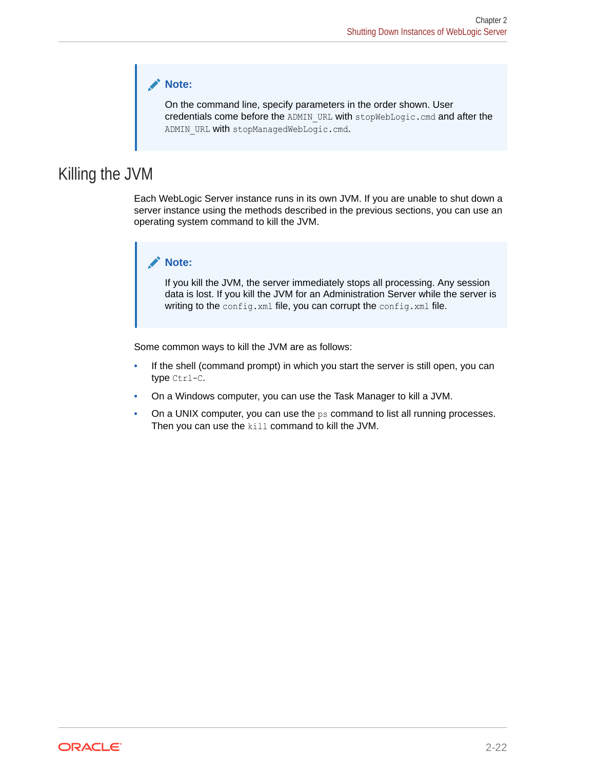#### **Note:**

On the command line, specify parameters in the order shown. User credentials come before the ADMIN\_URL with stopWebLogic.cmd and after the ADMIN URL with stopManagedWebLogic.cmd.

### <span id="page-30-0"></span>Killing the JVM

Each WebLogic Server instance runs in its own JVM. If you are unable to shut down a server instance using the methods described in the previous sections, you can use an operating system command to kill the JVM.

#### **Note:**

If you kill the JVM, the server immediately stops all processing. Any session data is lost. If you kill the JVM for an Administration Server while the server is writing to the config.xml file, you can corrupt the config.xml file.

Some common ways to kill the JVM are as follows:

- If the shell (command prompt) in which you start the server is still open, you can type Ctrl-C.
- On a Windows computer, you can use the Task Manager to kill a JVM.
- On a UNIX computer, you can use the ps command to list all running processes. Then you can use the kill command to kill the JVM.

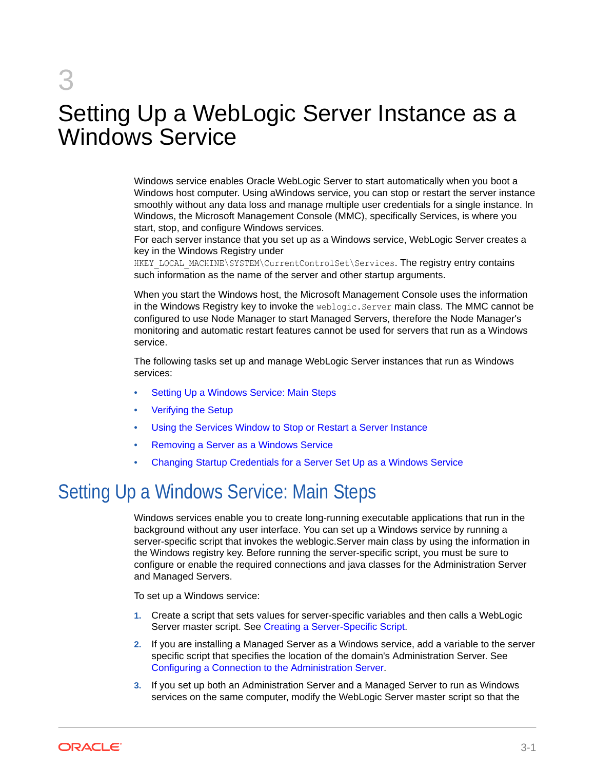# <span id="page-31-0"></span>3

# Setting Up a WebLogic Server Instance as a Windows Service

Windows service enables Oracle WebLogic Server to start automatically when you boot a Windows host computer. Using aWindows service, you can stop or restart the server instance smoothly without any data loss and manage multiple user credentials for a single instance. In Windows, the Microsoft Management Console (MMC), specifically Services, is where you start, stop, and configure Windows services.

For each server instance that you set up as a Windows service, WebLogic Server creates a key in the Windows Registry under

HKEY\_LOCAL\_MACHINE\SYSTEM\CurrentControlSet\Services. The registry entry contains such information as the name of the server and other startup arguments.

When you start the Windows host, the Microsoft Management Console uses the information in the Windows Registry key to invoke the weblogic.Server main class. The MMC cannot be configured to use Node Manager to start Managed Servers, therefore the Node Manager's monitoring and automatic restart features cannot be used for servers that run as a Windows service.

The following tasks set up and manage WebLogic Server instances that run as Windows services:

- Setting Up a Windows Service: Main Steps
- [Verifying the Setup](#page-44-0)
- [Using the Services Window to Stop or Restart a Server Instance](#page-45-0)
- [Removing a Server as a Windows Service](#page-46-0)
- [Changing Startup Credentials for a Server Set Up as a Windows Service](#page-47-0)

# Setting Up a Windows Service: Main Steps

Windows services enable you to create long-running executable applications that run in the background without any user interface. You can set up a Windows service by running a server-specific script that invokes the weblogic.Server main class by using the information in the Windows registry key. Before running the server-specific script, you must be sure to configure or enable the required connections and java classes for the Administration Server and Managed Servers.

To set up a Windows service:

- **1.** Create a script that sets values for server-specific variables and then calls a WebLogic Server master script. See [Creating a Server-Specific Script.](#page-32-0)
- **2.** If you are installing a Managed Server as a Windows service, add a variable to the server specific script that specifies the location of the domain's Administration Server. See [Configuring a Connection to the Administration Server](#page-34-0).
- **3.** If you set up both an Administration Server and a Managed Server to run as Windows services on the same computer, modify the WebLogic Server master script so that the

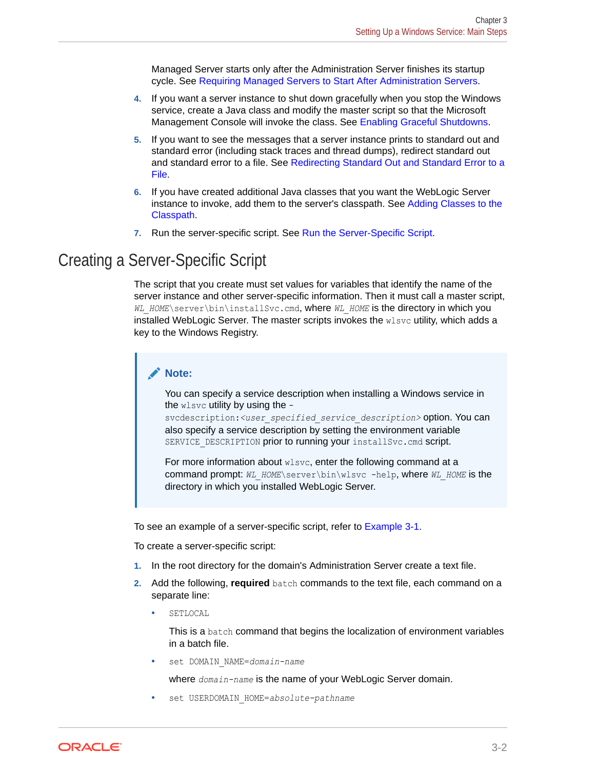Managed Server starts only after the Administration Server finishes its startup cycle. See [Requiring Managed Servers to Start After Administration Servers.](#page-35-0)

- <span id="page-32-0"></span>**4.** If you want a server instance to shut down gracefully when you stop the Windows service, create a Java class and modify the master script so that the Microsoft Management Console will invoke the class. See [Enabling Graceful Shutdowns](#page-37-0).
- **5.** If you want to see the messages that a server instance prints to standard out and standard error (including stack traces and thread dumps), redirect standard out and standard error to a file. See [Redirecting Standard Out and Standard Error to a](#page-40-0) [File](#page-40-0).
- **6.** If you have created additional Java classes that you want the WebLogic Server instance to invoke, add them to the server's classpath. See [Adding Classes to the](#page-43-0) [Classpath](#page-43-0).
- **7.** Run the server-specific script. See [Run the Server-Specific Script.](#page-44-0)

### Creating a Server-Specific Script

The script that you create must set values for variables that identify the name of the server instance and other server-specific information. Then it must call a master script, *WL\_HOME*\server\bin\installSvc.cmd, where *WL\_HOME* is the directory in which you installed WebLogic Server. The master scripts invokes the  $w1svc$  utility, which adds a key to the Windows Registry.

#### **Note:**

You can specify a service description when installing a Windows service in the wlsvc utility by using the -

svcdescription:<user specified service description> option. You can also specify a service description by setting the environment variable SERVICE DESCRIPTION prior to running your installSvc.cmd script.

For more information about wlsvc, enter the following command at a command prompt: *WL\_HOME*\server\bin\wlsvc -help, where *WL\_HOME* is the directory in which you installed WebLogic Server.

To see an example of a server-specific script, refer to [Example 3-1](#page-35-0).

To create a server-specific script:

- **1.** In the root directory for the domain's Administration Server create a text file.
- **2.** Add the following, **required** batch commands to the text file, each command on a separate line:
	- SETLOCAL

This is a batch command that begins the localization of environment variables in a batch file.

set DOMAIN NAME=domain-name

where *domain-name* is the name of your WebLogic Server domain.

set USERDOMAIN HOME=absolute-pathname

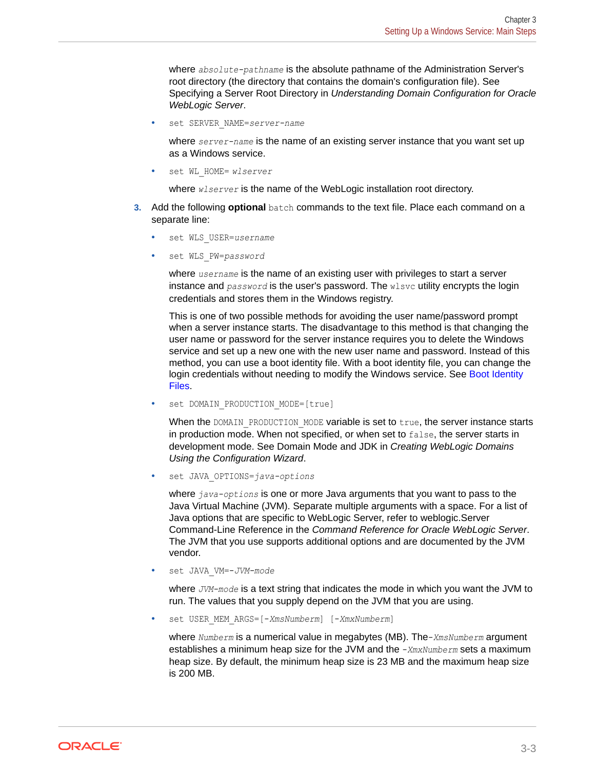where *absolute-pathname* is the absolute pathname of the Administration Server's root directory (the directory that contains the domain's configuration file). See Specifying a Server Root Directory in *Understanding Domain Configuration for Oracle WebLogic Server*.

set SERVER NAME=server-name

where *server-name* is the name of an existing server instance that you want set up as a Windows service.

• set WL\_HOME= *wlserver*

where *wlserver* is the name of the WebLogic installation root directory.

- **3.** Add the following **optional** batch commands to the text file. Place each command on a separate line:
	- set WLS USER=username
	- set WLS\_PW=*password*

where *username* is the name of an existing user with privileges to start a server instance and *password* is the user's password. The wlsvc utility encrypts the login credentials and stores them in the Windows registry.

This is one of two possible methods for avoiding the user name/password prompt when a server instance starts. The disadvantage to this method is that changing the user name or password for the server instance requires you to delete the Windows service and set up a new one with the new user name and password. Instead of this method, you can use a boot identity file. With a boot identity file, you can change the login credentials without needing to modify the Windows service. See [Boot Identity](#page-17-0) [Files](#page-17-0).

set DOMAIN PRODUCTION MODE=[true]

When the DOMAIN\_PRODUCTION\_MODE variable is set to  $true$ , the server instance starts in production mode. When not specified, or when set to false, the server starts in development mode. See Domain Mode and JDK in *Creating WebLogic Domains Using the Configuration Wizard*.

set JAVA OPTIONS=*java-options* 

where *java-options* is one or more Java arguments that you want to pass to the Java Virtual Machine (JVM). Separate multiple arguments with a space. For a list of Java options that are specific to WebLogic Server, refer to weblogic.Server Command-Line Reference in the *Command Reference for Oracle WebLogic Server*. The JVM that you use supports additional options and are documented by the JVM vendor.

set JAVA VM=-*JVM-mode* 

where *JVM-mode* is a text string that indicates the mode in which you want the JVM to run. The values that you supply depend on the JVM that you are using.

• set USER\_MEM\_ARGS=[-*XmsNumberm*] [-*XmxNumberm*]

where *Numberm* is a numerical value in megabytes (MB). The-*XmsNumberm* argument establishes a minimum heap size for the JVM and the -*XmxNumberm* sets a maximum heap size. By default, the minimum heap size is 23 MB and the maximum heap size is 200 MB.

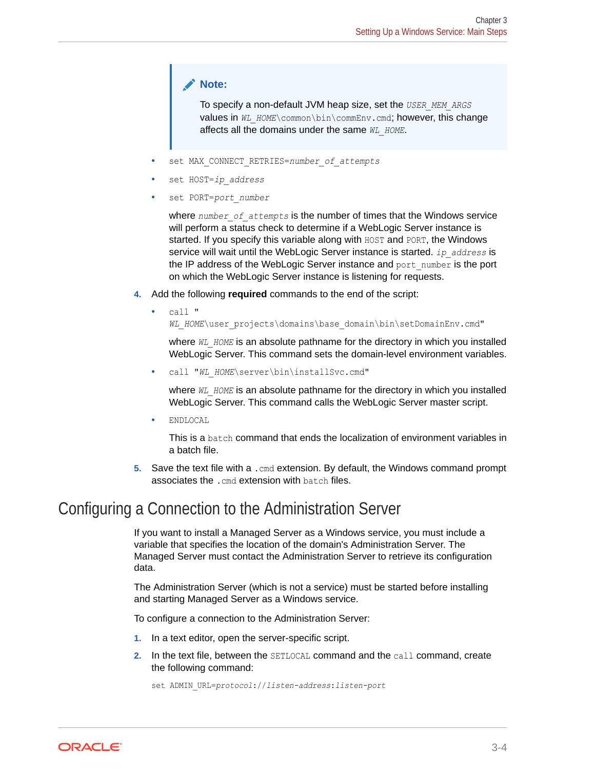#### <span id="page-34-0"></span>**Note:**

To specify a non-default JVM heap size, set the *USER\_MEM\_ARGS* values in WL\_HOME\common\bin\commEnv.cmd; however, this change affects all the domains under the same *WL\_HOME*.

- set MAX CONNECT RETRIES=number of attempts
- set HOST=ip\_address
- set PORT=port\_number

where *number* of attempts is the number of times that the Windows service will perform a status check to determine if a WebLogic Server instance is started. If you specify this variable along with HOST and PORT, the Windows service will wait until the WebLogic Server instance is started. *ip\_address* is the IP address of the WebLogic Server instance and port\_number is the port on which the WebLogic Server instance is listening for requests.

- **4.** Add the following **required** commands to the end of the script:
	- call " WL\_HOME\user\_projects\domains\base\_domain\bin\setDomainEnv.cmd"

where  $W_L$  HOME is an absolute pathname for the directory in which you installed WebLogic Server. This command sets the domain-level environment variables.

call "WL HOME\server\bin\installSvc.cmd"

where *WL\_HOME* is an absolute pathname for the directory in which you installed WebLogic Server. This command calls the WebLogic Server master script.

• ENDLOCAL

This is a batch command that ends the localization of environment variables in a batch file.

**5.** Save the text file with a .cmd extension. By default, the Windows command prompt associates the .cmd extension with batch files.

### Configuring a Connection to the Administration Server

If you want to install a Managed Server as a Windows service, you must include a variable that specifies the location of the domain's Administration Server. The Managed Server must contact the Administration Server to retrieve its configuration data.

The Administration Server (which is not a service) must be started before installing and starting Managed Server as a Windows service.

To configure a connection to the Administration Server:

- **1.** In a text editor, open the server-specific script.
- **2.** In the text file, between the SETLOCAL command and the call command, create the following command:

set ADMIN\_URL=*protocol*://*listen-address*:*listen-port*

ORACLE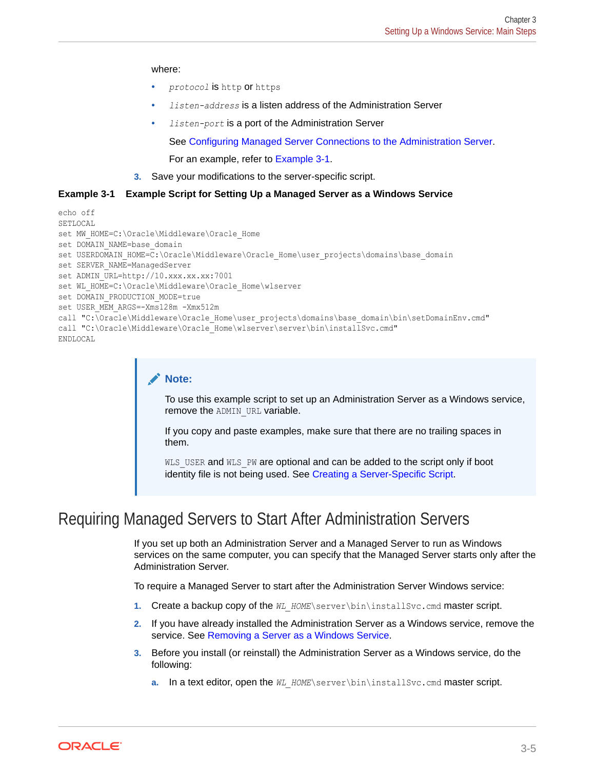#### <span id="page-35-0"></span>where:

- *protocol* is http or https
- *listen-address* is a listen address of the Administration Server
- *listen-port* is a port of the Administration Server

See [Configuring Managed Server Connections to the Administration Server.](#page-22-0)

For an example, refer to Example 3-1.

**3.** Save your modifications to the server-specific script.

#### **Example 3-1 Example Script for Setting Up a Managed Server as a Windows Service**

```
echo off
SETLOCAL
set MW_HOME=C:\Oracle\Middleware\Oracle_Home
set DOMAIN NAME=base domain
set USERDOMAIN HOME=C:\Oracle\Middleware\Oracle Home\user projects\domains\base domain
set SERVER NAME=ManagedServer
set ADMIN URL=http://10.xxx.xx.xx:7001
set WL HOME=C:\Oracle\Middleware\Oracle Home\wlserver
set DOMAIN PRODUCTION MODE=true
set USER MEM ARGS=-Xms128m -Xmx512m
call "C:\Oracle\Middleware\Oracle Home\user projects\domains\base domain\bin\setDomainEnv.cmd"
call "C:\Oracle\Middleware\Oracle Home\wlserver\server\bin\installSvc.cmd"
ENDLOCAL
```
#### **Note:**

To use this example script to set up an Administration Server as a Windows service, remove the ADMIN URL variable.

If you copy and paste examples, make sure that there are no trailing spaces in them.

WLS USER and WLS PW are optional and can be added to the script only if boot identity file is not being used. See [Creating a Server-Specific Script.](#page-32-0)

### Requiring Managed Servers to Start After Administration Servers

If you set up both an Administration Server and a Managed Server to run as Windows services on the same computer, you can specify that the Managed Server starts only after the Administration Server.

To require a Managed Server to start after the Administration Server Windows service:

- **1.** Create a backup copy of the WL\_HOME\server\bin\installSvc.cmd master script.
- **2.** If you have already installed the Administration Server as a Windows service, remove the service. See [Removing a Server as a Windows Service.](#page-46-0)
- **3.** Before you install (or reinstall) the Administration Server as a Windows service, do the following:
	- **a.** In a text editor, open the *WL\_HOME*\server\bin\installSvc.cmd master script.

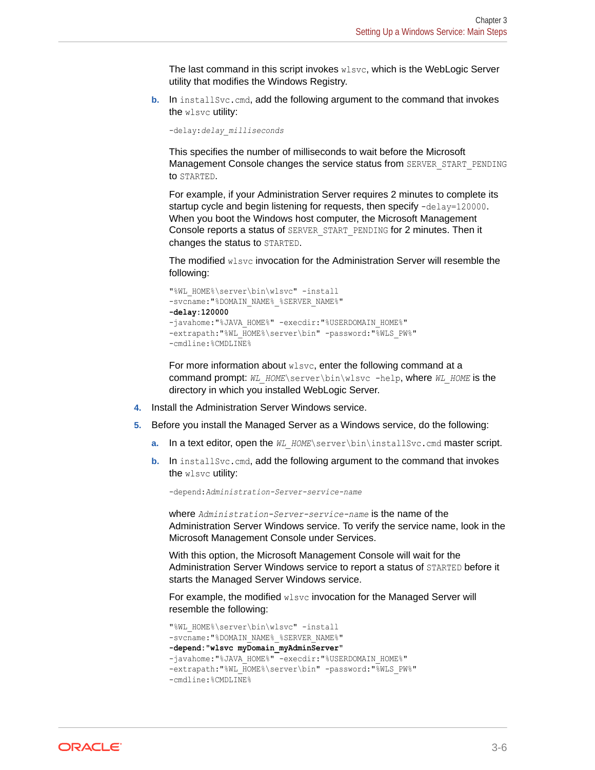The last command in this script invokes wlsvc, which is the WebLogic Server utility that modifies the Windows Registry.

**b.** In installsvc.cmd, add the following argument to the command that invokes the wlsvc utility:

-delay:*delay\_milliseconds*

This specifies the number of milliseconds to wait before the Microsoft Management Console changes the service status from SERVER\_START\_PENDING to STARTED.

For example, if your Administration Server requires 2 minutes to complete its startup cycle and begin listening for requests, then specify -delay=120000. When you boot the Windows host computer, the Microsoft Management Console reports a status of SERVER\_START\_PENDING for 2 minutes. Then it changes the status to STARTED.

The modified  $w1svc$  invocation for the Administration Server will resemble the following:

```
"%WL_HOME%\server\bin\wlsvc" -install 
-svcname: "%DOMAIN_NAME% %SERVER_NAME%"
-delay:120000
-javahome: "%JAVA_HOME%" -execdir: "%USERDOMAIN_HOME%"
-extrapath:"%WL_HOME%\server\bin" -password:"%WLS_PW%"
-cmdline:%CMDLINE%
```
For more information about wlsvc, enter the following command at a command prompt: *WL\_HOME*\server\bin\wlsvc -help, where *WL\_HOME* is the directory in which you installed WebLogic Server.

- **4.** Install the Administration Server Windows service.
- **5.** Before you install the Managed Server as a Windows service, do the following:
	- **a.** In a text editor, open the WL HOME\server\bin\installSvc.cmd master script.
	- **b.** In install Svc.cmd, add the following argument to the command that invokes the wlsvc utility:

-depend:*Administration-Server-service-name*

where *Administration-Server-service-name* is the name of the Administration Server Windows service. To verify the service name, look in the Microsoft Management Console under Services.

With this option, the Microsoft Management Console will wait for the Administration Server Windows service to report a status of STARTED before it starts the Managed Server Windows service.

For example, the modified wlsvc invocation for the Managed Server will resemble the following:

```
"%WL_HOME%\server\bin\wlsvc" -install 
-svcname: "%DOMAIN_NAME% %SERVER_NAME%"
-depend:"wlsvc myDomain_myAdminServer"
-javahome: "%JAVA_HOME%" -execdir: "%USERDOMAIN_HOME%"
-extrapath:"%WL_HOME%\server\bin" -password:"%WLS_PW%"
-cmdline:%CMDLINE%
```
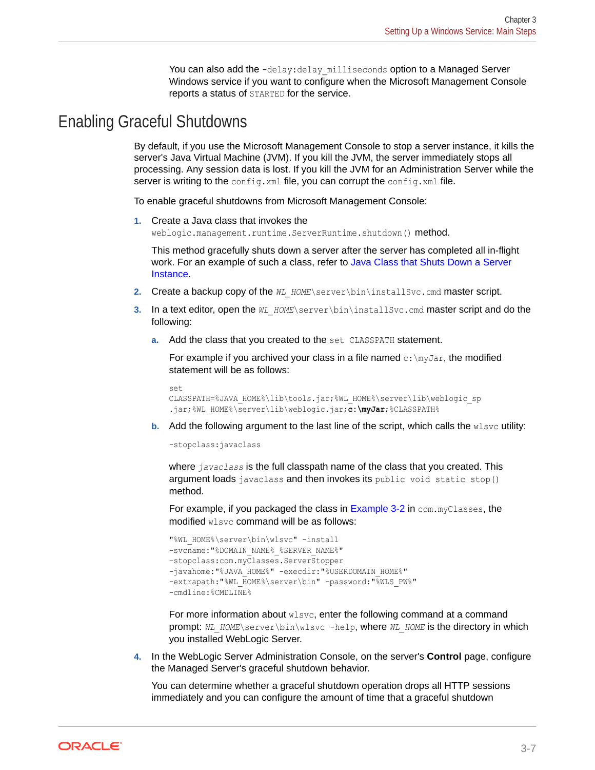You can also add the -delay: delay milliseconds option to a Managed Server Windows service if you want to configure when the Microsoft Management Console reports a status of STARTED for the service.

### <span id="page-37-0"></span>Enabling Graceful Shutdowns

By default, if you use the Microsoft Management Console to stop a server instance, it kills the server's Java Virtual Machine (JVM). If you kill the JVM, the server immediately stops all processing. Any session data is lost. If you kill the JVM for an Administration Server while the server is writing to the config.xml file, you can corrupt the config.xml file.

To enable graceful shutdowns from Microsoft Management Console:

**1.** Create a Java class that invokes the weblogic.management.runtime.ServerRuntime.shutdown() method.

This method gracefully shuts down a server after the server has completed all in-flight work. For an example of such a class, refer to [Java Class that Shuts Down a Server](#page-38-0) [Instance.](#page-38-0)

- **2.** Create a backup copy of the WL\_HOME\server\bin\installSvc.cmd master script.
- **3.** In a text editor, open the *WL\_HOME*\server\bin\installSvc.cmd master script and do the following:
	- **a.** Add the class that you created to the set CLASSPATH statement.

For example if you archived your class in a file named  $c:\my\bar{a}r$ , the modified statement will be as follows:

```
set
CLASSPATH=%JAVA_HOME%\lib\tools.jar;%WL_HOME%\server\lib\weblogic_sp
.jar;%WL_HOME%\server\lib\weblogic.jar;c:\myJar;%CLASSPATH%
```
**b.** Add the following argument to the last line of the script, which calls the wlsvc utility:

-stopclass:javaclass

where *javaclass* is the full classpath name of the class that you created. This argument loads javaclass and then invokes its public void static stop() method.

For example, if you packaged the class in [Example 3-2](#page-38-0) in com. myClasses, the modified wlsvc command will be as follows:

```
"%WL_HOME%\server\bin\wlsvc" -install
-svcname: "%DOMAIN_NAME% %SERVER_NAME%"
–stopclass:com.myClasses.ServerStopper 
-javahome: "%JAVA_HOME%" -execdir: "%USERDOMAIN_HOME%"
-extrapath:"%WL_HOME%\server\bin" -password:"%WLS_PW%"
-cmdline:%CMDLINE%
```
For more information about wlsvc, enter the following command at a command prompt: *WL\_HOME*\server\bin\wlsvc -help, where *WL\_HOME* is the directory in which you installed WebLogic Server.

**4.** In the WebLogic Server Administration Console, on the server's **Control** page, configure the Managed Server's graceful shutdown behavior.

You can determine whether a graceful shutdown operation drops all HTTP sessions immediately and you can configure the amount of time that a graceful shutdown

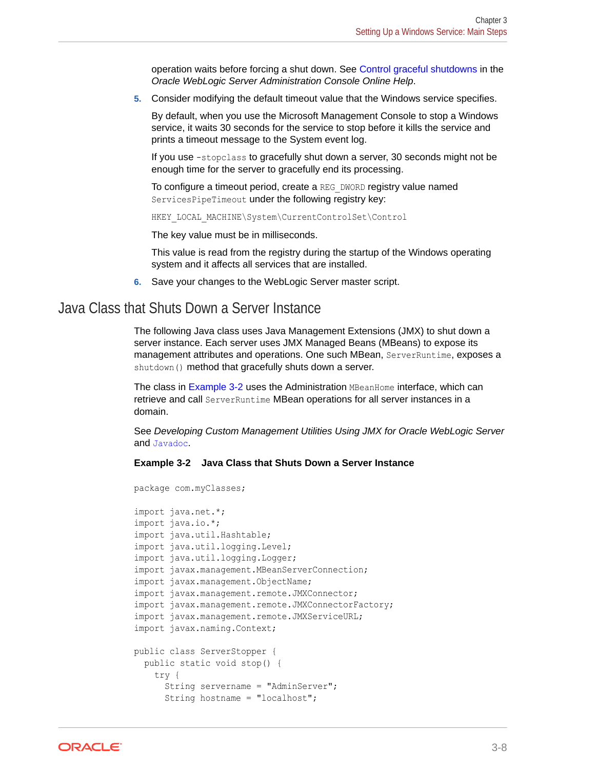operation waits before forcing a shut down. See Control graceful shutdowns in the *Oracle WebLogic Server Administration Console Online Help*.

<span id="page-38-0"></span>**5.** Consider modifying the default timeout value that the Windows service specifies.

By default, when you use the Microsoft Management Console to stop a Windows service, it waits 30 seconds for the service to stop before it kills the service and prints a timeout message to the System event log.

If you use -stopclass to gracefully shut down a server, 30 seconds might not be enough time for the server to gracefully end its processing.

To configure a timeout period, create a REG\_DWORD registry value named ServicesPipeTimeout under the following registry key:

HKEY\_LOCAL\_MACHINE\System\CurrentControlSet\Control

The key value must be in milliseconds.

This value is read from the registry during the startup of the Windows operating system and it affects all services that are installed.

**6.** Save your changes to the WebLogic Server master script.

### Java Class that Shuts Down a Server Instance

The following Java class uses Java Management Extensions (JMX) to shut down a server instance. Each server uses JMX Managed Beans (MBeans) to expose its management attributes and operations. One such MBean, ServerRuntime, exposes a shutdown() method that gracefully shuts down a server.

The class in Example 3-2 uses the Administration MBeanHome interface, which can retrieve and call ServerRuntime MBean operations for all server instances in a domain.

See *Developing Custom Management Utilities Using JMX for Oracle WebLogic Server* and Javadoc.

#### **Example 3-2 Java Class that Shuts Down a Server Instance**

```
package com.myClasses;
import java.net.*;
import java.io.*;
import java.util.Hashtable;
import java.util.logging.Level;
import java.util.logging.Logger;
import javax.management.MBeanServerConnection;
import javax.management.ObjectName;
import javax.management.remote.JMXConnector;
import javax.management.remote.JMXConnectorFactory;
import javax.management.remote.JMXServiceURL;
import javax.naming.Context;
public class ServerStopper {
  public static void stop() {
     try {
       String servername = "AdminServer";
       String hostname = "localhost";
```
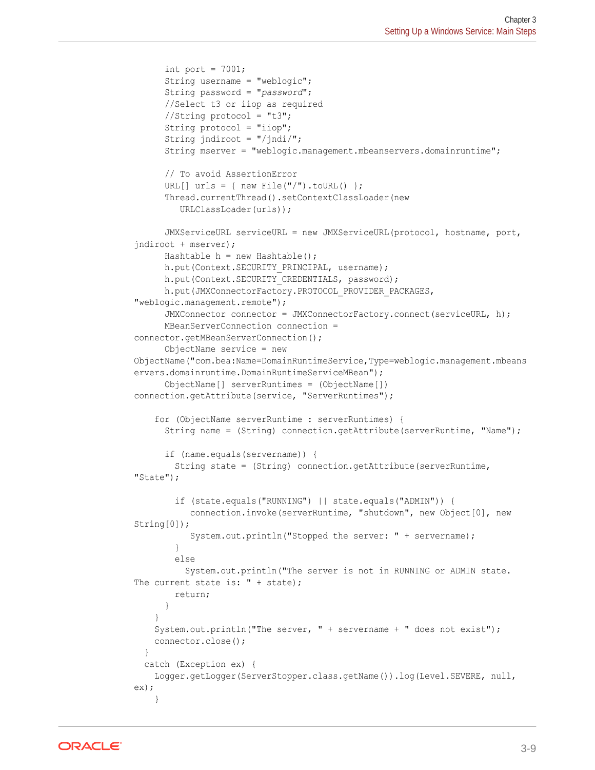```
int port = 7001;
       String username = "weblogic";
       String password = "password";
       //Select t3 or iiop as required
      //String protocol = "t3";
       String protocol = "iiop";
       String jndiroot = "/jndi/";
       String mserver = "weblogic.management.mbeanservers.domainruntime";
       // To avoid AssertionError
      URL[] urls = { new File("/").toURL() };
       Thread.currentThread().setContextClassLoader(new
          URLClassLoader(urls));
       JMXServiceURL serviceURL = new JMXServiceURL(protocol, hostname, port, 
jndiroot + mserver);
      Hashtable h = new Hashtable();
      h.put(Context.SECURITY_PRINCIPAL, username);
      h.put(Context.SECURITY_CREDENTIALS, password);
      h.put(JMXConnectorFactory.PROTOCOL PROVIDER PACKAGES,
"weblogic.management.remote");
       JMXConnector connector = JMXConnectorFactory.connect(serviceURL, h);
       MBeanServerConnection connection = 
connector.getMBeanServerConnection();
       ObjectName service = new 
ObjectName("com.bea:Name=DomainRuntimeService,Type=weblogic.management.mbeans
ervers.domainruntime.DomainRuntimeServiceMBean");
       ObjectName[] serverRuntimes = (ObjectName[]) 
connection.getAttribute(service, "ServerRuntimes");
     for (ObjectName serverRuntime : serverRuntimes) {
       String name = (String) connection.getAttribute(serverRuntime, "Name");
       if (name.equals(servername)) {
         String state = (String) connection.getAttribute(serverRuntime, 
"State");
         if (state.equals("RUNNING") || state.equals("ADMIN")) {
            connection.invoke(serverRuntime, "shutdown", new Object[0], new 
String[0]);
            System.out.println("Stopped the server: " + servername);
         }
         else
           System.out.println("The server is not in RUNNING or ADMIN state. 
The current state is: " + state);
         return;
       }
 }
     System.out.println("The server, " + servername + " does not exist");
     connector.close();
 }
   catch (Exception ex) {
     Logger.getLogger(ServerStopper.class.getName()).log(Level.SEVERE, null, 
ex);
     }
```
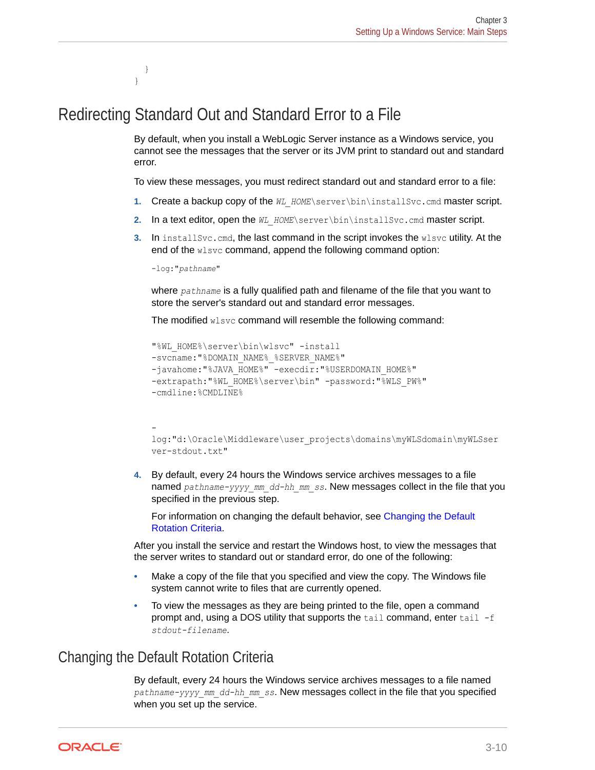## Redirecting Standard Out and Standard Error to a File

By default, when you install a WebLogic Server instance as a Windows service, you cannot see the messages that the server or its JVM print to standard out and standard error.

To view these messages, you must redirect standard out and standard error to a file:

- **1.** Create a backup copy of the WL HOME\server\bin\installSvc.cmd master script.
- **2.** In a text editor, open the WL HOME\server\bin\installSvc.cmd master script.
- **3.** In install Svc.cmd, the last command in the script invokes the wlsvc utility. At the end of the wlsvc command, append the following command option:

-log:"*pathname*"

 } }

> where *pathname* is a fully qualified path and filename of the file that you want to store the server's standard out and standard error messages.

The modified wlsvc command will resemble the following command:

```
"%WL_HOME%\server\bin\wlsvc" -install 
-svcname: "%DOMAIN_NAME% %SERVER_NAME%"
-javahome: "%JAVA_HOME%" -execdir: "%USERDOMAIN_HOME%"
-extrapath:"%WL HOME%\server\bin" -password:"%WLS_PW%"
-cmdline:%CMDLINE%
```

```
-
log:"d:\Oracle\Middleware\user_projects\domains\myWLSdomain\myWLSser
ver-stdout.txt"
```
**4.** By default, every 24 hours the Windows service archives messages to a file named *pathname-yyyy\_mm\_dd-hh\_mm\_ss*. New messages collect in the file that you specified in the previous step.

For information on changing the default behavior, see Changing the Default Rotation Criteria.

After you install the service and restart the Windows host, to view the messages that the server writes to standard out or standard error, do one of the following:

- Make a copy of the file that you specified and view the copy. The Windows file system cannot write to files that are currently opened.
- To view the messages as they are being printed to the file, open a command prompt and, using a DOS utility that supports the  $tail$  command, enter  $tail$  -f *stdout-filename*.

### Changing the Default Rotation Criteria

By default, every 24 hours the Windows service archives messages to a file named *pathname-yyyy\_mm\_dd-hh\_mm\_ss*. New messages collect in the file that you specified when you set up the service.

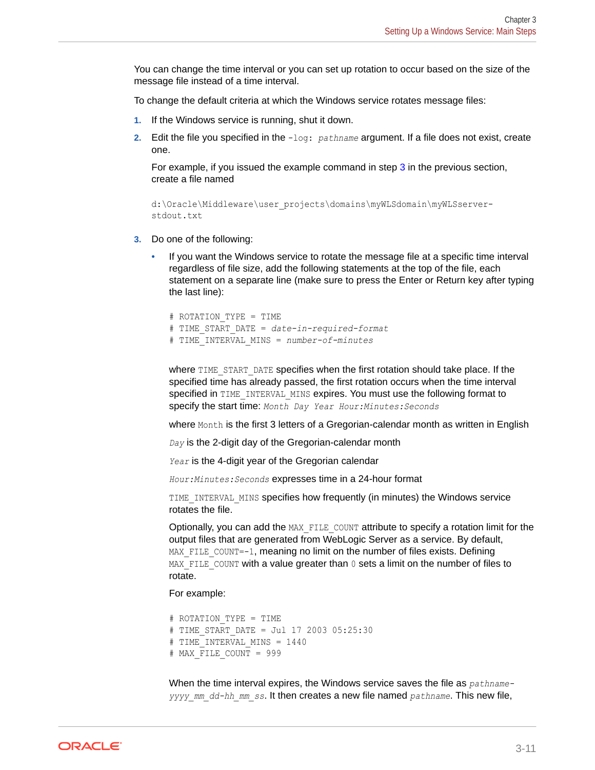You can change the time interval or you can set up rotation to occur based on the size of the message file instead of a time interval.

To change the default criteria at which the Windows service rotates message files:

- **1.** If the Windows service is running, shut it down.
- **2.** Edit the file you specified in the -log: *pathname* argument. If a file does not exist, create one.

For example, if you issued the example command in step 3 in the previous section, create a file named

```
d:\Oracle\Middleware\user_projects\domains\myWLSdomain\myWLSserver-
stdout.txt
```
- **3.** Do one of the following:
	- If you want the Windows service to rotate the message file at a specific time interval regardless of file size, add the following statements at the top of the file, each statement on a separate line (make sure to press the Enter or Return key after typing the last line):

```
# ROTATION_TYPE = TIME
# TIME_START_DATE = date-in-required-format
# TIME_INTERVAL_MINS = number-of-minutes
```
where TIME START DATE specifies when the first rotation should take place. If the specified time has already passed, the first rotation occurs when the time interval specified in TIME\_INTERVAL\_MINS expires. You must use the following format to specify the start time: *Month Day Year Hour:Minutes:Seconds*

where Month is the first 3 letters of a Gregorian-calendar month as written in English

*Day* is the 2-digit day of the Gregorian-calendar month

*Year* is the 4-digit year of the Gregorian calendar

*Hour:Minutes:Seconds* expresses time in a 24-hour format

TIME INTERVAL MINS specifies how frequently (in minutes) the Windows service rotates the file.

Optionally, you can add the MAX FILE COUNT attribute to specify a rotation limit for the output files that are generated from WebLogic Server as a service. By default,  $MAX$   $FILE$   $COUNT=-1$ , meaning no limit on the number of files exists. Defining MAX FILE COUNT with a value greater than  $0$  sets a limit on the number of files to rotate.

For example:

```
# ROTATION_TYPE = TIME
# TIME_START_DATE = Jul 17 2003 05:25:30
# TIME INTERVAL MINS = 1440
# MAX_FILE_COUNT = 999
```
When the time interval expires, the Windows service saves the file as *pathnameyyyy\_mm\_dd-hh\_mm\_ss*. It then creates a new file named *pathname*. This new file,

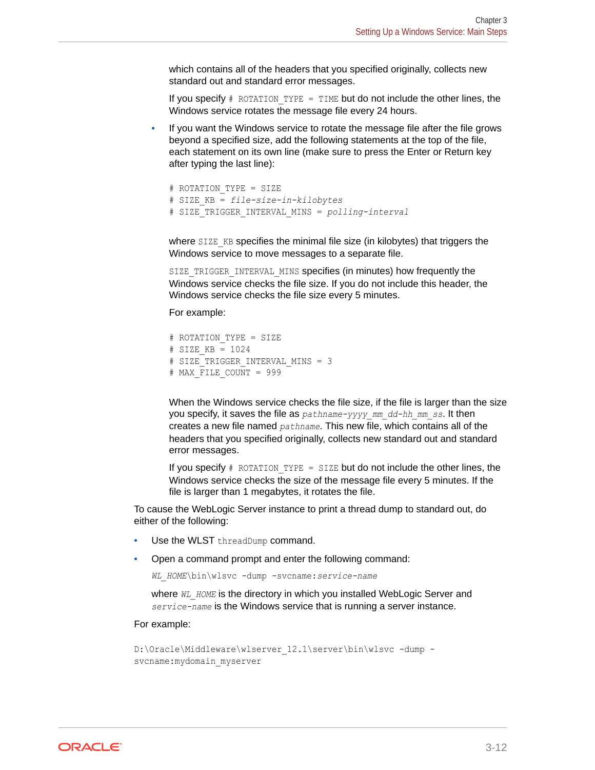which contains all of the headers that you specified originally, collects new standard out and standard error messages.

If you specify  $#$  ROTATION TYPE = TIME but do not include the other lines, the Windows service rotates the message file every 24 hours.

If you want the Windows service to rotate the message file after the file grows beyond a specified size, add the following statements at the top of the file, each statement on its own line (make sure to press the Enter or Return key after typing the last line):

```
# ROTATION_TYPE = SIZE
# SIZE_KB = file-size-in-kilobytes 
# SIZE_TRIGGER_INTERVAL_MINS = polling-interval
```
where SIZE\_KB specifies the minimal file size (in kilobytes) that triggers the Windows service to move messages to a separate file.

SIZE\_TRIGGER\_INTERVAL\_MINS specifies (in minutes) how frequently the Windows service checks the file size. If you do not include this header, the Windows service checks the file size every 5 minutes.

For example:

```
# ROTATION_TYPE = SIZE
# SIZE_KB = 1024
# SIZE TRIGGER INTERVAL MINS = 3
# MAX_FILE_COUNT = 999
```
When the Windows service checks the file size, if the file is larger than the size you specify, it saves the file as *pathname-yyyy\_mm\_dd-hh\_mm\_ss*. It then creates a new file named *pathname*. This new file, which contains all of the headers that you specified originally, collects new standard out and standard error messages.

If you specify  $#$  ROTATION TYPE = SIZE but do not include the other lines, the Windows service checks the size of the message file every 5 minutes. If the file is larger than 1 megabytes, it rotates the file.

To cause the WebLogic Server instance to print a thread dump to standard out, do either of the following:

- Use the WLST threadDump command.
- Open a command prompt and enter the following command:

*WL\_HOME*\bin\wlsvc -dump -svcname:*service-name*

where *WL\_HOME* is the directory in which you installed WebLogic Server and *service-name* is the Windows service that is running a server instance.

#### For example:

```
D:\Oracle\Middleware\wlserver 12.1\server\bin\wlsvc -dump -
svcname:mydomain_myserver
```
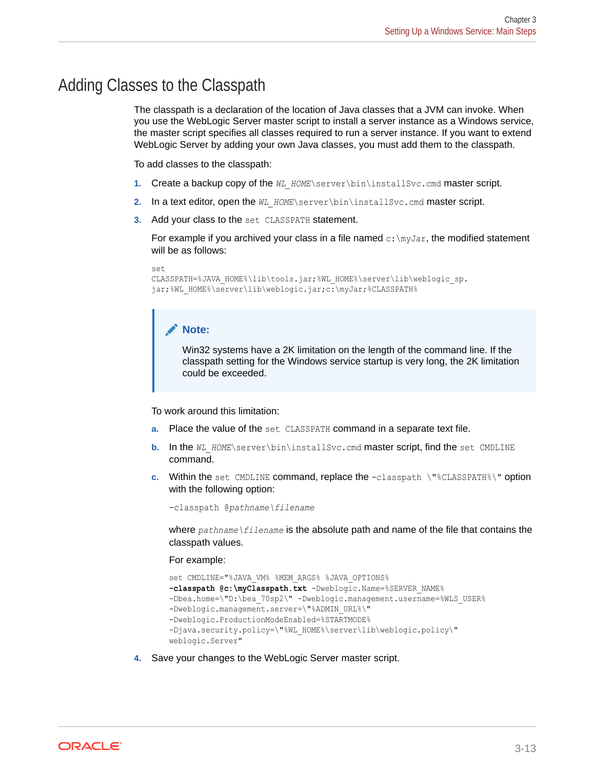### Adding Classes to the Classpath

The classpath is a declaration of the location of Java classes that a JVM can invoke. When you use the WebLogic Server master script to install a server instance as a Windows service, the master script specifies all classes required to run a server instance. If you want to extend WebLogic Server by adding your own Java classes, you must add them to the classpath.

To add classes to the classpath:

- **1.** Create a backup copy of the WL\_HOME\server\bin\installSvc.cmd master script.
- **2.** In a text editor, open the WL HOME\server\bin\installSvc.cmd master script.
- **3.** Add your class to the set CLASSPATH statement.

For example if you archived your class in a file named  $c:\mbox{mylar}$ , the modified statement will be as follows:

```
set
```

```
CLASSPATH=%JAVA_HOME%\lib\tools.jar;%WL_HOME%\server\lib\weblogic_sp.
jar;%WL_HOME%\server\lib\weblogic.jar;c:\myJar;%CLASSPATH%
```
#### **Note:**

Win32 systems have a 2K limitation on the length of the command line. If the classpath setting for the Windows service startup is very long, the 2K limitation could be exceeded.

To work around this limitation:

- **a.** Place the value of the set CLASSPATH command in a separate text file.
- **b.** In the *WL\_HOME*\server\bin\installSvc.cmd master script, find the set CMDLINE command.
- **c.** Within the set CMDLINE command, replace the -classpath \"%CLASSPATH%\" option with the following option:

-classpath @*pathname\filename*

where *pathname\filename* is the absolute path and name of the file that contains the classpath values.

For example:

```
set CMDLINE="%JAVA_VM% %MEM_ARGS% %JAVA_OPTIONS% 
-classpath @c:\myClasspath.txt -Dweblogic.Name=%SERVER_NAME%
-Dbea.home=\"D:\bea_70sp2\" -Dweblogic.management.username=%WLS_USER%
-Dweblogic.management.server=\"%ADMIN_URL%\"
-Dweblogic.ProductionModeEnabled=%STARTMODE%
-Djava.security.policy=\"%WL_HOME%\server\lib\weblogic.policy\"
weblogic.Server"
```
**4.** Save your changes to the WebLogic Server master script.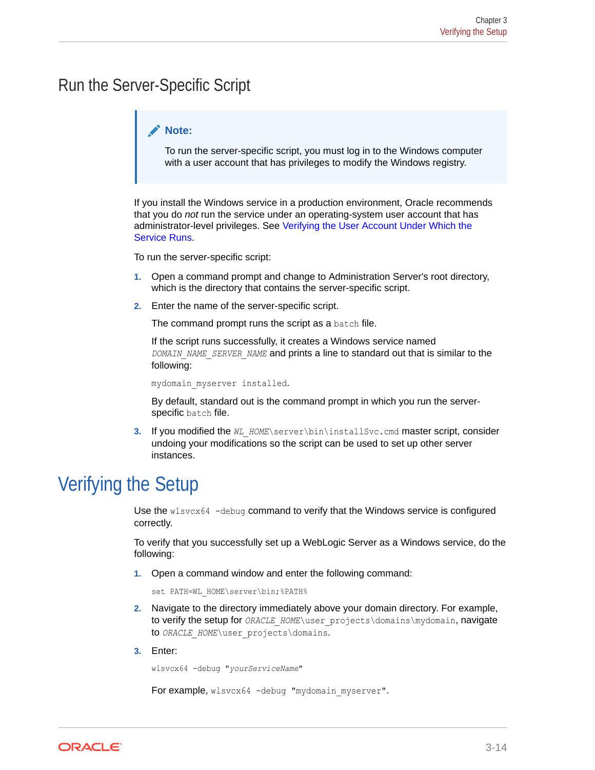## Run the Server-Specific Script

#### **Note:**

To run the server-specific script, you must log in to the Windows computer with a user account that has privileges to modify the Windows registry.

If you install the Windows service in a production environment, Oracle recommends that you do *not* run the service under an operating-system user account that has administrator-level privileges. See [Verifying the User Account Under Which the](#page-45-0) [Service Runs](#page-45-0).

To run the server-specific script:

- **1.** Open a command prompt and change to Administration Server's root directory, which is the directory that contains the server-specific script.
- **2.** Enter the name of the server-specific script.

The command prompt runs the script as a batch file.

If the script runs successfully, it creates a Windows service named *DOMAIN\_NAME\_SERVER\_NAME* and prints a line to standard out that is similar to the following:

mydomain\_myserver installed.

By default, standard out is the command prompt in which you run the serverspecific batch file.

**3.** If you modified the *WL\_HOME*\server\bin\installSvc.cmd master script, consider undoing your modifications so the script can be used to set up other server instances.

## Verifying the Setup

Use the wlsvcx64 -debug command to verify that the Windows service is configured correctly.

To verify that you successfully set up a WebLogic Server as a Windows service, do the following:

**1.** Open a command window and enter the following command:

set PATH=WL HOME\server\bin;%PATH%

- **2.** Navigate to the directory immediately above your domain directory. For example, to verify the setup for *ORACLE\_HOME\*user\_projects\domains\mydomain, navigate to *ORACLE\_HOME*\user\_projects\domains.
- **3.** Enter:

wlsvcx64 -debug "*yourServiceName*"

For example, wlsvcx64 -debug "mydomain myserver".

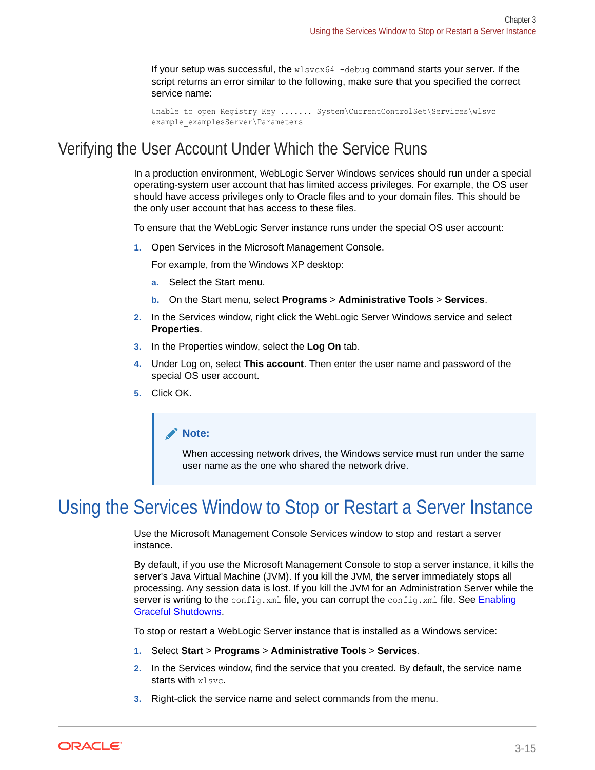If your setup was successful, the wlsvcx64 -debug command starts your server. If the script returns an error similar to the following, make sure that you specified the correct service name:

```
Unable to open Registry Key ....... System\CurrentControlSet\Services\wlsvc 
example examplesServer\Parameters
```
### <span id="page-45-0"></span>Verifying the User Account Under Which the Service Runs

In a production environment, WebLogic Server Windows services should run under a special operating-system user account that has limited access privileges. For example, the OS user should have access privileges only to Oracle files and to your domain files. This should be the only user account that has access to these files.

To ensure that the WebLogic Server instance runs under the special OS user account:

**1.** Open Services in the Microsoft Management Console.

For example, from the Windows XP desktop:

- **a.** Select the Start menu.
- **b.** On the Start menu, select **Programs** > **Administrative Tools** > **Services**.
- **2.** In the Services window, right click the WebLogic Server Windows service and select **Properties**.
- **3.** In the Properties window, select the **Log On** tab.
- **4.** Under Log on, select **This account**. Then enter the user name and password of the special OS user account.
- **5.** Click OK.

#### **Note:**

When accessing network drives, the Windows service must run under the same user name as the one who shared the network drive.

## Using the Services Window to Stop or Restart a Server Instance

Use the Microsoft Management Console Services window to stop and restart a server instance.

By default, if you use the Microsoft Management Console to stop a server instance, it kills the server's Java Virtual Machine (JVM). If you kill the JVM, the server immediately stops all processing. Any session data is lost. If you kill the JVM for an Administration Server while the server is writing to the config.xml file, you can corrupt the config.xml file. See [Enabling](#page-37-0) [Graceful Shutdowns](#page-37-0).

To stop or restart a WebLogic Server instance that is installed as a Windows service:

- **1.** Select **Start** > **Programs** > **Administrative Tools** > **Services**.
- **2.** In the Services window, find the service that you created. By default, the service name starts with wlsvc.
- **3.** Right-click the service name and select commands from the menu.

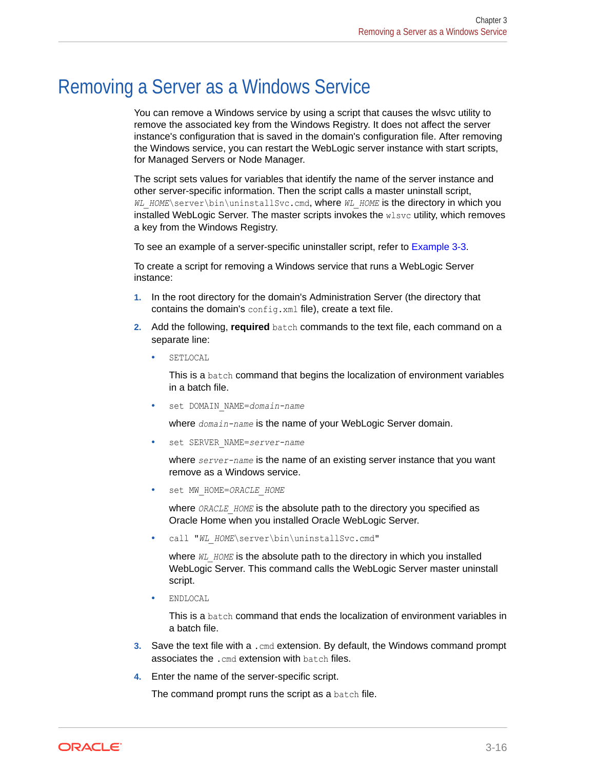## <span id="page-46-0"></span>Removing a Server as a Windows Service

You can remove a Windows service by using a script that causes the wlsvc utility to remove the associated key from the Windows Registry. It does not affect the server instance's configuration that is saved in the domain's configuration file. After removing the Windows service, you can restart the WebLogic server instance with start scripts, for Managed Servers or Node Manager.

The script sets values for variables that identify the name of the server instance and other server-specific information. Then the script calls a master uninstall script, *WL\_HOME*\server\bin\uninstallSvc.cmd, where *WL\_HOME* is the directory in which you installed WebLogic Server. The master scripts invokes the wlsvc utility, which removes a key from the Windows Registry.

To see an example of a server-specific uninstaller script, refer to [Example 3-3.](#page-47-0)

To create a script for removing a Windows service that runs a WebLogic Server instance:

- **1.** In the root directory for the domain's Administration Server (the directory that contains the domain's config.xml file), create a text file.
- **2.** Add the following, **required** batch commands to the text file, each command on a separate line:
	- **SETLOCAL**

This is a batch command that begins the localization of environment variables in a batch file.

set DOMAIN NAME=domain-name

where *domain-name* is the name of your WebLogic Server domain.

set SERVER NAME=server-name

where *server-name* is the name of an existing server instance that you want remove as a Windows service.

• set MW\_HOME=*ORACLE\_HOME*

where *ORACLE\_HOME* is the absolute path to the directory you specified as Oracle Home when you installed Oracle WebLogic Server.

• call "*WL\_HOME*\server\bin\uninstallSvc.cmd"

where *WL\_HOME* is the absolute path to the directory in which you installed WebLogic Server. This command calls the WebLogic Server master uninstall script.

• ENDLOCAL

This is a batch command that ends the localization of environment variables in a batch file.

- **3.** Save the text file with a .cmd extension. By default, the Windows command prompt associates the .cmd extension with batch files.
- **4.** Enter the name of the server-specific script.

The command prompt runs the script as a batch file.

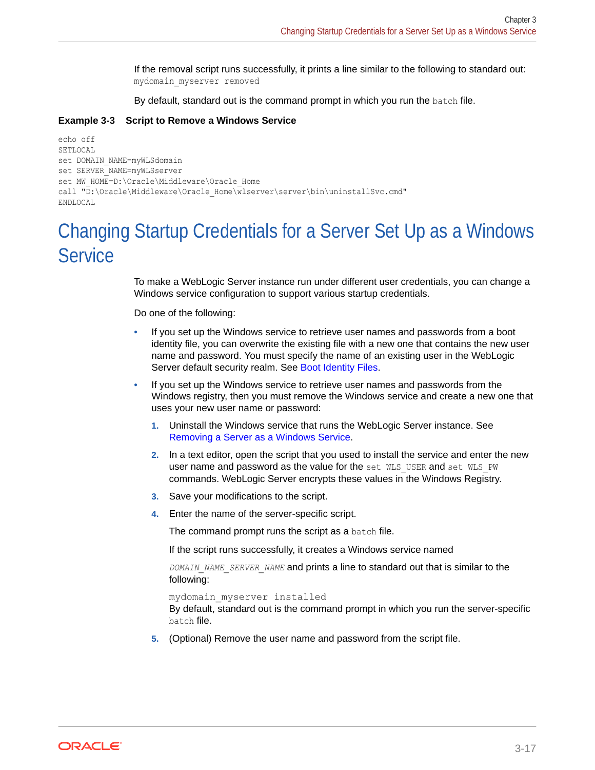If the removal script runs successfully, it prints a line similar to the following to standard out: mydomain\_myserver removed

By default, standard out is the command prompt in which you run the batch file.

#### <span id="page-47-0"></span>**Example 3-3 Script to Remove a Windows Service**

```
echo off
SETLOCAL
set DOMAIN NAME=myWLSdomain
set SERVER NAME=myWLSserver
set MW_HOME=D:\Oracle\Middleware\Oracle_Home
call "D:\Oracle\Middleware\Oracle_Home\wlserver\server\bin\uninstallSvc.cmd"
ENDLOCAL
```
## Changing Startup Credentials for a Server Set Up as a Windows **Service**

To make a WebLogic Server instance run under different user credentials, you can change a Windows service configuration to support various startup credentials.

Do one of the following:

- If you set up the Windows service to retrieve user names and passwords from a boot identity file, you can overwrite the existing file with a new one that contains the new user name and password. You must specify the name of an existing user in the WebLogic Server default security realm. See [Boot Identity Files.](#page-17-0)
- If you set up the Windows service to retrieve user names and passwords from the Windows registry, then you must remove the Windows service and create a new one that uses your new user name or password:
	- **1.** Uninstall the Windows service that runs the WebLogic Server instance. See [Removing a Server as a Windows Service.](#page-46-0)
	- **2.** In a text editor, open the script that you used to install the service and enter the new user name and password as the value for the set WLS\_USER and set WLS\_PW commands. WebLogic Server encrypts these values in the Windows Registry.
	- **3.** Save your modifications to the script.
	- **4.** Enter the name of the server-specific script.

The command prompt runs the script as a batch file.

If the script runs successfully, it creates a Windows service named

*DOMAIN\_NAME\_SERVER\_NAME* and prints a line to standard out that is similar to the following:

```
mydomain_myserver installed
```
By default, standard out is the command prompt in which you run the server-specific batch file.

**5.** (Optional) Remove the user name and password from the script file.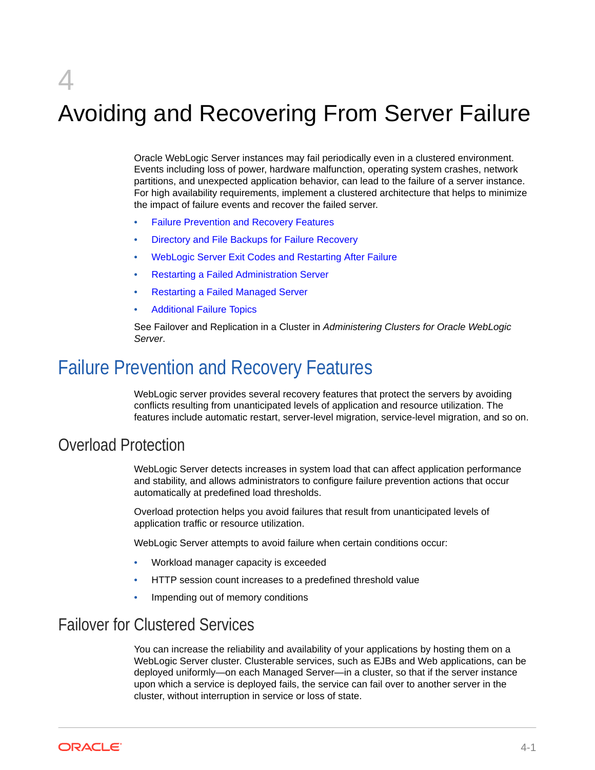# Avoiding and Recovering From Server Failure

Oracle WebLogic Server instances may fail periodically even in a clustered environment. Events including loss of power, hardware malfunction, operating system crashes, network partitions, and unexpected application behavior, can lead to the failure of a server instance. For high availability requirements, implement a clustered architecture that helps to minimize the impact of failure events and recover the failed server.

- Failure Prevention and Recovery Features
- [Directory and File Backups for Failure Recovery](#page-50-0)
- [WebLogic Server Exit Codes and Restarting After Failure](#page-51-0)
- [Restarting a Failed Administration Server](#page-52-0)
- [Restarting a Failed Managed Server](#page-55-0)
- [Additional Failure Topics](#page-58-0)

See Failover and Replication in a Cluster in *Administering Clusters for Oracle WebLogic Server*.

## Failure Prevention and Recovery Features

WebLogic server provides several recovery features that protect the servers by avoiding conflicts resulting from unanticipated levels of application and resource utilization. The features include automatic restart, server-level migration, service-level migration, and so on.

### Overload Protection

WebLogic Server detects increases in system load that can affect application performance and stability, and allows administrators to configure failure prevention actions that occur automatically at predefined load thresholds.

Overload protection helps you avoid failures that result from unanticipated levels of application traffic or resource utilization.

WebLogic Server attempts to avoid failure when certain conditions occur:

- Workload manager capacity is exceeded
- HTTP session count increases to a predefined threshold value
- Impending out of memory conditions

### Failover for Clustered Services

You can increase the reliability and availability of your applications by hosting them on a WebLogic Server cluster. Clusterable services, such as EJBs and Web applications, can be deployed uniformly—on each Managed Server—in a cluster, so that if the server instance upon which a service is deployed fails, the service can fail over to another server in the cluster, without interruption in service or loss of state.

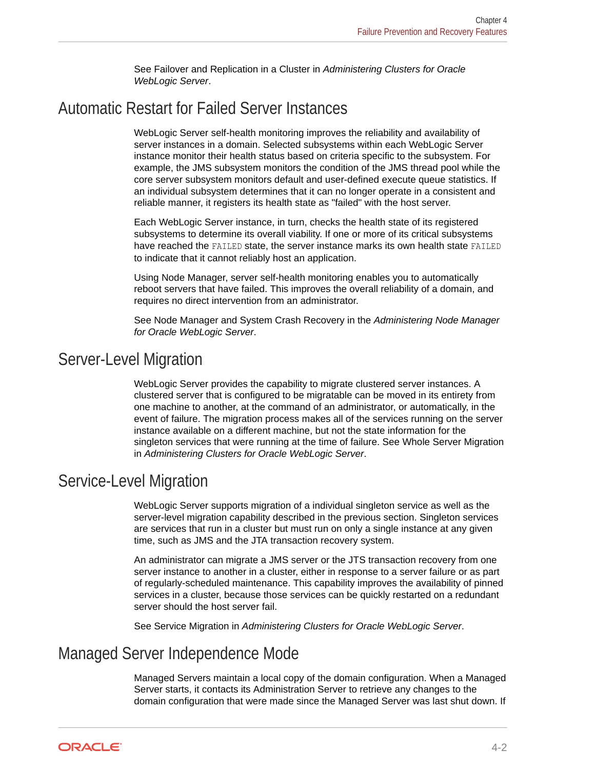See Failover and Replication in a Cluster in *Administering Clusters for Oracle WebLogic Server*.

### <span id="page-49-0"></span>Automatic Restart for Failed Server Instances

WebLogic Server self-health monitoring improves the reliability and availability of server instances in a domain. Selected subsystems within each WebLogic Server instance monitor their health status based on criteria specific to the subsystem. For example, the JMS subsystem monitors the condition of the JMS thread pool while the core server subsystem monitors default and user-defined execute queue statistics. If an individual subsystem determines that it can no longer operate in a consistent and reliable manner, it registers its health state as "failed" with the host server.

Each WebLogic Server instance, in turn, checks the health state of its registered subsystems to determine its overall viability. If one or more of its critical subsystems have reached the FAILED state, the server instance marks its own health state FAILED to indicate that it cannot reliably host an application.

Using Node Manager, server self-health monitoring enables you to automatically reboot servers that have failed. This improves the overall reliability of a domain, and requires no direct intervention from an administrator.

See Node Manager and System Crash Recovery in the *Administering Node Manager for Oracle WebLogic Server*.

### Server-Level Migration

WebLogic Server provides the capability to migrate clustered server instances. A clustered server that is configured to be migratable can be moved in its entirety from one machine to another, at the command of an administrator, or automatically, in the event of failure. The migration process makes all of the services running on the server instance available on a different machine, but not the state information for the singleton services that were running at the time of failure. See Whole Server Migration in *Administering Clusters for Oracle WebLogic Server*.

### Service-Level Migration

WebLogic Server supports migration of a individual singleton service as well as the server-level migration capability described in the previous section. Singleton services are services that run in a cluster but must run on only a single instance at any given time, such as JMS and the JTA transaction recovery system.

An administrator can migrate a JMS server or the JTS transaction recovery from one server instance to another in a cluster, either in response to a server failure or as part of regularly-scheduled maintenance. This capability improves the availability of pinned services in a cluster, because those services can be quickly restarted on a redundant server should the host server fail.

See Service Migration in *Administering Clusters for Oracle WebLogic Server*.

### Managed Server Independence Mode

Managed Servers maintain a local copy of the domain configuration. When a Managed Server starts, it contacts its Administration Server to retrieve any changes to the domain configuration that were made since the Managed Server was last shut down. If

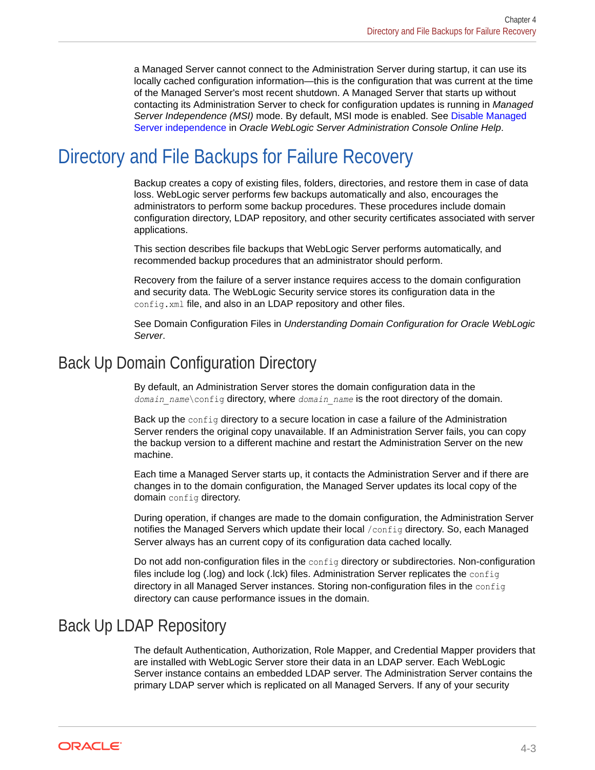<span id="page-50-0"></span>a Managed Server cannot connect to the Administration Server during startup, it can use its locally cached configuration information—this is the configuration that was current at the time of the Managed Server's most recent shutdown. A Managed Server that starts up without contacting its Administration Server to check for configuration updates is running in *Managed Server Independence (MSI)* mode. By default, MSI mode is enabled. See Disable Managed Server independence in *Oracle WebLogic Server Administration Console Online Help*.

## Directory and File Backups for Failure Recovery

Backup creates a copy of existing files, folders, directories, and restore them in case of data loss. WebLogic server performs few backups automatically and also, encourages the administrators to perform some backup procedures. These procedures include domain configuration directory, LDAP repository, and other security certificates associated with server applications.

This section describes file backups that WebLogic Server performs automatically, and recommended backup procedures that an administrator should perform.

Recovery from the failure of a server instance requires access to the domain configuration and security data. The WebLogic Security service stores its configuration data in the config.xml file, and also in an LDAP repository and other files.

See Domain Configuration Files in *Understanding Domain Configuration for Oracle WebLogic Server*.

### Back Up Domain Configuration Directory

By default, an Administration Server stores the domain configuration data in the *domain\_name*\config directory, where *domain\_name* is the root directory of the domain.

Back up the config directory to a secure location in case a failure of the Administration Server renders the original copy unavailable. If an Administration Server fails, you can copy the backup version to a different machine and restart the Administration Server on the new machine.

Each time a Managed Server starts up, it contacts the Administration Server and if there are changes in to the domain configuration, the Managed Server updates its local copy of the domain config directory.

During operation, if changes are made to the domain configuration, the Administration Server notifies the Managed Servers which update their local /config directory. So, each Managed Server always has an current copy of its configuration data cached locally.

Do not add non-configuration files in the config directory or subdirectories. Non-configuration files include log (.log) and lock (.lck) files. Administration Server replicates the config directory in all Managed Server instances. Storing non-configuration files in the config directory can cause performance issues in the domain.

### Back Up LDAP Repository

The default Authentication, Authorization, Role Mapper, and Credential Mapper providers that are installed with WebLogic Server store their data in an LDAP server. Each WebLogic Server instance contains an embedded LDAP server. The Administration Server contains the primary LDAP server which is replicated on all Managed Servers. If any of your security

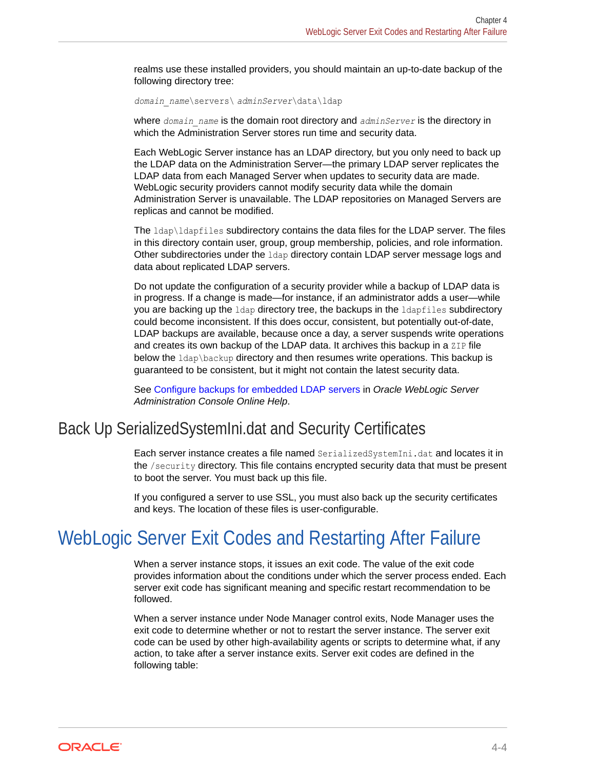<span id="page-51-0"></span>realms use these installed providers, you should maintain an up-to-date backup of the following directory tree:

*domain\_name*\servers\ *adminServer*\data\ldap

where *domain* name is the domain root directory and *adminServer* is the directory in which the Administration Server stores run time and security data.

Each WebLogic Server instance has an LDAP directory, but you only need to back up the LDAP data on the Administration Server—the primary LDAP server replicates the LDAP data from each Managed Server when updates to security data are made. WebLogic security providers cannot modify security data while the domain Administration Server is unavailable. The LDAP repositories on Managed Servers are replicas and cannot be modified.

The ldap\ldapfiles subdirectory contains the data files for the LDAP server. The files in this directory contain user, group, group membership, policies, and role information. Other subdirectories under the ldap directory contain LDAP server message logs and data about replicated LDAP servers.

Do not update the configuration of a security provider while a backup of LDAP data is in progress. If a change is made—for instance, if an administrator adds a user—while you are backing up the ldap directory tree, the backups in the ldapfiles subdirectory could become inconsistent. If this does occur, consistent, but potentially out-of-date, LDAP backups are available, because once a day, a server suspends write operations and creates its own backup of the LDAP data. It archives this backup in a ZIP file below the ldap\backup directory and then resumes write operations. This backup is guaranteed to be consistent, but it might not contain the latest security data.

See Configure backups for embedded LDAP servers in *Oracle WebLogic Server Administration Console Online Help*.

### Back Up SerializedSystemIni.dat and Security Certificates

Each server instance creates a file named SerializedSystemIni.dat and locates it in the /security directory. This file contains encrypted security data that must be present to boot the server. You must back up this file.

If you configured a server to use SSL, you must also back up the security certificates and keys. The location of these files is user-configurable.

## WebLogic Server Exit Codes and Restarting After Failure

When a server instance stops, it issues an exit code. The value of the exit code provides information about the conditions under which the server process ended. Each server exit code has significant meaning and specific restart recommendation to be followed.

When a server instance under Node Manager control exits, Node Manager uses the exit code to determine whether or not to restart the server instance. The server exit code can be used by other high-availability agents or scripts to determine what, if any action, to take after a server instance exits. Server exit codes are defined in the following table:

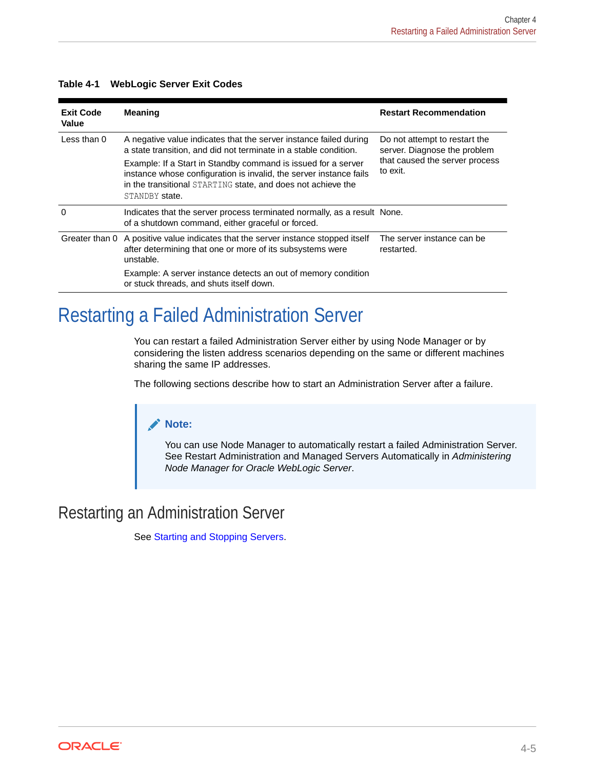| <b>Exit Code</b><br>Value | <b>Meaning</b>                                                                                                                                                                                                        | <b>Restart Recommendation</b>                                 |  |
|---------------------------|-----------------------------------------------------------------------------------------------------------------------------------------------------------------------------------------------------------------------|---------------------------------------------------------------|--|
| Less than 0               | A negative value indicates that the server instance failed during<br>a state transition, and did not terminate in a stable condition.                                                                                 | Do not attempt to restart the<br>server. Diagnose the problem |  |
|                           | Example: If a Start in Standby command is issued for a server<br>instance whose configuration is invalid, the server instance fails<br>in the transitional STARTING state, and does not achieve the<br>STANDBY state. | that caused the server process<br>to exit.                    |  |
| $\Omega$                  | Indicates that the server process terminated normally, as a result None.<br>of a shutdown command, either graceful or forced.                                                                                         |                                                               |  |
| Greater than 0            | A positive value indicates that the server instance stopped itself<br>after determining that one or more of its subsystems were<br>unstable.                                                                          | The server instance can be<br>restarted.                      |  |
|                           | Example: A server instance detects an out of memory condition<br>or stuck threads, and shuts itself down.                                                                                                             |                                                               |  |

#### <span id="page-52-0"></span>**Table 4-1 WebLogic Server Exit Codes**

## Restarting a Failed Administration Server

You can restart a failed Administration Server either by using Node Manager or by considering the listen address scenarios depending on the same or different machines sharing the same IP addresses.

The following sections describe how to start an Administration Server after a failure.

#### **Note:**

You can use Node Manager to automatically restart a failed Administration Server. See Restart Administration and Managed Servers Automatically in *Administering Node Manager for Oracle WebLogic Server*.

## Restarting an Administration Server

See [Starting and Stopping Servers.](#page-9-0)

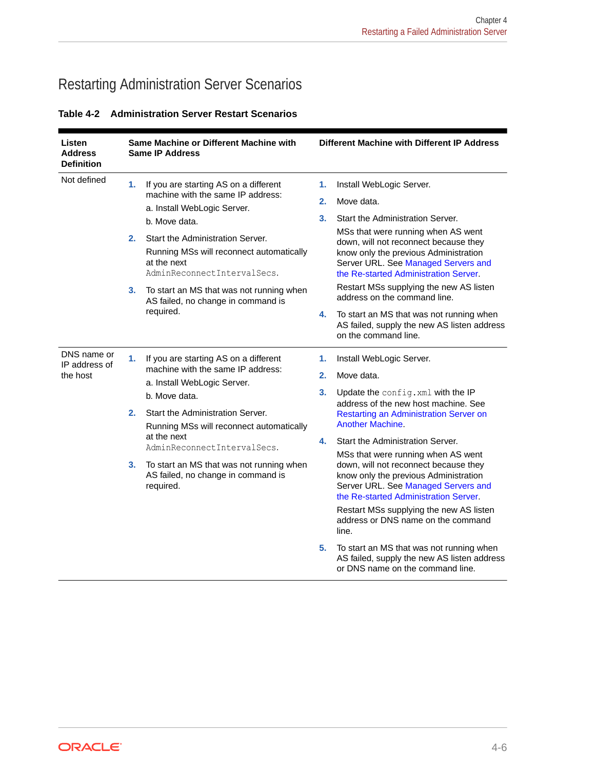## Restarting Administration Server Scenarios

| Listen<br><b>Address</b><br><b>Definition</b> |    | Same Machine or Different Machine with<br><b>Same IP Address</b>                                                                                                                                                          |    | Different Machine with Different IP Address                                                                                                                                                          |
|-----------------------------------------------|----|---------------------------------------------------------------------------------------------------------------------------------------------------------------------------------------------------------------------------|----|------------------------------------------------------------------------------------------------------------------------------------------------------------------------------------------------------|
| Not defined                                   | 1. | If you are starting AS on a different<br>machine with the same IP address:<br>a. Install WebLogic Server.<br>b. Move data.<br>Start the Administration Server.                                                            | 1. | Install WebLogic Server.                                                                                                                                                                             |
|                                               |    |                                                                                                                                                                                                                           | 2. | Move data.                                                                                                                                                                                           |
|                                               |    |                                                                                                                                                                                                                           | 3. | Start the Administration Server.                                                                                                                                                                     |
|                                               | 2. |                                                                                                                                                                                                                           |    | MSs that were running when AS went<br>down, will not reconnect because they<br>know only the previous Administration<br>Server URL. See Managed Servers and<br>the Re-started Administration Server. |
|                                               |    | Running MSs will reconnect automatically<br>at the next<br>AdminReconnectIntervalSecs.                                                                                                                                    |    |                                                                                                                                                                                                      |
|                                               | 3. | To start an MS that was not running when<br>AS failed, no change in command is<br>required.                                                                                                                               |    | Restart MSs supplying the new AS listen<br>address on the command line.                                                                                                                              |
|                                               |    |                                                                                                                                                                                                                           | 4. | To start an MS that was not running when<br>AS failed, supply the new AS listen address<br>on the command line.                                                                                      |
| DNS name or<br>IP address of<br>the host      | 1. | If you are starting AS on a different<br>machine with the same IP address:<br>a. Install WebLogic Server.<br>b. Move data.<br>Start the Administration Server.<br>Running MSs will reconnect automatically<br>at the next | 1. | Install WebLogic Server.                                                                                                                                                                             |
|                                               |    |                                                                                                                                                                                                                           | 2. | Move data.                                                                                                                                                                                           |
|                                               |    |                                                                                                                                                                                                                           | 3. | Update the config. xml with the IP                                                                                                                                                                   |
|                                               | 2. |                                                                                                                                                                                                                           |    | address of the new host machine. See<br>Restarting an Administration Server on<br><b>Another Machine.</b>                                                                                            |
|                                               |    |                                                                                                                                                                                                                           | 4. | Start the Administration Server.                                                                                                                                                                     |
|                                               | 3. | AdminReconnectIntervalSecs.<br>To start an MS that was not running when<br>AS failed, no change in command is<br>required.                                                                                                |    | MSs that were running when AS went<br>down, will not reconnect because they<br>know only the previous Administration<br>Server URL. See Managed Servers and<br>the Re-started Administration Server. |
|                                               |    |                                                                                                                                                                                                                           |    | Restart MSs supplying the new AS listen<br>address or DNS name on the command<br>line.                                                                                                               |
|                                               |    |                                                                                                                                                                                                                           | 5. | To start an MS that was not running when<br>AS failed, supply the new AS listen address<br>or DNS name on the command line.                                                                          |

**Table 4-2 Administration Server Restart Scenarios**

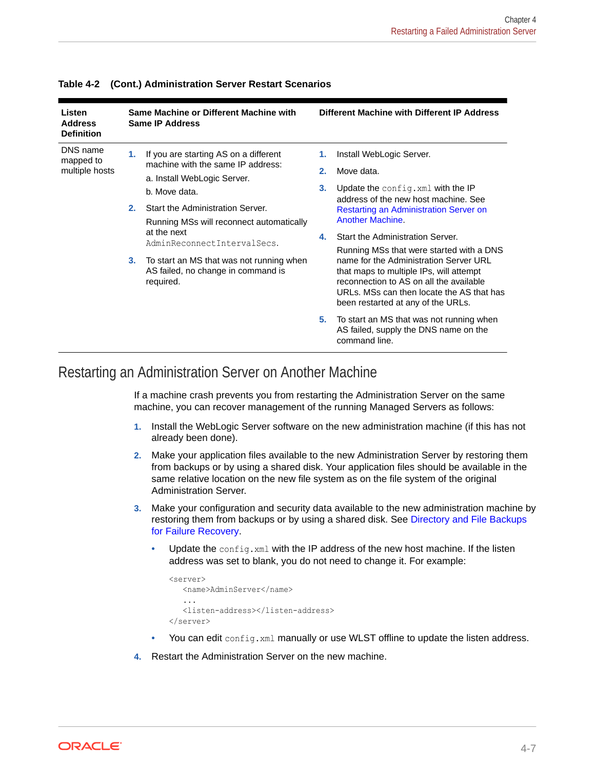| Listen<br><b>Address</b><br><b>Definition</b> | Same Machine or Different Machine with<br><b>Same IP Address</b> |                                                                                                                            | Different Machine with Different IP Address |                                                                                                                                                                                                                 |
|-----------------------------------------------|------------------------------------------------------------------|----------------------------------------------------------------------------------------------------------------------------|---------------------------------------------|-----------------------------------------------------------------------------------------------------------------------------------------------------------------------------------------------------------------|
| DNS name<br>mapped to<br>multiple hosts       | 1.                                                               | If you are starting AS on a different<br>machine with the same IP address:<br>a. Install WebLogic Server.<br>b. Move data. | 1.<br>2.<br>3.                              | Install WebLogic Server.<br>Move data.<br>Update the config. xml with the IP<br>address of the new host machine. See                                                                                            |
|                                               | 2.                                                               | Start the Administration Server.<br>Running MSs will reconnect automatically<br>at the next<br>AdminReconnectIntervalSecs. | 4.                                          | Restarting an Administration Server on<br><b>Another Machine.</b><br>Start the Administration Server.<br>Running MSs that were started with a DNS                                                               |
|                                               | 3.                                                               | To start an MS that was not running when<br>AS failed, no change in command is<br>required.                                |                                             | name for the Administration Server URL<br>that maps to multiple IPs, will attempt<br>reconnection to AS on all the available<br>URLs. MSs can then locate the AS that has<br>been restarted at any of the URLs. |
|                                               |                                                                  |                                                                                                                            | 5.                                          | To start an MS that was not running when<br>AS failed, supply the DNS name on the<br>command line.                                                                                                              |

#### <span id="page-54-0"></span>**Table 4-2 (Cont.) Administration Server Restart Scenarios**

### Restarting an Administration Server on Another Machine

If a machine crash prevents you from restarting the Administration Server on the same machine, you can recover management of the running Managed Servers as follows:

- **1.** Install the WebLogic Server software on the new administration machine (if this has not already been done).
- **2.** Make your application files available to the new Administration Server by restoring them from backups or by using a shared disk. Your application files should be available in the same relative location on the new file system as on the file system of the original Administration Server.
- **3.** Make your configuration and security data available to the new administration machine by restoring them from backups or by using a shared disk. See [Directory and File Backups](#page-50-0) [for Failure Recovery](#page-50-0).
	- Update the config.  $xml$  with the IP address of the new host machine. If the listen address was set to blank, you do not need to change it. For example:

```
<server>
    <name>AdminServer</name>
    ...
    <listen-address></listen-address>
</server>
```
- You can edit config.xml manually or use WLST offline to update the listen address.
- **4.** Restart the Administration Server on the new machine.

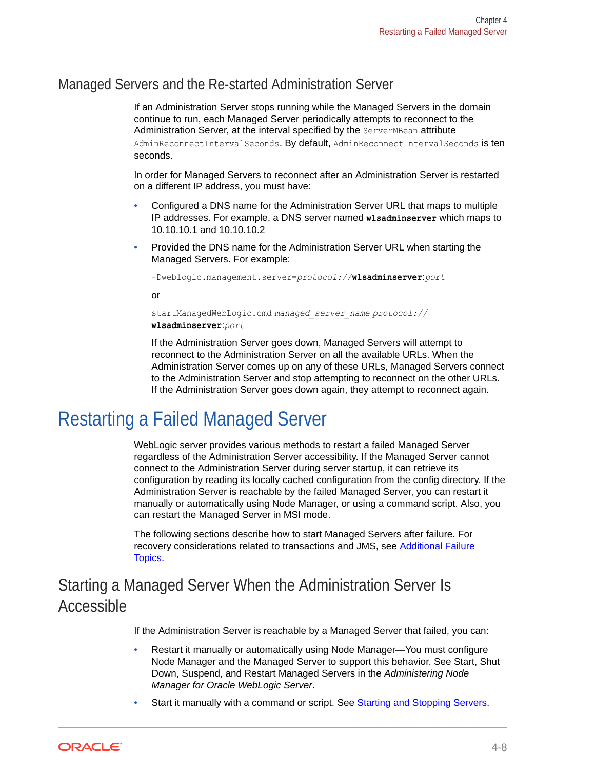### <span id="page-55-0"></span>Managed Servers and the Re-started Administration Server

If an Administration Server stops running while the Managed Servers in the domain continue to run, each Managed Server periodically attempts to reconnect to the Administration Server, at the interval specified by the ServerMBean attribute AdminReconnectIntervalSeconds. By default, AdminReconnectIntervalSeconds is ten seconds.

In order for Managed Servers to reconnect after an Administration Server is restarted on a different IP address, you must have:

- Configured a DNS name for the Administration Server URL that maps to multiple IP addresses. For example, a DNS server named **wlsadminserver** which maps to 10.10.10.1 and 10.10.10.2
- Provided the DNS name for the Administration Server URL when starting the Managed Servers. For example:

```
-Dweblogic.management.server=protocol://wlsadminserver:port
```
or

```
startManagedWebLogic.cmd managed_server_name protocol://
wlsadminserver:port
```
If the Administration Server goes down, Managed Servers will attempt to reconnect to the Administration Server on all the available URLs. When the Administration Server comes up on any of these URLs, Managed Servers connect to the Administration Server and stop attempting to reconnect on the other URLs. If the Administration Server goes down again, they attempt to reconnect again.

## Restarting a Failed Managed Server

WebLogic server provides various methods to restart a failed Managed Server regardless of the Administration Server accessibility. If the Managed Server cannot connect to the Administration Server during server startup, it can retrieve its configuration by reading its locally cached configuration from the config directory. If the Administration Server is reachable by the failed Managed Server, you can restart it manually or automatically using Node Manager, or using a command script. Also, you can restart the Managed Server in MSI mode.

The following sections describe how to start Managed Servers after failure. For recovery considerations related to transactions and JMS, see [Additional Failure](#page-58-0) [Topics](#page-58-0).

## Starting a Managed Server When the Administration Server Is Accessible

If the Administration Server is reachable by a Managed Server that failed, you can:

- Restart it manually or automatically using Node Manager—You must configure Node Manager and the Managed Server to support this behavior. See Start, Shut Down, Suspend, and Restart Managed Servers in the *Administering Node Manager for Oracle WebLogic Server*.
- Start it manually with a command or script. See [Starting and Stopping Servers](#page-9-0).

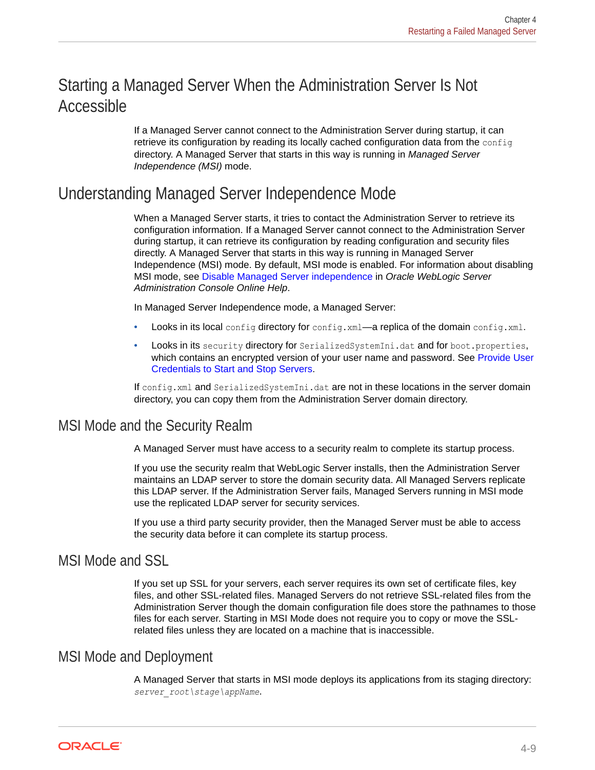## <span id="page-56-0"></span>Starting a Managed Server When the Administration Server Is Not Accessible

If a Managed Server cannot connect to the Administration Server during startup, it can retrieve its configuration by reading its locally cached configuration data from the config directory. A Managed Server that starts in this way is running in *Managed Server Independence (MSI)* mode.

### Understanding Managed Server Independence Mode

When a Managed Server starts, it tries to contact the Administration Server to retrieve its configuration information. If a Managed Server cannot connect to the Administration Server during startup, it can retrieve its configuration by reading configuration and security files directly. A Managed Server that starts in this way is running in Managed Server Independence (MSI) mode. By default, MSI mode is enabled. For information about disabling MSI mode, see Disable Managed Server independence in *Oracle WebLogic Server Administration Console Online Help*.

In Managed Server Independence mode, a Managed Server:

- Looks in its local config directory for config.xml—a replica of the domain config.xml.
- Looks in its security directory for SerializedSystemIni.dat and for boot.properties, which contains an encrypted version of your user name and password. See [Provide User](#page-15-0) [Credentials to Start and Stop Servers.](#page-15-0)

If config.xml and SerializedSystemIni.dat are not in these locations in the server domain directory, you can copy them from the Administration Server domain directory.

### MSI Mode and the Security Realm

A Managed Server must have access to a security realm to complete its startup process.

If you use the security realm that WebLogic Server installs, then the Administration Server maintains an LDAP server to store the domain security data. All Managed Servers replicate this LDAP server. If the Administration Server fails, Managed Servers running in MSI mode use the replicated LDAP server for security services.

If you use a third party security provider, then the Managed Server must be able to access the security data before it can complete its startup process.

### MSI Mode and SSL

If you set up SSL for your servers, each server requires its own set of certificate files, key files, and other SSL-related files. Managed Servers do not retrieve SSL-related files from the Administration Server though the domain configuration file does store the pathnames to those files for each server. Starting in MSI Mode does not require you to copy or move the SSLrelated files unless they are located on a machine that is inaccessible.

### MSI Mode and Deployment

A Managed Server that starts in MSI mode deploys its applications from its staging directory: *server\_root\stage\appName*.

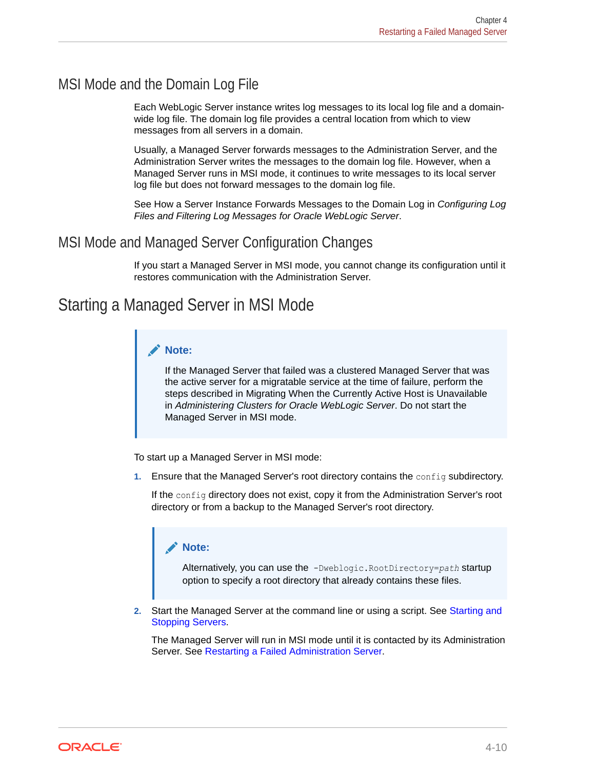### MSI Mode and the Domain Log File

Each WebLogic Server instance writes log messages to its local log file and a domainwide log file. The domain log file provides a central location from which to view messages from all servers in a domain.

Usually, a Managed Server forwards messages to the Administration Server, and the Administration Server writes the messages to the domain log file. However, when a Managed Server runs in MSI mode, it continues to write messages to its local server log file but does not forward messages to the domain log file.

See How a Server Instance Forwards Messages to the Domain Log in *Configuring Log Files and Filtering Log Messages for Oracle WebLogic Server*.

### MSI Mode and Managed Server Configuration Changes

If you start a Managed Server in MSI mode, you cannot change its configuration until it restores communication with the Administration Server.

### Starting a Managed Server in MSI Mode

#### **Note:**

If the Managed Server that failed was a clustered Managed Server that was the active server for a migratable service at the time of failure, perform the steps described in Migrating When the Currently Active Host is Unavailable in *Administering Clusters for Oracle WebLogic Server*. Do not start the Managed Server in MSI mode.

To start up a Managed Server in MSI mode:

**1.** Ensure that the Managed Server's root directory contains the config subdirectory.

If the config directory does not exist, copy it from the Administration Server's root directory or from a backup to the Managed Server's root directory.

#### **Note:**

Alternatively, you can use the -Dweblogic.RootDirectory=*path* startup option to specify a root directory that already contains these files.

**2.** Start the Managed Server at the command line or using a script. See [Starting and](#page-9-0) [Stopping Servers.](#page-9-0)

The Managed Server will run in MSI mode until it is contacted by its Administration Server. See [Restarting a Failed Administration Server](#page-52-0).

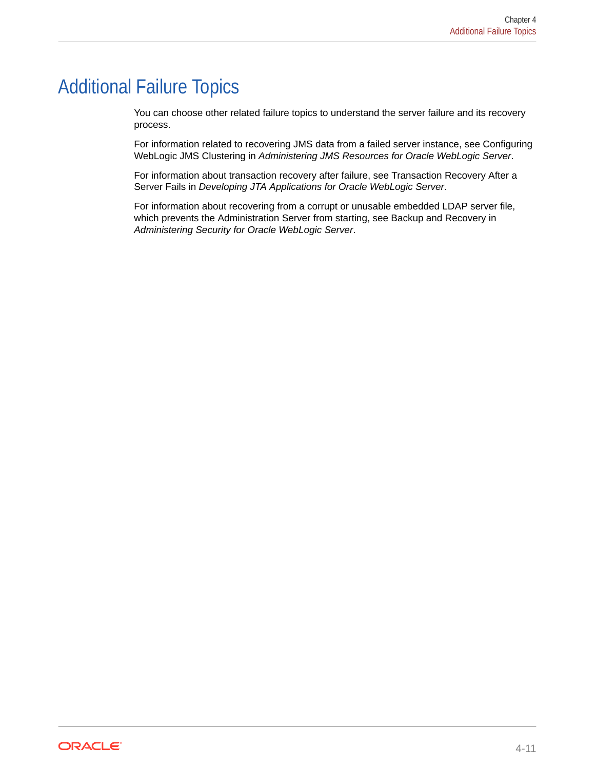## <span id="page-58-0"></span>Additional Failure Topics

You can choose other related failure topics to understand the server failure and its recovery process.

For information related to recovering JMS data from a failed server instance, see Configuring WebLogic JMS Clustering in *Administering JMS Resources for Oracle WebLogic Server*.

For information about transaction recovery after failure, see Transaction Recovery After a Server Fails in *Developing JTA Applications for Oracle WebLogic Server*.

For information about recovering from a corrupt or unusable embedded LDAP server file, which prevents the Administration Server from starting, see Backup and Recovery in *Administering Security for Oracle WebLogic Server*.

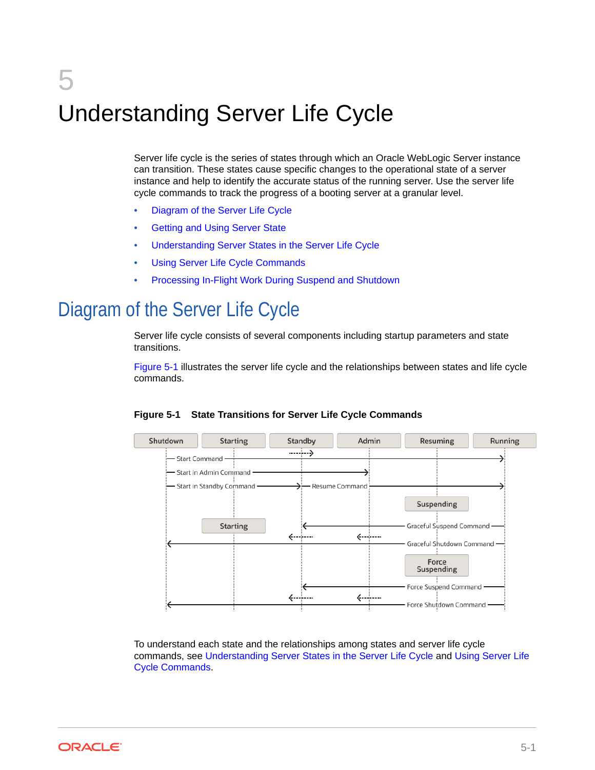# <span id="page-59-0"></span>5 Understanding Server Life Cycle

Server life cycle is the series of states through which an Oracle WebLogic Server instance can transition. These states cause specific changes to the operational state of a server instance and help to identify the accurate status of the running server. Use the server life cycle commands to track the progress of a booting server at a granular level.

- Diagram of the Server Life Cycle
- [Getting and Using Server State](#page-60-0)
- [Understanding Server States in the Server Life Cycle](#page-60-0)
- [Using Server Life Cycle Commands](#page-65-0)
- [Processing In-Flight Work During Suspend and Shutdown](#page-68-0)

## Diagram of the Server Life Cycle

Server life cycle consists of several components including startup parameters and state transitions.

Figure 5-1 illustrates the server life cycle and the relationships between states and life cycle commands.



**Figure 5-1 State Transitions for Server Life Cycle Commands**

To understand each state and the relationships among states and server life cycle commands, see [Understanding Server States in the Server Life Cycle](#page-60-0) and [Using Server Life](#page-65-0) [Cycle Commands.](#page-65-0)

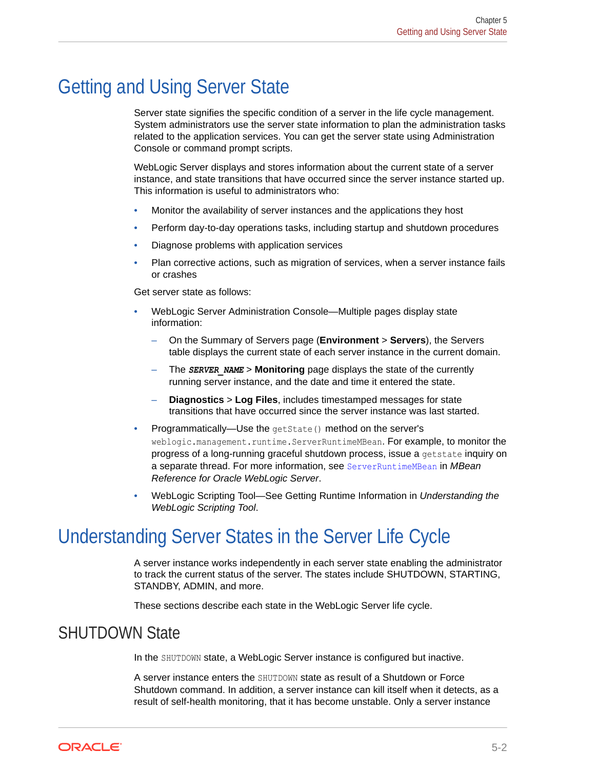## <span id="page-60-0"></span>Getting and Using Server State

Server state signifies the specific condition of a server in the life cycle management. System administrators use the server state information to plan the administration tasks related to the application services. You can get the server state using Administration Console or command prompt scripts.

WebLogic Server displays and stores information about the current state of a server instance, and state transitions that have occurred since the server instance started up. This information is useful to administrators who:

- Monitor the availability of server instances and the applications they host
- Perform day-to-day operations tasks, including startup and shutdown procedures
- Diagnose problems with application services
- Plan corrective actions, such as migration of services, when a server instance fails or crashes

Get server state as follows:

- WebLogic Server Administration Console—Multiple pages display state information:
	- On the Summary of Servers page (**Environment** > **Servers**), the Servers table displays the current state of each server instance in the current domain.
	- The *SERVER\_NAME* > **Monitoring** page displays the state of the currently running server instance, and the date and time it entered the state.
	- **Diagnostics** > **Log Files**, includes timestamped messages for state transitions that have occurred since the server instance was last started.
- Programmatically—Use the getState() method on the server's weblogic.management.runtime.ServerRuntimeMBean. For example, to monitor the progress of a long-running graceful shutdown process, issue a getstate inquiry on a separate thread. For more information, see ServerRuntimeMBean in *MBean Reference for Oracle WebLogic Server*.
- WebLogic Scripting Tool—See Getting Runtime Information in *Understanding the WebLogic Scripting Tool*.

## Understanding Server States in the Server Life Cycle

A server instance works independently in each server state enabling the administrator to track the current status of the server. The states include SHUTDOWN, STARTING, STANDBY, ADMIN, and more.

These sections describe each state in the WebLogic Server life cycle.

### SHUTDOWN State

In the SHUTDOWN state, a WebLogic Server instance is configured but inactive.

A server instance enters the SHUTDOWN state as result of a Shutdown or Force Shutdown command. In addition, a server instance can kill itself when it detects, as a result of self-health monitoring, that it has become unstable. Only a server instance

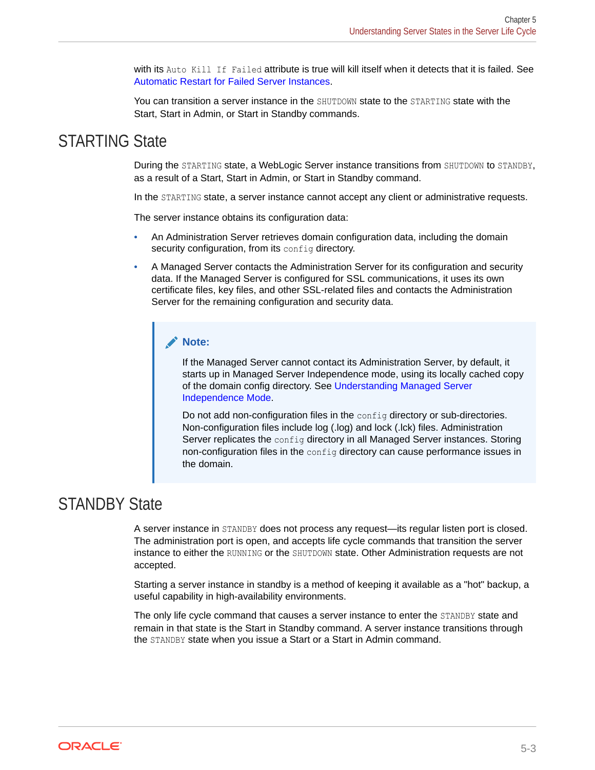with its Auto Kill If Failed attribute is true will kill itself when it detects that it is failed. See [Automatic Restart for Failed Server Instances.](#page-49-0)

You can transition a server instance in the SHUTDOWN state to the STARTING state with the Start, Start in Admin, or Start in Standby commands.

### STARTING State

During the STARTING state, a WebLogic Server instance transitions from SHUTDOWN to STANDBY, as a result of a Start, Start in Admin, or Start in Standby command.

In the STARTING state, a server instance cannot accept any client or administrative requests.

The server instance obtains its configuration data:

- An Administration Server retrieves domain configuration data, including the domain security configuration, from its config directory.
- A Managed Server contacts the Administration Server for its configuration and security data. If the Managed Server is configured for SSL communications, it uses its own certificate files, key files, and other SSL-related files and contacts the Administration Server for the remaining configuration and security data.

#### **Note:**

If the Managed Server cannot contact its Administration Server, by default, it starts up in Managed Server Independence mode, using its locally cached copy of the domain config directory. See [Understanding Managed Server](#page-56-0) [Independence Mode.](#page-56-0)

Do not add non-configuration files in the config directory or sub-directories. Non-configuration files include log (.log) and lock (.lck) files. Administration Server replicates the  $\text{config}$  directory in all Managed Server instances. Storing non-configuration files in the config directory can cause performance issues in the domain.

### STANDBY State

A server instance in STANDBY does not process any request—its regular listen port is closed. The administration port is open, and accepts life cycle commands that transition the server instance to either the RUNNING or the SHUTDOWN state. Other Administration requests are not accepted.

Starting a server instance in standby is a method of keeping it available as a "hot" backup, a useful capability in high-availability environments.

The only life cycle command that causes a server instance to enter the STANDBY state and remain in that state is the Start in Standby command. A server instance transitions through the STANDBY state when you issue a Start or a Start in Admin command.

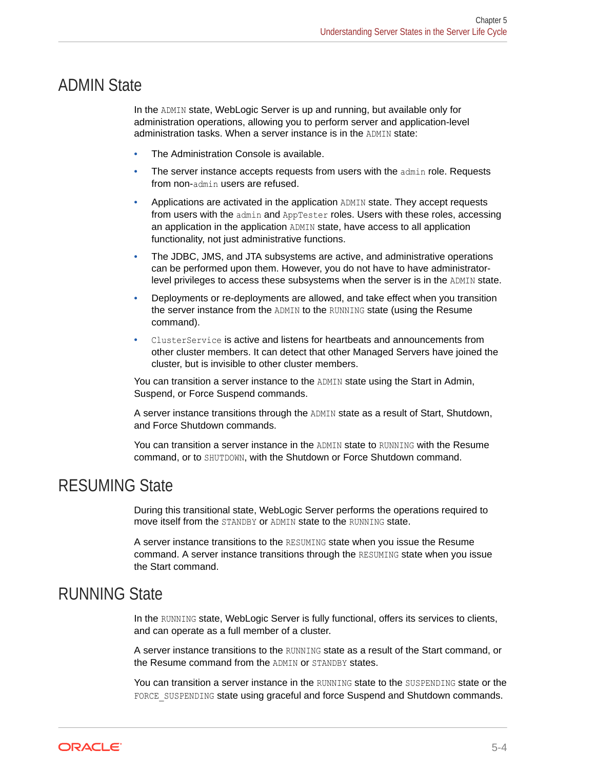### ADMIN State

In the ADMIN state, WebLogic Server is up and running, but available only for administration operations, allowing you to perform server and application-level administration tasks. When a server instance is in the ADMIN state:

- The Administration Console is available.
- The server instance accepts requests from users with the admin role. Requests from non-admin users are refused.
- Applications are activated in the application ADMIN state. They accept requests from users with the admin and AppTester roles. Users with these roles, accessing an application in the application ADMIN state, have access to all application functionality, not just administrative functions.
- The JDBC, JMS, and JTA subsystems are active, and administrative operations can be performed upon them. However, you do not have to have administratorlevel privileges to access these subsystems when the server is in the ADMIN state.
- Deployments or re-deployments are allowed, and take effect when you transition the server instance from the ADMIN to the RUNNING state (using the Resume command).
- ClusterService is active and listens for heartbeats and announcements from other cluster members. It can detect that other Managed Servers have joined the cluster, but is invisible to other cluster members.

You can transition a server instance to the ADMIN state using the Start in Admin, Suspend, or Force Suspend commands.

A server instance transitions through the ADMIN state as a result of Start, Shutdown, and Force Shutdown commands.

You can transition a server instance in the ADMIN state to RUNNING with the Resume command, or to SHUTDOWN, with the Shutdown or Force Shutdown command.

### RESUMING State

During this transitional state, WebLogic Server performs the operations required to move itself from the STANDBY or ADMIN state to the RUNNING state.

A server instance transitions to the RESUMING state when you issue the Resume command. A server instance transitions through the RESUMING state when you issue the Start command.

### RUNNING State

In the RUNNING state, WebLogic Server is fully functional, offers its services to clients, and can operate as a full member of a cluster.

A server instance transitions to the RUNNING state as a result of the Start command, or the Resume command from the ADMIN or STANDBY states.

You can transition a server instance in the RUNNING state to the SUSPENDING state or the FORCE SUSPENDING state using graceful and force Suspend and Shutdown commands.

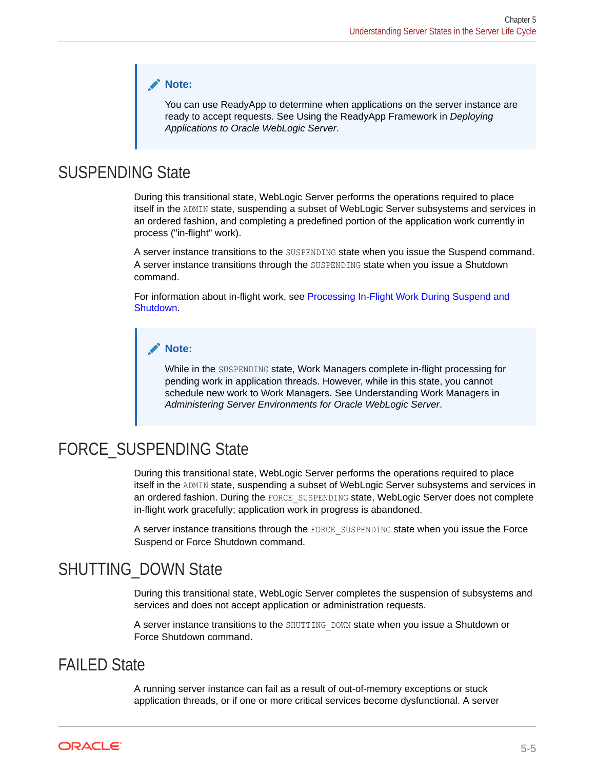#### **Note:**

You can use ReadyApp to determine when applications on the server instance are ready to accept requests. See Using the ReadyApp Framework in *Deploying Applications to Oracle WebLogic Server*.

### SUSPENDING State

During this transitional state, WebLogic Server performs the operations required to place itself in the ADMIN state, suspending a subset of WebLogic Server subsystems and services in an ordered fashion, and completing a predefined portion of the application work currently in process ("in-flight" work).

A server instance transitions to the SUSPENDING state when you issue the Suspend command. A server instance transitions through the SUSPENDING state when you issue a Shutdown command.

For information about in-flight work, see [Processing In-Flight Work During Suspend and](#page-68-0) [Shutdown](#page-68-0).

#### **Note:**

While in the SUSPENDING state, Work Managers complete in-flight processing for pending work in application threads. However, while in this state, you cannot schedule new work to Work Managers. See Understanding Work Managers in *Administering Server Environments for Oracle WebLogic Server*.

### FORCE SUSPENDING State

During this transitional state, WebLogic Server performs the operations required to place itself in the ADMIN state, suspending a subset of WebLogic Server subsystems and services in an ordered fashion. During the FORCE\_SUSPENDING state, WebLogic Server does not complete in-flight work gracefully; application work in progress is abandoned.

A server instance transitions through the FORCE\_SUSPENDING state when you issue the Force Suspend or Force Shutdown command.

### SHUTTING\_DOWN State

During this transitional state, WebLogic Server completes the suspension of subsystems and services and does not accept application or administration requests.

A server instance transitions to the SHUTTING DOWN state when you issue a Shutdown or Force Shutdown command.

### FAILED State

A running server instance can fail as a result of out-of-memory exceptions or stuck application threads, or if one or more critical services become dysfunctional. A server

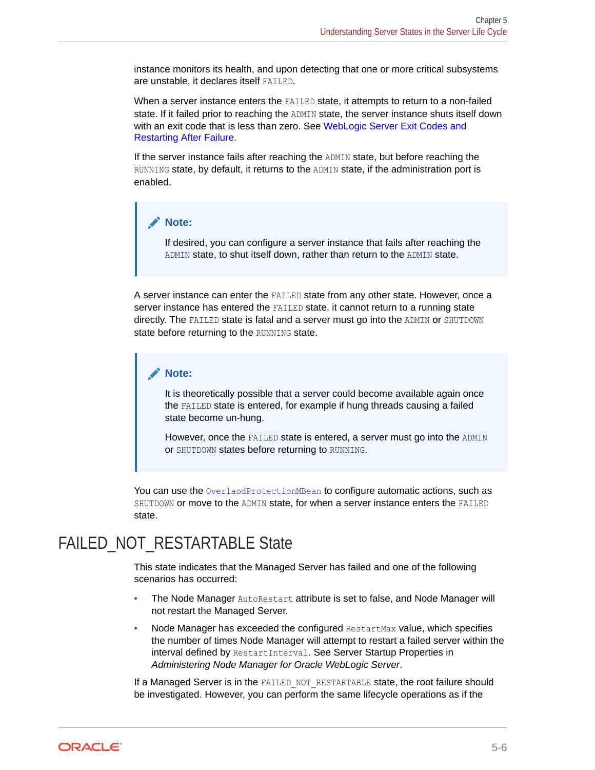instance monitors its health, and upon detecting that one or more critical subsystems are unstable, it declares itself FAILED.

When a server instance enters the FAILED state, it attempts to return to a non-failed state. If it failed prior to reaching the ADMIN state, the server instance shuts itself down with an exit code that is less than zero. See [WebLogic Server Exit Codes and](#page-51-0) [Restarting After Failure.](#page-51-0)

If the server instance fails after reaching the ADMIN state, but before reaching the RUNNING state, by default, it returns to the ADMIN state, if the administration port is enabled.

#### **Note:**

If desired, you can configure a server instance that fails after reaching the ADMIN state, to shut itself down, rather than return to the ADMIN state.

A server instance can enter the FAILED state from any other state. However, once a server instance has entered the FAILED state, it cannot return to a running state directly. The FAILED state is fatal and a server must go into the ADMIN or SHUTDOWN state before returning to the RUNNING state.

#### **Note:**

It is theoretically possible that a server could become available again once the FAILED state is entered, for example if hung threads causing a failed state become un-hung.

However, once the FAILED state is entered, a server must go into the ADMIN or SHUTDOWN states before returning to RUNNING.

You can use the OverlaodProtectionMBean to configure automatic actions, such as SHUTDOWN or move to the ADMIN state, for when a server instance enters the FAILED state.

### FAILED\_NOT\_RESTARTABLE State

This state indicates that the Managed Server has failed and one of the following scenarios has occurred:

- The Node Manager AutoRestart attribute is set to false, and Node Manager will not restart the Managed Server.
- Node Manager has exceeded the configured RestartMax value, which specifies the number of times Node Manager will attempt to restart a failed server within the interval defined by RestartInterval. See Server Startup Properties in *Administering Node Manager for Oracle WebLogic Server*.

If a Managed Server is in the FAILED NOT RESTARTABLE state, the root failure should be investigated. However, you can perform the same lifecycle operations as if the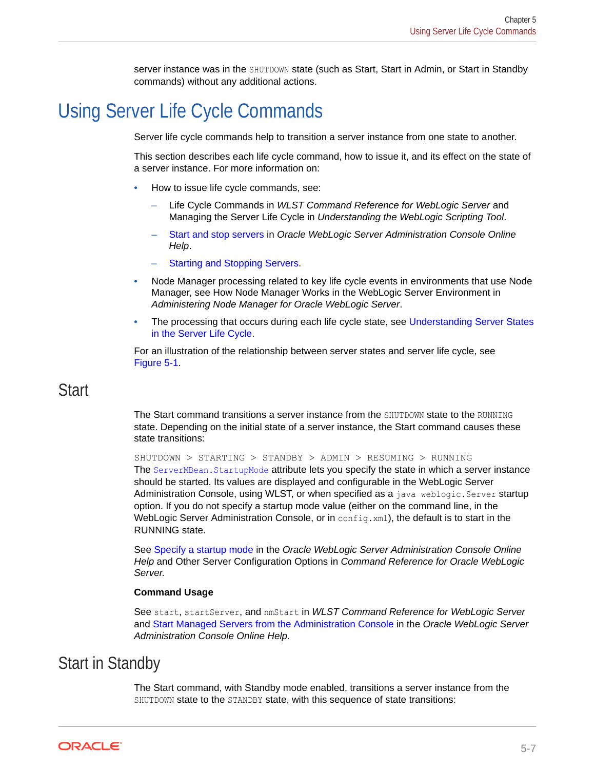server instance was in the SHUTDOWN state (such as Start, Start in Admin, or Start in Standby commands) without any additional actions.

## <span id="page-65-0"></span>Using Server Life Cycle Commands

Server life cycle commands help to transition a server instance from one state to another.

This section describes each life cycle command, how to issue it, and its effect on the state of a server instance. For more information on:

- How to issue life cycle commands, see:
	- Life Cycle Commands in *WLST Command Reference for WebLogic Server* and Managing the Server Life Cycle in *Understanding the WebLogic Scripting Tool*.
	- Start and stop servers in *Oracle WebLogic Server Administration Console Online Help*.
	- **[Starting and Stopping Servers](#page-9-0).**
- Node Manager processing related to key life cycle events in environments that use Node Manager, see How Node Manager Works in the WebLogic Server Environment in *Administering Node Manager for Oracle WebLogic Server*.
- The processing that occurs during each life cycle state, see [Understanding Server States](#page-60-0) [in the Server Life Cycle](#page-60-0).

For an illustration of the relationship between server states and server life cycle, see [Figure 5-1.](#page-59-0)

### **Start**

The Start command transitions a server instance from the SHUTDOWN state to the RUNNING state. Depending on the initial state of a server instance, the Start command causes these state transitions:

SHUTDOWN > STARTING > STANDBY > ADMIN > RESUMING > RUNNING The ServerMBean. StartupMode attribute lets you specify the state in which a server instance should be started. Its values are displayed and configurable in the WebLogic Server Administration Console, using WLST, or when specified as a java weblogic. Server startup option. If you do not specify a startup mode value (either on the command line, in the WebLogic Server Administration Console, or in config. xml), the default is to start in the RUNNING state.

See Specify a startup mode in the *Oracle WebLogic Server Administration Console Online Help* and Other Server Configuration Options in *Command Reference for Oracle WebLogic Server.*

#### **Command Usage**

See start, startServer, and nmStart in *WLST Command Reference for WebLogic Server* and Start Managed Servers from the Administration Console in the *Oracle WebLogic Server Administration Console Online Help.*

### Start in Standby

The Start command, with Standby mode enabled, transitions a server instance from the SHUTDOWN state to the STANDBY state, with this sequence of state transitions:

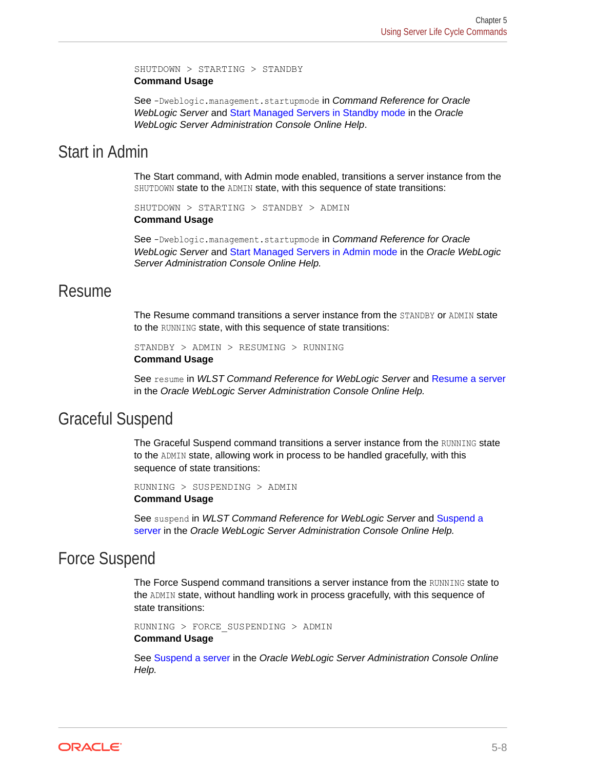SHUTDOWN > STARTING > STANDBY **Command Usage**

See -Dweblogic.management.startupmode in *Command Reference for Oracle WebLogic Server* and Start Managed Servers in Standby mode in the *Oracle WebLogic Server Administration Console Online Help*.

### Start in Admin

The Start command, with Admin mode enabled, transitions a server instance from the SHUTDOWN state to the ADMIN state, with this sequence of state transitions:

SHUTDOWN > STARTING > STANDBY > ADMIN **Command Usage**

See -Dweblogic.management.startupmode in *Command Reference for Oracle WebLogic Server* and Start Managed Servers in Admin mode in the *Oracle WebLogic Server Administration Console Online Help.*

### Resume

The Resume command transitions a server instance from the STANDBY or ADMIN state to the RUNNING state, with this sequence of state transitions:

STANDBY > ADMIN > RESUMING > RUNNING **Command Usage**

See resume in *WLST Command Reference for WebLogic Server* and Resume a server in the *Oracle WebLogic Server Administration Console Online Help.*

### Graceful Suspend

The Graceful Suspend command transitions a server instance from the RUNNING state to the ADMIN state, allowing work in process to be handled gracefully, with this sequence of state transitions:

```
RUNNING > SUSPENDING > ADMIN
Command Usage
```
See suspend in *WLST Command Reference for WebLogic Server* and Suspend a server in the *Oracle WebLogic Server Administration Console Online Help.*

### Force Suspend

The Force Suspend command transitions a server instance from the RUNNING state to the ADMIN state, without handling work in process gracefully, with this sequence of state transitions:

```
RUNNING > FORCE_SUSPENDING > ADMIN
Command Usage
```
See Suspend a server in the *Oracle WebLogic Server Administration Console Online Help.*

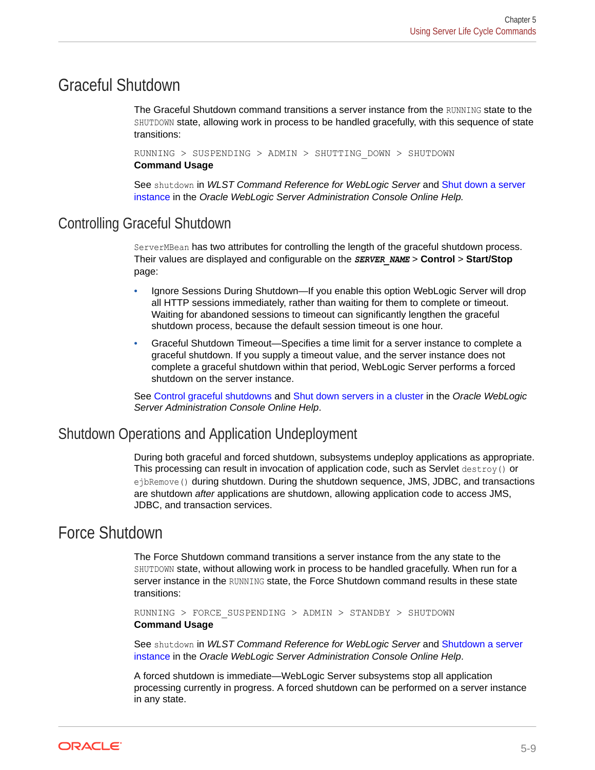### <span id="page-67-0"></span>Graceful Shutdown

The Graceful Shutdown command transitions a server instance from the RUNNING state to the SHUTDOWN state, allowing work in process to be handled gracefully, with this sequence of state transitions:

RUNNING > SUSPENDING > ADMIN > SHUTTING\_DOWN > SHUTDOWN **Command Usage**

See shutdown in *WLST Command Reference for WebLogic Server* and Shut down a server instance in the *Oracle WebLogic Server Administration Console Online Help.*

### Controlling Graceful Shutdown

ServerMBean has two attributes for controlling the length of the graceful shutdown process. Their values are displayed and configurable on the *SERVER\_NAME* > **Control** > **Start/Stop** page:

- Ignore Sessions During Shutdown—If you enable this option WebLogic Server will drop all HTTP sessions immediately, rather than waiting for them to complete or timeout. Waiting for abandoned sessions to timeout can significantly lengthen the graceful shutdown process, because the default session timeout is one hour.
- Graceful Shutdown Timeout—Specifies a time limit for a server instance to complete a graceful shutdown. If you supply a timeout value, and the server instance does not complete a graceful shutdown within that period, WebLogic Server performs a forced shutdown on the server instance.

See Control graceful shutdowns and Shut down servers in a cluster in the *Oracle WebLogic Server Administration Console Online Help*.

### Shutdown Operations and Application Undeployment

During both graceful and forced shutdown, subsystems undeploy applications as appropriate. This processing can result in invocation of application code, such as Servlet destroy() or ejbRemove() during shutdown. During the shutdown sequence, JMS, JDBC, and transactions are shutdown *after* applications are shutdown, allowing application code to access JMS, JDBC, and transaction services.

### Force Shutdown

The Force Shutdown command transitions a server instance from the any state to the SHUTDOWN state, without allowing work in process to be handled gracefully. When run for a server instance in the RUNNING state, the Force Shutdown command results in these state transitions:

RUNNING > FORCE\_SUSPENDING > ADMIN > STANDBY > SHUTDOWN **Command Usage**

See shutdown in *WLST Command Reference for WebLogic Server* and Shutdown a server instance in the *Oracle WebLogic Server Administration Console Online Help*.

A forced shutdown is immediate—WebLogic Server subsystems stop all application processing currently in progress. A forced shutdown can be performed on a server instance in any state.

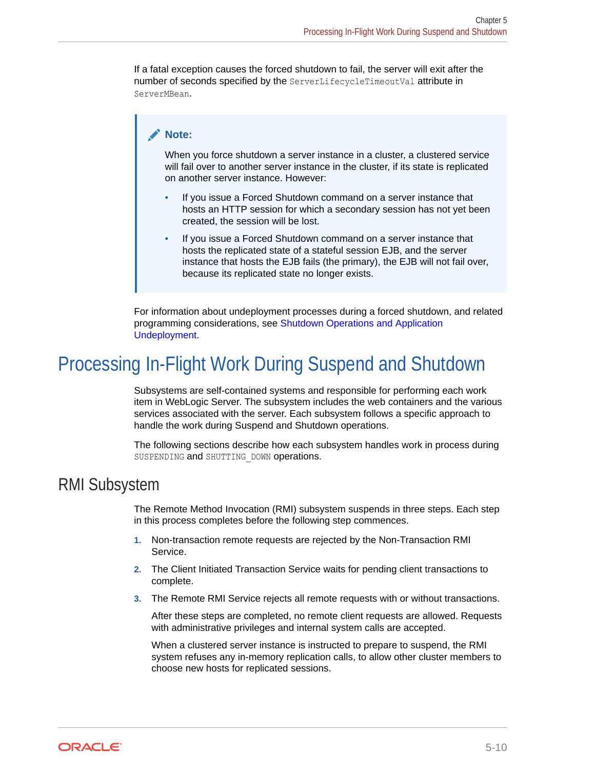<span id="page-68-0"></span>If a fatal exception causes the forced shutdown to fail, the server will exit after the number of seconds specified by the ServerLifecycleTimeoutVal attribute in ServerMBean.

#### **Note:**

When you force shutdown a server instance in a cluster, a clustered service will fail over to another server instance in the cluster, if its state is replicated on another server instance. However:

- If you issue a Forced Shutdown command on a server instance that hosts an HTTP session for which a secondary session has not yet been created, the session will be lost.
- If you issue a Forced Shutdown command on a server instance that hosts the replicated state of a stateful session EJB, and the server instance that hosts the EJB fails (the primary), the EJB will not fail over, because its replicated state no longer exists.

For information about undeployment processes during a forced shutdown, and related programming considerations, see [Shutdown Operations and Application](#page-67-0) [Undeployment](#page-67-0).

## Processing In-Flight Work During Suspend and Shutdown

Subsystems are self-contained systems and responsible for performing each work item in WebLogic Server. The subsystem includes the web containers and the various services associated with the server. Each subsystem follows a specific approach to handle the work during Suspend and Shutdown operations.

The following sections describe how each subsystem handles work in process during SUSPENDING and SHUTTING DOWN operations.

### RMI Subsystem

The Remote Method Invocation (RMI) subsystem suspends in three steps. Each step in this process completes before the following step commences.

- **1.** Non-transaction remote requests are rejected by the Non-Transaction RMI Service.
- **2.** The Client Initiated Transaction Service waits for pending client transactions to complete.
- **3.** The Remote RMI Service rejects all remote requests with or without transactions.

After these steps are completed, no remote client requests are allowed. Requests with administrative privileges and internal system calls are accepted.

When a clustered server instance is instructed to prepare to suspend, the RMI system refuses any in-memory replication calls, to allow other cluster members to choose new hosts for replicated sessions.

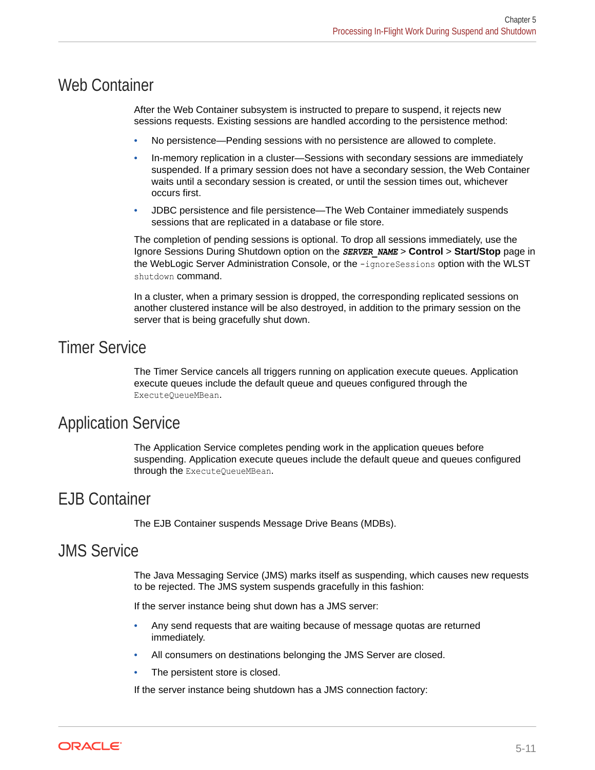### Web Container

After the Web Container subsystem is instructed to prepare to suspend, it rejects new sessions requests. Existing sessions are handled according to the persistence method:

- No persistence—Pending sessions with no persistence are allowed to complete.
- In-memory replication in a cluster—Sessions with secondary sessions are immediately suspended. If a primary session does not have a secondary session, the Web Container waits until a secondary session is created, or until the session times out, whichever occurs first.
- JDBC persistence and file persistence—The Web Container immediately suspends sessions that are replicated in a database or file store.

The completion of pending sessions is optional. To drop all sessions immediately, use the Ignore Sessions During Shutdown option on the *SERVER\_NAME* > **Control** > **Start/Stop** page in the WebLogic Server Administration Console, or the -ignoreSessions option with the WLST shutdown command.

In a cluster, when a primary session is dropped, the corresponding replicated sessions on another clustered instance will be also destroyed, in addition to the primary session on the server that is being gracefully shut down.

### Timer Service

The Timer Service cancels all triggers running on application execute queues. Application execute queues include the default queue and queues configured through the ExecuteQueueMBean.

### Application Service

The Application Service completes pending work in the application queues before suspending. Application execute queues include the default queue and queues configured through the ExecuteQueueMBean.

### EJB Container

The EJB Container suspends Message Drive Beans (MDBs).

### JMS Service

The Java Messaging Service (JMS) marks itself as suspending, which causes new requests to be rejected. The JMS system suspends gracefully in this fashion:

If the server instance being shut down has a JMS server:

- Any send requests that are waiting because of message quotas are returned immediately.
- All consumers on destinations belonging the JMS Server are closed.
- The persistent store is closed.

If the server instance being shutdown has a JMS connection factory:

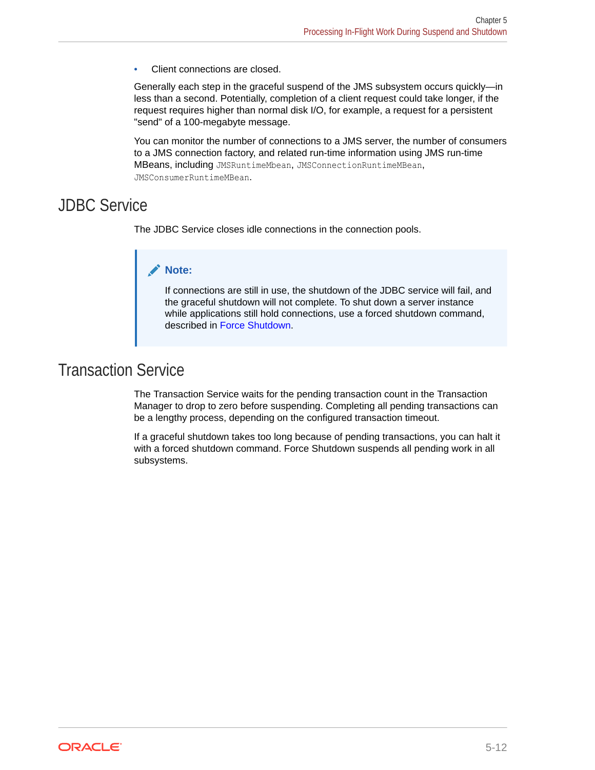Client connections are closed.

Generally each step in the graceful suspend of the JMS subsystem occurs quickly—in less than a second. Potentially, completion of a client request could take longer, if the request requires higher than normal disk I/O, for example, a request for a persistent "send" of a 100-megabyte message.

You can monitor the number of connections to a JMS server, the number of consumers to a JMS connection factory, and related run-time information using JMS run-time MBeans, including JMSRuntimeMbean, JMSConnectionRuntimeMBean, JMSConsumerRuntimeMBean.

### JDBC Service

The JDBC Service closes idle connections in the connection pools.

#### **Note:**

If connections are still in use, the shutdown of the JDBC service will fail, and the graceful shutdown will not complete. To shut down a server instance while applications still hold connections, use a forced shutdown command, described in [Force Shutdown](#page-67-0).

### Transaction Service

The Transaction Service waits for the pending transaction count in the Transaction Manager to drop to zero before suspending. Completing all pending transactions can be a lengthy process, depending on the configured transaction timeout.

If a graceful shutdown takes too long because of pending transactions, you can halt it with a forced shutdown command. Force Shutdown suspends all pending work in all subsystems.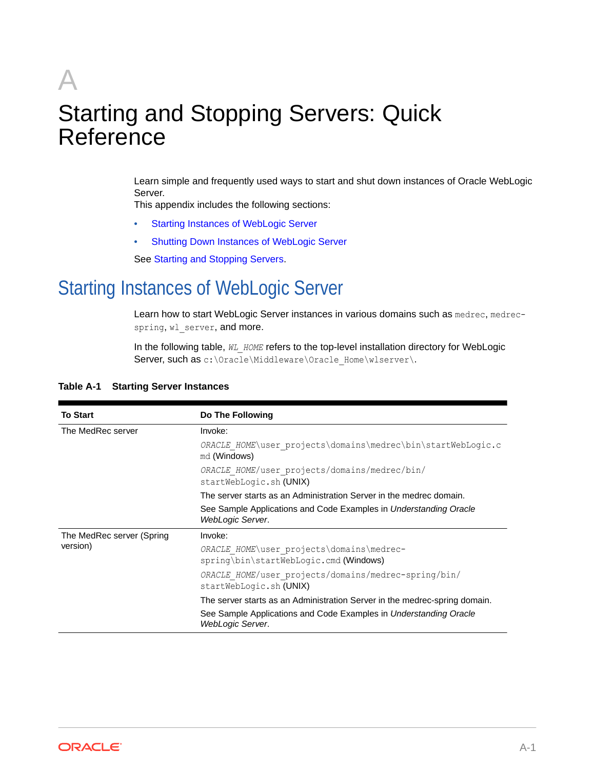# A Starting and Stopping Servers: Quick Reference

Learn simple and frequently used ways to start and shut down instances of Oracle WebLogic Server.

This appendix includes the following sections:

- Starting Instances of WebLogic Server
- [Shutting Down Instances of WebLogic Server](#page-73-0)

See [Starting and Stopping Servers.](#page-9-0)

## Starting Instances of WebLogic Server

Learn how to start WebLogic Server instances in various domains such as medrec, medrecspring, wl\_server, and more.

In the following table,  $W_L$  HOME refers to the top-level installation directory for WebLogic Server, such as c:\Oracle\Middleware\Oracle\_Home\wlserver\.

| <b>To Start</b>           | Do The Following                                                                      |  |  |  |  |
|---------------------------|---------------------------------------------------------------------------------------|--|--|--|--|
| The MedRec server         | Invoke:                                                                               |  |  |  |  |
|                           | ORACLE HOME\user projects\domains\medrec\bin\startWebLogic.c<br>md (Windows)          |  |  |  |  |
|                           | ORACLE HOME/user projects/domains/medrec/bin/<br>startWebLogic.sh (UNIX)              |  |  |  |  |
|                           | The server starts as an Administration Server in the medrec domain.                   |  |  |  |  |
|                           | See Sample Applications and Code Examples in Understanding Oracle<br>WebLogic Server. |  |  |  |  |
| The MedRec server (Spring | Invoke:                                                                               |  |  |  |  |
| version)                  | ORACLE HOME\user projects\domains\medrec-<br>spring\bin\startWebLogic.cmd(Windows)    |  |  |  |  |
|                           | ORACLE HOME/user projects/domains/medrec-spring/bin/<br>startWebLogic.sh (UNIX)       |  |  |  |  |
|                           | The server starts as an Administration Server in the medrec-spring domain.            |  |  |  |  |
|                           | See Sample Applications and Code Examples in Understanding Oracle<br>WebLogic Server. |  |  |  |  |

#### **Table A-1 Starting Server Instances**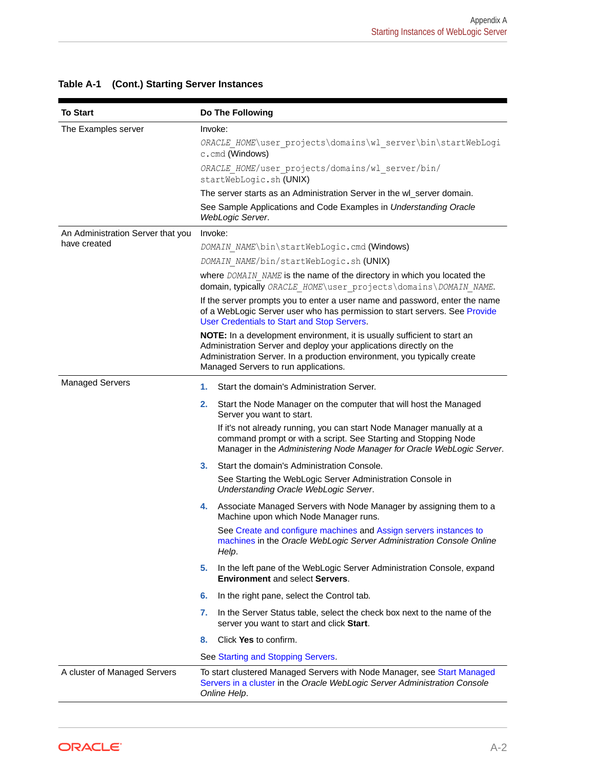| <b>To Start</b>                   | Do The Following                                                                                                                                                                                                                                                   |
|-----------------------------------|--------------------------------------------------------------------------------------------------------------------------------------------------------------------------------------------------------------------------------------------------------------------|
| The Examples server               | Invoke:                                                                                                                                                                                                                                                            |
|                                   | ORACLE HOME\user projects\domains\wl server\bin\startWebLogi<br>c.cmd (Windows)                                                                                                                                                                                    |
|                                   | ORACLE HOME/user projects/domains/wl server/bin/<br>startWebLogic.sh (UNIX)                                                                                                                                                                                        |
|                                   | The server starts as an Administration Server in the wl_server domain.                                                                                                                                                                                             |
|                                   | See Sample Applications and Code Examples in Understanding Oracle<br>WebLogic Server.                                                                                                                                                                              |
| An Administration Server that you | Invoke:                                                                                                                                                                                                                                                            |
| have created                      | DOMAIN NAME\bin\startWebLogic.cmd (Windows)                                                                                                                                                                                                                        |
|                                   | DOMAIN NAME/bin/startWebLogic.sh (UNIX)                                                                                                                                                                                                                            |
|                                   | where DOMAIN NAME is the name of the directory in which you located the<br>domain, typically ORACLE HOME\user projects\domains\DOMAIN NAME.                                                                                                                        |
|                                   | If the server prompts you to enter a user name and password, enter the name<br>of a WebLogic Server user who has permission to start servers. See Provide<br>User Credentials to Start and Stop Servers.                                                           |
|                                   | NOTE: In a development environment, it is usually sufficient to start an<br>Administration Server and deploy your applications directly on the<br>Administration Server. In a production environment, you typically create<br>Managed Servers to run applications. |
| <b>Managed Servers</b>            | 1.<br>Start the domain's Administration Server.                                                                                                                                                                                                                    |
|                                   | Start the Node Manager on the computer that will host the Managed<br>2.<br>Server you want to start.                                                                                                                                                               |
|                                   | If it's not already running, you can start Node Manager manually at a<br>command prompt or with a script. See Starting and Stopping Node<br>Manager in the Administering Node Manager for Oracle WebLogic Server.                                                  |
|                                   | Start the domain's Administration Console.<br>3.                                                                                                                                                                                                                   |
|                                   | See Starting the WebLogic Server Administration Console in<br>Understanding Oracle WebLogic Server.                                                                                                                                                                |
|                                   | Associate Managed Servers with Node Manager by assigning them to a<br>4.<br>Machine upon which Node Manager runs.                                                                                                                                                  |
|                                   | See Create and configure machines and Assign servers instances to<br>machines in the Oracle WebLogic Server Administration Console Online<br>Help.                                                                                                                 |
|                                   | In the left pane of the WebLogic Server Administration Console, expand<br>5.<br><b>Environment and select Servers.</b>                                                                                                                                             |
|                                   | In the right pane, select the Control tab.<br>6.                                                                                                                                                                                                                   |
|                                   | In the Server Status table, select the check box next to the name of the<br>7.<br>server you want to start and click Start.                                                                                                                                        |
|                                   | Click Yes to confirm.<br>8.                                                                                                                                                                                                                                        |
|                                   | See Starting and Stopping Servers.                                                                                                                                                                                                                                 |
| A cluster of Managed Servers      | To start clustered Managed Servers with Node Manager, see Start Managed<br>Servers in a cluster in the Oracle WebLogic Server Administration Console<br>Online Help.                                                                                               |

## **Table A-1 (Cont.) Starting Server Instances**